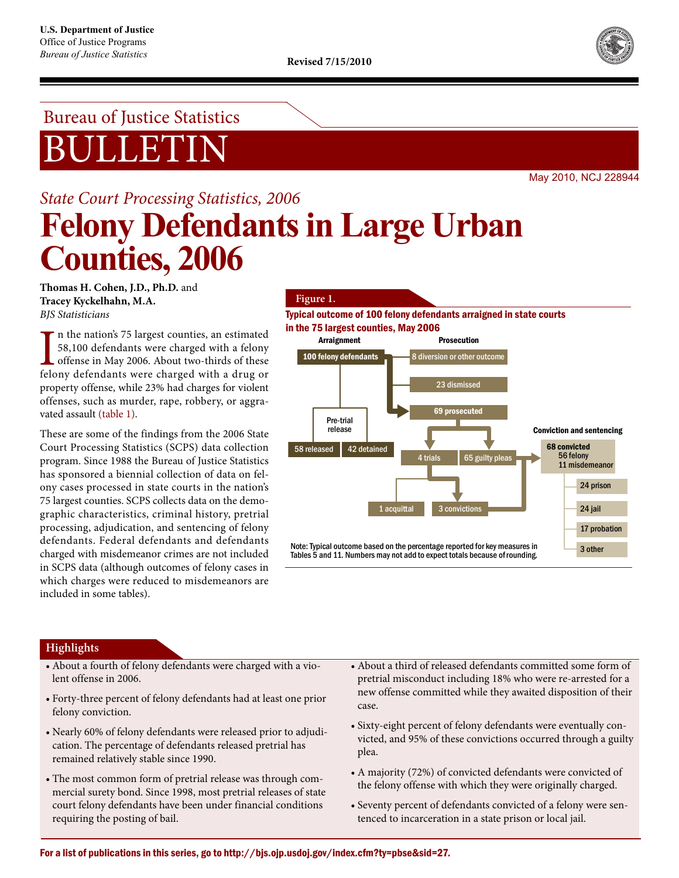

# Bureau of Justice Statistics BULLETIN

May 2010, NCJ 228944

# *State Court Processing Statistics, 2006* **Felony Defendants in Large Urban Counties, 2006**

**Thomas H. Cohen, J.D., Ph.D.** and **Tracey Kyckelhahn, M.A.** *BJS Statisticians*

n the nation's 75 largest counties, an estimated 58,100 defendants were charged with a felony offense in May 2006. About two-thirds of these In the nation's 75 largest counties, an estimated<br>58,100 defendants were charged with a felony<br>offense in May 2006. About two-thirds of these<br>felony defendants were charged with a drug or property offense, while 23% had charges for violent offenses, such as murder, rape, robbery, or aggravated assault (table 1).

These are some of the findings from the 2006 State Court Processing Statistics (SCPS) data collection program. Since 1988 the Bureau of Justice Statistics has sponsored a biennial collection of data on felony cases processed in state courts in the nation's 75 largest counties. SCPS collects data on the demographic characteristics, criminal history, pretrial processing, adjudication, and sentencing of felony defendants. Federal defendants and defendants charged with misdemeanor crimes are not included in SCPS data (although outcomes of felony cases in which charges were reduced to misdemeanors are included in some tables).

### **Figure 1.**

### Typical outcome of 100 felony defendants arraigned in state courts in the 75 largest counties, May 2006



## **Highlights**

- About a fourth of felony defendants were charged with a violent offense in 2006.
- Forty-three percent of felony defendants had at least one prior felony conviction.
- Nearly 60% of felony defendants were released prior to adjudication. The percentage of defendants released pretrial has remained relatively stable since 1990.
- The most common form of pretrial release was through commercial surety bond. Since 1998, most pretrial releases of state court felony defendants have been under financial conditions requiring the posting of bail.
- About a third of released defendants committed some form of pretrial misconduct including 18% who were re-arrested for a new offense committed while they awaited disposition of their case.
- Sixty-eight percent of felony defendants were eventually convicted, and 95% of these convictions occurred through a guilty plea.
- A majority (72%) of convicted defendants were convicted of the felony offense with which they were originally charged.
- Seventy percent of defendants convicted of a felony were sentenced to incarceration in a state prison or local jail.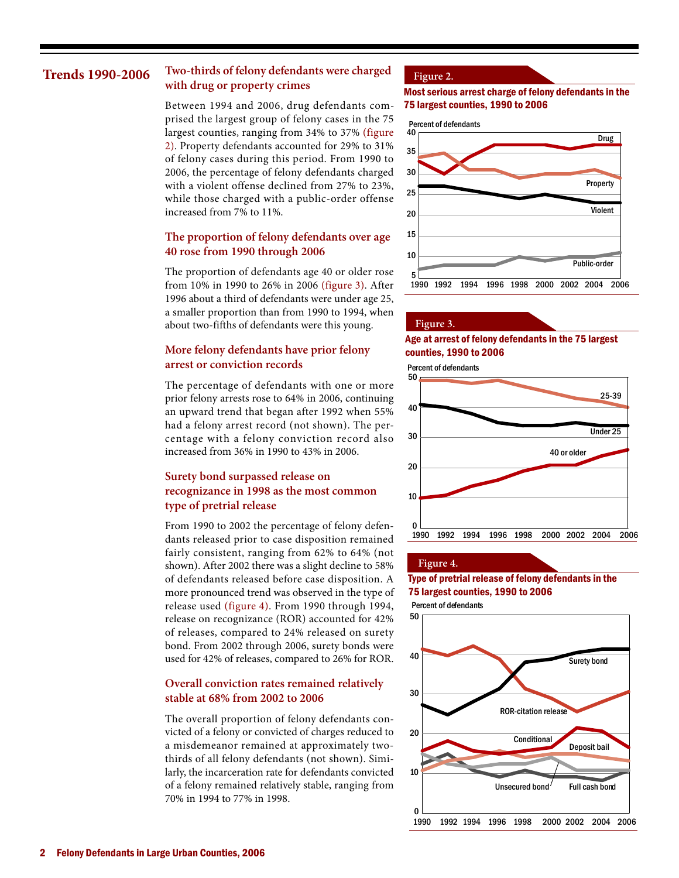## **Trends 1990-2006**

### **Two-thirds of felony defendants were charged with drug or property crimes**

Between 1994 and 2006, drug defendants comprised the largest group of felony cases in the 75 largest counties, ranging from 34% to 37% (figure 2). Property defendants accounted for 29% to 31% of felony cases during this period. From 1990 to 2006, the percentage of felony defendants charged with a violent offense declined from 27% to 23%, while those charged with a public-order offense increased from 7% to 11%.

### **The proportion of felony defendants over age 40 rose from 1990 through 2006**

The proportion of defendants age 40 or older rose from 10% in 1990 to 26% in 2006 (figure 3). After 1996 about a third of defendants were under age 25, a smaller proportion than from 1990 to 1994, when about two-fifths of defendants were this young.

#### **More felony defendants have prior felony arrest or conviction records**

The percentage of defendants with one or more prior felony arrests rose to 64% in 2006, continuing an upward trend that began after 1992 when 55% had a felony arrest record (not shown). The percentage with a felony conviction record also increased from 36% in 1990 to 43% in 2006.

## **Surety bond surpassed release on recognizance in 1998 as the most common type of pretrial release**

From 1990 to 2002 the percentage of felony defendants released prior to case disposition remained fairly consistent, ranging from 62% to 64% (not shown). After 2002 there was a slight decline to 58% of defendants released before case disposition. A more pronounced trend was observed in the type of release used (figure 4). From 1990 through 1994, release on recognizance (ROR) accounted for 42% of releases, compared to 24% released on surety bond. From 2002 through 2006, surety bonds were used for 42% of releases, compared to 26% for ROR.

### **Overall conviction rates remained relatively stable at 68% from 2002 to 2006**

The overall proportion of felony defendants convicted of a felony or convicted of charges reduced to a misdemeanor remained at approximately twothirds of all felony defendants (not shown). Similarly, the incarceration rate for defendants convicted of a felony remained relatively stable, ranging from 70% in 1994 to 77% in 1998.

#### **Figure 2.**

Most serious arrest charge of felony defendants in the 75 largest counties, 1990 to 2006

Percent of defendants



### **Figure 3.**

#### Age at arrest of felony defendants in the 75 largest counties, 1990 to 2006

Percent of defendants



#### **Figure 4.**

Type of pretrial release of felony defendants in the 75 largest counties, 1990 to 2006

Percent of defendants

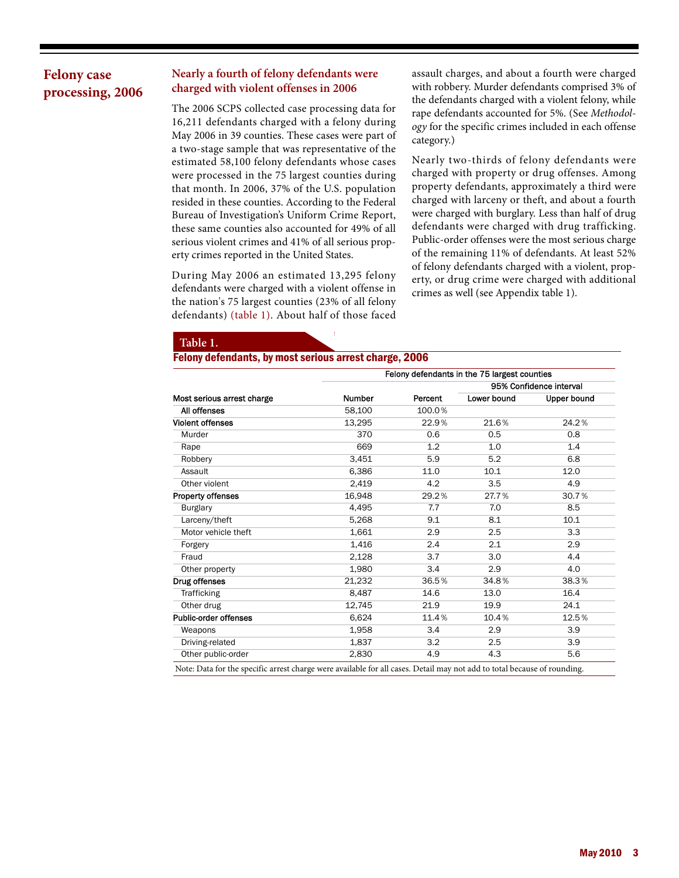## **Felony case processing, 2006**

## **Nearly a fourth of felony defendants were charged with violent offenses in 2006**

The 2006 SCPS collected case processing data for 16,211 defendants charged with a felony during May 2006 in 39 counties. These cases were part of a two-stage sample that was representative of the estimated 58,100 felony defendants whose cases were processed in the 75 largest counties during that month. In 2006, 37% of the U.S. population resided in these counties. According to the Federal Bureau of Investigation's Uniform Crime Report, these same counties also accounted for 49% of all serious violent crimes and 41% of all serious property crimes reported in the United States.

During May 2006 an estimated 13,295 felony defendants were charged with a violent offense in the nation's 75 largest counties (23% of all felony defendants) (table 1). About half of those faced assault charges, and about a fourth were charged with robbery. Murder defendants comprised 3% of the defendants charged with a violent felony, while rape defendants accounted for 5%. (See *Methodology* for the specific crimes included in each offense category.)

Nearly two-thirds of felony defendants were charged with property or drug offenses. Among property defendants, approximately a third were charged with larceny or theft, and about a fourth were charged with burglary. Less than half of drug defendants were charged with drug trafficking. Public-order offenses were the most serious charge of the remaining 11% of defendants. At least 52% of felony defendants charged with a violent, property, or drug crime were charged with additional crimes as well (see Appendix table 1).

### **Table 1.**

Felony defendants, by most serious arrest charge, 2006

|                            |               |         | Felony defendants in the 75 largest counties |                         |
|----------------------------|---------------|---------|----------------------------------------------|-------------------------|
|                            |               |         |                                              | 95% Confidence interval |
| Most serious arrest charge | <b>Number</b> | Percent | Lower bound                                  | Upper bound             |
| All offenses               | 58,100        | 100.0%  |                                              |                         |
| <b>Violent offenses</b>    | 13,295        | 22.9%   | 21.6%                                        | 24.2%                   |
| Murder                     | 370           | 0.6     | 0.5                                          | 0.8                     |
| Rape                       | 669           | 1.2     | 1.0                                          | 1.4                     |
| Robbery                    | 3,451         | 5.9     | 5.2                                          | 6.8                     |
| Assault                    | 6,386         | 11.0    | 10.1                                         | 12.0                    |
| Other violent              | 2,419         | 4.2     | 3.5                                          | 4.9                     |
| <b>Property offenses</b>   | 16,948        | 29.2%   | 27.7%                                        | 30.7%                   |
| <b>Burglary</b>            | 4,495         | 7.7     | 7.0                                          | 8.5                     |
| Larceny/theft              | 5,268         | 9.1     | 8.1                                          | 10.1                    |
| Motor vehicle theft        | 1,661         | 2.9     | 2.5                                          | 3.3                     |
| Forgery                    | 1,416         | 2.4     | 2.1                                          | 2.9                     |
| Fraud                      | 2,128         | 3.7     | 3.0                                          | 4.4                     |
| Other property             | 1.980         | 3.4     | 2.9                                          | 4.0                     |
| Drug offenses              | 21,232        | 36.5%   | 34.8%                                        | 38.3%                   |
| <b>Trafficking</b>         | 8,487         | 14.6    | 13.0                                         | 16.4                    |
| Other drug                 | 12,745        | 21.9    | 19.9                                         | 24.1                    |
| Public-order offenses      | 6,624         | 11.4%   | 10.4%                                        | 12.5%                   |
| Weapons                    | 1,958         | 3.4     | 2.9                                          | 3.9                     |
| Driving-related            | 1,837         | 3.2     | 2.5                                          | 3.9                     |
| Other public-order         | 2,830         | 4.9     | 4.3                                          | 5.6                     |
|                            |               |         |                                              |                         |

Note: Data for the specific arrest charge were available for all cases. Detail may not add to total because of rounding.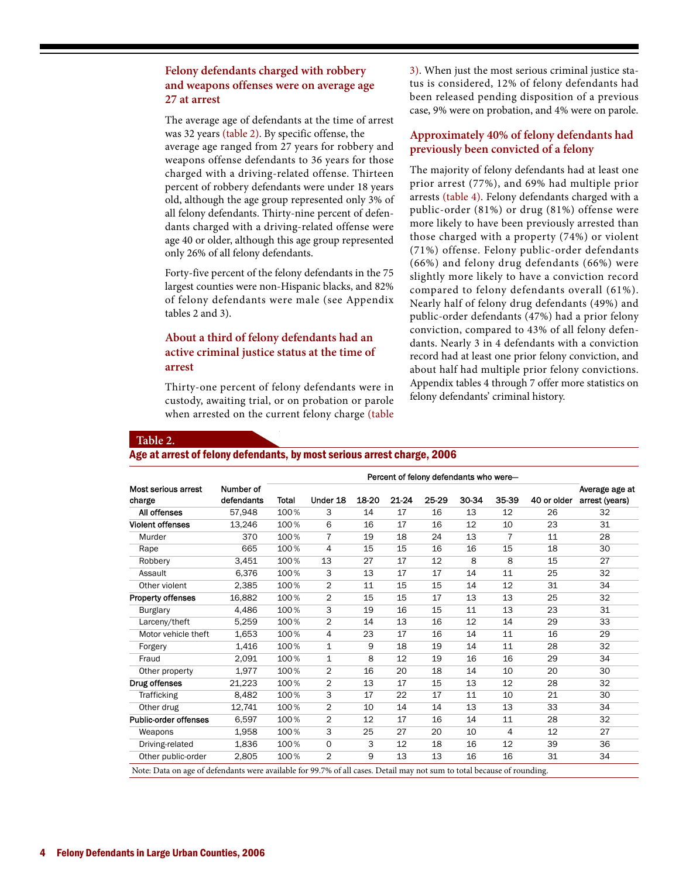### **Felony defendants charged with robbery and weapons offenses were on average age 27 at arrest**

The average age of defendants at the time of arrest was 32 years (table 2). By specific offense, the average age ranged from 27 years for robbery and weapons offense defendants to 36 years for those charged with a driving-related offense. Thirteen percent of robbery defendants were under 18 years old, although the age group represented only 3% of all felony defendants. Thirty-nine percent of defendants charged with a driving-related offense were age 40 or older, although this age group represented only 26% of all felony defendants.

Forty-five percent of the felony defendants in the 75 largest counties were non-Hispanic blacks, and 82% of felony defendants were male (see Appendix tables 2 and 3).

### **About a third of felony defendants had an active criminal justice status at the time of arrest**

Thirty-one percent of felony defendants were in custody, awaiting trial, or on probation or parole when arrested on the current felony charge (table 3). When just the most serious criminal justice status is considered, 12% of felony defendants had been released pending disposition of a previous case, 9% were on probation, and 4% were on parole.

## **Approximately 40% of felony defendants had previously been convicted of a felony**

The majority of felony defendants had at least one prior arrest (77%), and 69% had multiple prior arrests (table 4). Felony defendants charged with a public-order (81%) or drug (81%) offense were more likely to have been previously arrested than those charged with a property (74%) or violent (71%) offense. Felony public-order defendants (66%) and felony drug defendants (66%) were slightly more likely to have a conviction record compared to felony defendants overall (61%). Nearly half of felony drug defendants (49%) and public-order defendants (47%) had a prior felony conviction, compared to 43% of all felony defendants. Nearly 3 in 4 defendants with a conviction record had at least one prior felony conviction, and about half had multiple prior felony convictions. Appendix tables 4 through 7 offer more statistics on felony defendants' criminal history.

#### **Table 2.**

#### Age at arrest of felony defendants, by most serious arrest charge, 2006

|                                            | Percent of felony defendants who were- |       |                               |       |                                        |                                                                                 |       |            |              |                            |
|--------------------------------------------|----------------------------------------|-------|-------------------------------|-------|----------------------------------------|---------------------------------------------------------------------------------|-------|------------|--------------|----------------------------|
| Most serious arrest                        | Number of                              |       |                               |       |                                        |                                                                                 |       |            |              | Average age at             |
| charge                                     | defendants                             | Total | Under 18                      | 18-20 | 21-24                                  | 25-29                                                                           | 30-34 | 35-39      |              | 40 or older arrest (years) |
| All offenses                               | 57,948                                 | 100%  | 3                             | 14    | 17                                     | 16                                                                              | 13    | 12         | 26           | 32                         |
| <b>Violent offenses</b>                    | 13,246                                 | 100%  | 6                             | 16    | 17                                     | 16                                                                              | 12    | 10         | 23           | 31                         |
| Murder                                     | 370                                    | 100%  | $\overline{7}$                | 19    | 18                                     | 24                                                                              | 13    | 7          | 11           | 28                         |
| Rape                                       | 665                                    | 100%  | 4                             | 15    | 15                                     | 16                                                                              | 16    | 15         | 18           | 30                         |
| Robbery                                    | 3,451                                  | 100%  | 13                            | 27    | 17                                     | 12                                                                              | 8     | 8          | 15           | 27                         |
| Assault                                    | 6,376                                  | 100%  | 3                             | 13    | 17                                     | 17                                                                              | 14    | 11         | 25           | 32                         |
| Other violent                              | 2,385                                  | 100%  | $\overline{2}$                | 11    | 15                                     | 15                                                                              | 14    | 12         | 31           | 34                         |
| <b>Property offenses</b>                   | 16,882                                 | 100%  | $\overline{2}$                | 15    | 15                                     | 17                                                                              | 13    | 13         | 25           | 32                         |
| <b>Burglary</b>                            | 4.486                                  | 100%  | 3                             | 19    | 16                                     | 15                                                                              | 11    | 13         | 23           | 31                         |
| Larceny/theft                              | 5,259                                  | 100%  | $\overline{2}$                | 14    | 13                                     | 16                                                                              | 12    | 14         | 29           | 33                         |
| Motor vehicle theft                        | 1,653                                  | 100%  | 4                             | 23    | 17                                     | 16                                                                              | 14    | 11         | 16           | 29                         |
| Forgery                                    | 1,416                                  | 100%  | $\mathbf{1}$                  | 9     | 18                                     | 19                                                                              | 14    | 11         | 28           | 32                         |
| Fraud                                      | 2,091                                  | 100%  | $\mathbf{1}$                  | 8     | 12                                     | 19                                                                              | 16    | 16         | 29           | 34                         |
| Other property                             | 1,977                                  | 100%  | $\overline{2}$                | 16    | 20                                     | 18                                                                              | 14    | 10         | 20           | 30                         |
| Drug offenses                              | 21,223                                 | 100%  | $\overline{2}$                | 13    | 17                                     | 15                                                                              | 13    | 12         | 28           | 32                         |
| Trafficking                                | 8,482                                  | 100%  | 3                             | 17    | 22                                     | 17                                                                              | 11    | 10         | 21           | 30                         |
| Other drug                                 | 12,741                                 | 100%  | $\overline{2}$                | 10    | 14                                     | 14                                                                              | 13    | 13         | 33           | 34                         |
| Public-order offenses                      | 6,597                                  | 100%  | $\overline{2}$                | 12    | 17                                     | 16                                                                              | 14    | 11         | 28           | 32                         |
| Weapons                                    | 1,958                                  | 100%  | 3                             | 25    | 27                                     | 20                                                                              | 10    | 4          | 12           | 27                         |
| Driving-related                            | 1,836                                  | 100%  | $\Omega$                      | 3     | 12                                     | 18                                                                              | 16    | 12         | 39           | 36                         |
| Other public-order                         | 2,805                                  | 100%  | $\overline{2}$                | 9     | 13                                     | 13                                                                              | 16    | 16         | 31           | 34                         |
| $\mathbf{v}$ . $\mathbf{v}$ . $\mathbf{v}$ | $c_1 c_1$                              |       | $(1,1,1)$ $(2,0,0,0)$ $(3,1)$ |       | $\mathbf{r}$ $\mathbf{r}$ $\mathbf{r}$ | the contract of the contract of the contract of the contract of the contract of |       | $\epsilon$ | $\mathbf{1}$ |                            |

Note: Data on age of defendants were available for 99.7% of all cases. Detail may not sum to total because of rounding.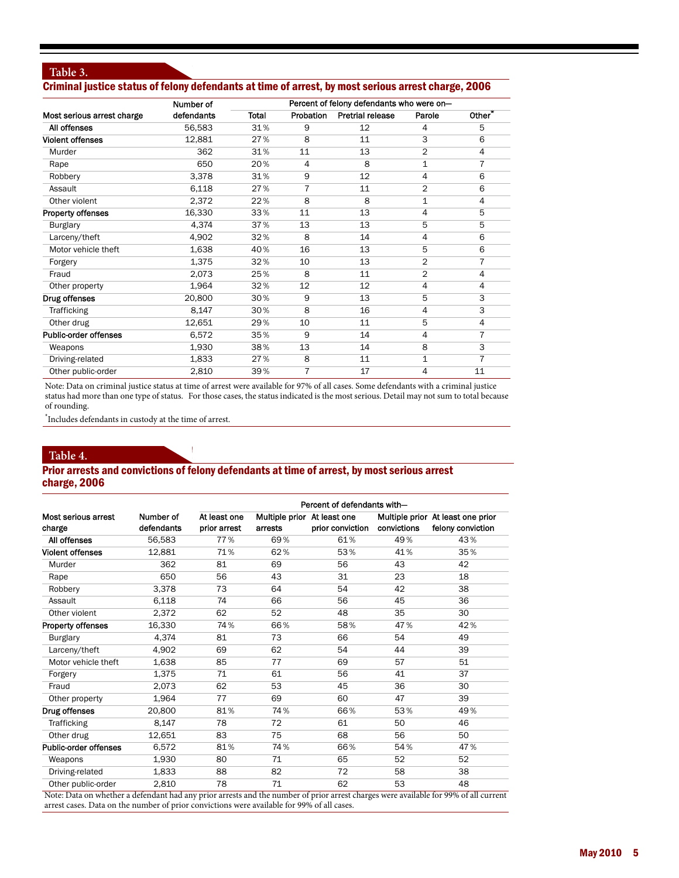## **Table 3.**  Criminal justice status of felony defendants at time of arrest, by most serious arrest charge, 2006

|                              | Number of  |       | Percent of felony defendants who were on- |                         |                |                    |  |  |  |  |
|------------------------------|------------|-------|-------------------------------------------|-------------------------|----------------|--------------------|--|--|--|--|
| Most serious arrest charge   | defendants | Total | Probation                                 | <b>Pretrial release</b> | Parole         | Other <sup>7</sup> |  |  |  |  |
| All offenses                 | 56,583     | 31%   | 9                                         | 12                      | 4              | 5                  |  |  |  |  |
| <b>Violent offenses</b>      | 12,881     | 27%   | 8                                         | 11                      | 3              | 6                  |  |  |  |  |
| Murder                       | 362        | 31%   | 11                                        | 13                      | $\overline{2}$ | 4                  |  |  |  |  |
| Rape                         | 650        | 20%   | 4                                         | 8                       | 1              | $\overline{7}$     |  |  |  |  |
| Robbery                      | 3,378      | 31%   | 9                                         | 12                      | 4              | 6                  |  |  |  |  |
| Assault                      | 6,118      | 27%   | 7                                         | 11                      | $\overline{2}$ | 6                  |  |  |  |  |
| Other violent                | 2,372      | 22%   | 8                                         | 8                       | 1              | $\overline{4}$     |  |  |  |  |
| <b>Property offenses</b>     | 16,330     | 33%   | 11                                        | 13                      | 4              | 5                  |  |  |  |  |
| <b>Burglary</b>              | 4,374      | 37%   | 13                                        | 13                      | 5              | 5                  |  |  |  |  |
| Larceny/theft                | 4,902      | 32%   | 8                                         | 14                      | 4              | 6                  |  |  |  |  |
| Motor vehicle theft          | 1,638      | 40%   | 16                                        | 13                      | 5              | 6                  |  |  |  |  |
| Forgery                      | 1,375      | 32%   | 10                                        | 13                      | $\overline{2}$ | $\overline{7}$     |  |  |  |  |
| Fraud                        | 2,073      | 25%   | 8                                         | 11                      | $\overline{2}$ | $\overline{4}$     |  |  |  |  |
| Other property               | 1,964      | 32%   | 12                                        | 12                      | 4              | 4                  |  |  |  |  |
| Drug offenses                | 20,800     | 30%   | 9                                         | 13                      | 5              | 3                  |  |  |  |  |
| Trafficking                  | 8,147      | 30%   | 8                                         | 16                      | 4              | 3                  |  |  |  |  |
| Other drug                   | 12,651     | 29%   | 10                                        | 11                      | 5              | $\overline{4}$     |  |  |  |  |
| <b>Public-order offenses</b> | 6,572      | 35%   | 9                                         | 14                      | 4              | 7                  |  |  |  |  |
| Weapons                      | 1,930      | 38%   | 13                                        | 14                      | 8              | 3                  |  |  |  |  |
| Driving-related              | 1,833      | 27%   | 8                                         | 11                      | 1              | $\overline{7}$     |  |  |  |  |
| Other public-order           | 2,810      | 39%   | $\overline{7}$                            | 17                      | 4              | 11                 |  |  |  |  |

Note: Data on criminal justice status at time of arrest were available for 97% of all cases. Some defendants with a criminal justice status had more than one type of status. For those cases, the status indicated is the most serious. Detail may not sum to total because of rounding.

\* Includes defendants in custody at the time of arrest.

## **Table 4.**

### Prior arrests and convictions of felony defendants at time of arrest, by most serious arrest charge, 2006

|                          |            |              |                             | Percent of defendants with- |             |                                   |
|--------------------------|------------|--------------|-----------------------------|-----------------------------|-------------|-----------------------------------|
| Most serious arrest      | Number of  | At least one | Multiple prior At least one |                             |             | Multiple prior At least one prior |
| charge                   | defendants | prior arrest | arrests                     | prior conviction            | convictions | felony conviction                 |
| All offenses             | 56,583     | 77%          | 69%                         | 61%                         | 49%         | 43%                               |
| <b>Violent offenses</b>  | 12,881     | 71%          | 62%                         | 53%                         | 41%         | 35%                               |
| Murder                   | 362        | 81           | 69                          | 56                          | 43          | 42                                |
| Rape                     | 650        | 56           | 43                          | 31                          | 23          | 18                                |
| Robbery                  | 3,378      | 73           | 64                          | 54                          | 42          | 38                                |
| Assault                  | 6,118      | 74           | 66                          | 56                          | 45          | 36                                |
| Other violent            | 2,372      | 62           | 52                          | 48                          | 35          | 30                                |
| <b>Property offenses</b> | 16,330     | 74%          | 66%                         | 58%                         | 47%         | 42%                               |
| <b>Burglary</b>          | 4.374      | 81           | 73                          | 66                          | 54          | 49                                |
| Larceny/theft            | 4,902      | 69           | 62                          | 54                          | 44          | 39                                |
| Motor vehicle theft      | 1,638      | 85           | 77                          | 69                          | 57          | 51                                |
| Forgery                  | 1,375      | 71           | 61                          | 56                          | 41          | 37                                |
| Fraud                    | 2,073      | 62           | 53                          | 45                          | 36          | 30                                |
| Other property           | 1,964      | 77           | 69                          | 60                          | 47          | 39                                |
| Drug offenses            | 20,800     | 81%          | 74%                         | 66%                         | 53%         | 49%                               |
| <b>Trafficking</b>       | 8,147      | 78           | 72                          | 61                          | 50          | 46                                |
| Other drug               | 12.651     | 83           | 75                          | 68                          | 56          | 50                                |
| Public-order offenses    | 6,572      | 81%          | 74%                         | 66%                         | 54%         | 47%                               |
| Weapons                  | 1,930      | 80           | 71                          | 65                          | 52          | 52                                |
| Driving-related          | 1,833      | 88           | 82                          | 72                          | 58          | 38                                |
| Other public-order       | 2,810      | 78           | 71                          | 62                          | 53          | 48                                |

Note: Data on whether a defendant had any prior arrests and the number of prior arrest charges were available for 99% of all current arrest cases. Data on the number of prior convictions were available for 99% of all cases.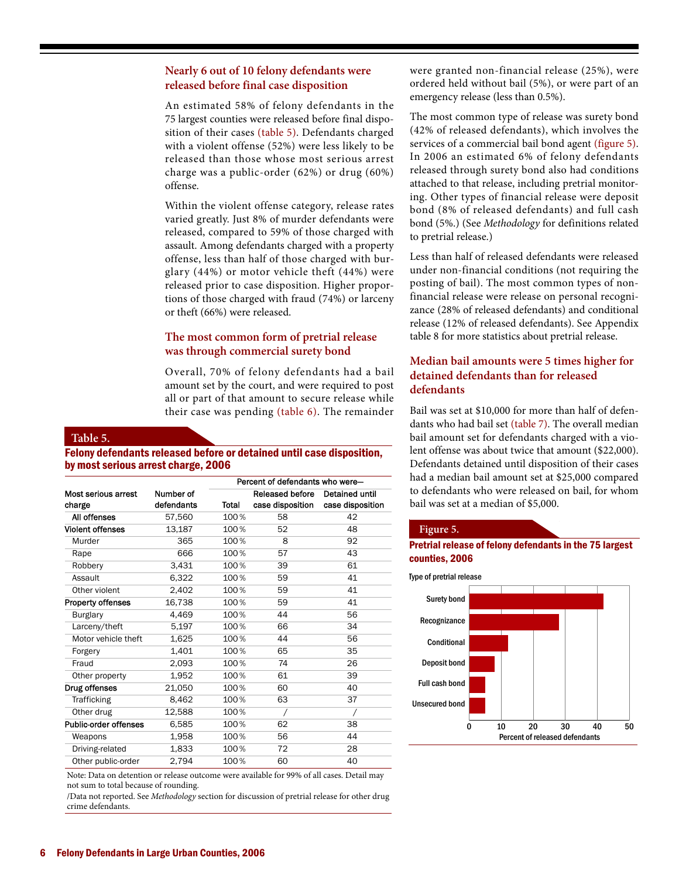### **Nearly 6 out of 10 felony defendants were released before final case disposition**

An estimated 58% of felony defendants in the 75 largest counties were released before final disposition of their cases (table 5). Defendants charged with a violent offense (52%) were less likely to be released than those whose most serious arrest charge was a public-order (62%) or drug (60%) offense.

Within the violent offense category, release rates varied greatly. Just 8% of murder defendants were released, compared to 59% of those charged with assault. Among defendants charged with a property offense, less than half of those charged with burglary (44%) or motor vehicle theft (44%) were released prior to case disposition. Higher proportions of those charged with fraud (74%) or larceny or theft (66%) were released.

### **The most common form of pretrial release was through commercial surety bond**

Overall, 70% of felony defendants had a bail amount set by the court, and were required to post all or part of that amount to secure release while their case was pending (table 6). The remainder

#### **Table 5.**

#### Felony defendants released before or detained until case disposition, by most serious arrest charge, 2006

|                          |            |       | Percent of defendants who were- |                  |
|--------------------------|------------|-------|---------------------------------|------------------|
| Most serious arrest      | Number of  |       | <b>Released before</b>          | Detained until   |
| charge                   | defendants | Total | case disposition                | case disposition |
| All offenses             | 57,560     | 100%  | 58                              | 42               |
| <b>Violent offenses</b>  | 13,187     | 100%  | 52                              | 48               |
| Murder                   | 365        | 100%  | 8                               | 92               |
| Rape                     | 666        | 100%  | 57                              | 43               |
| Robbery                  | 3,431      | 100%  | 39                              | 61               |
| Assault                  | 6,322      | 100%  | 59                              | 41               |
| Other violent            | 2,402      | 100%  | 59                              | 41               |
| <b>Property offenses</b> | 16,738     | 100%  | 59                              | 41               |
| <b>Burglary</b>          | 4,469      | 100%  | 44                              | 56               |
| Larceny/theft            | 5,197      | 100%  | 66                              | 34               |
| Motor vehicle theft      | 1,625      | 100%  | 44                              | 56               |
| Forgery                  | 1,401      | 100%  | 65                              | 35               |
| Fraud                    | 2,093      | 100%  | 74                              | 26               |
| Other property           | 1,952      | 100%  | 61                              | 39               |
| Drug offenses            | 21,050     | 100%  | 60                              | 40               |
| Trafficking              | 8,462      | 100%  | 63                              | 37               |
| Other drug               | 12,588     | 100%  |                                 |                  |
| Public-order offenses    | 6,585      | 100%  | 62                              | 38               |
| Weapons                  | 1,958      | 100%  | 56                              | 44               |
| Driving-related          | 1,833      | 100%  | 72                              | 28               |
| Other public-order       | 2,794      | 100%  | 60                              | 40               |

Note: Data on detention or release outcome were available for 99% of all cases. Detail may not sum to total because of rounding.

/Data not reported. See *Methodology* section for discussion of pretrial release for other drug crime defendants.

were granted non-financial release (25%), were ordered held without bail (5%), or were part of an emergency release (less than 0.5%).

The most common type of release was surety bond (42% of released defendants), which involves the services of a commercial bail bond agent (figure 5). In 2006 an estimated 6% of felony defendants released through surety bond also had conditions attached to that release, including pretrial monitoring. Other types of financial release were deposit bond (8% of released defendants) and full cash bond (5%.) (See *Methodology* for definitions related to pretrial release.)

Less than half of released defendants were released under non-financial conditions (not requiring the posting of bail). The most common types of nonfinancial release were release on personal recognizance (28% of released defendants) and conditional release (12% of released defendants). See Appendix table 8 for more statistics about pretrial release.

## **Median bail amounts were 5 times higher for detained defendants than for released defendants**

Bail was set at \$10,000 for more than half of defendants who had bail set (table 7). The overall median bail amount set for defendants charged with a violent offense was about twice that amount (\$22,000). Defendants detained until disposition of their cases had a median bail amount set at \$25,000 compared to defendants who were released on bail, for whom bail was set at a median of \$5,000.

#### **Figure 5.**

#### Pretrial release of felony defendants in the 75 largest counties, 2006

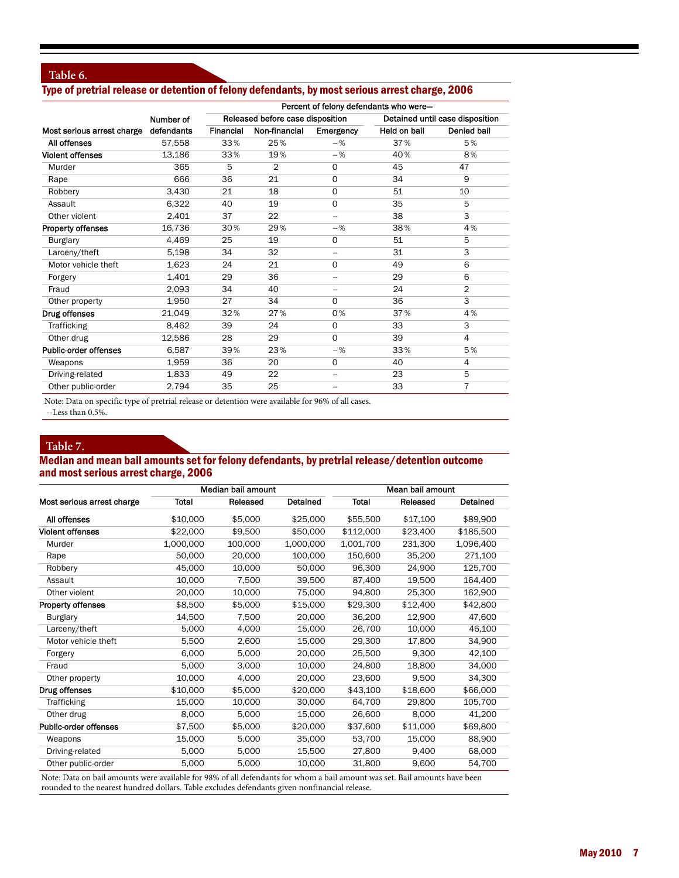## Type of pretrial release or detention of felony defendants, by most serious arrest charge, 2006

|                            |            | Percent of felony defendants who were- |                                  |             |              |                                 |  |  |  |  |
|----------------------------|------------|----------------------------------------|----------------------------------|-------------|--------------|---------------------------------|--|--|--|--|
|                            | Number of  |                                        | Released before case disposition |             |              | Detained until case disposition |  |  |  |  |
| Most serious arrest charge | defendants | Financial                              | Non-financial                    | Emergency   | Held on bail | <b>Denied bail</b>              |  |  |  |  |
| All offenses               | 57,558     | 33%                                    | 25%                              | $-$ %       | 37%          | 5%                              |  |  |  |  |
| <b>Violent offenses</b>    | 13,186     | 33%                                    | 19%                              | $-$ %       | 40%          | 8%                              |  |  |  |  |
| Murder                     | 365        | 5                                      | $\overline{2}$                   | $\Omega$    | 45           | 47                              |  |  |  |  |
| Rape                       | 666        | 36                                     | 21                               | $\Omega$    | 34           | 9                               |  |  |  |  |
| Robbery                    | 3,430      | 21                                     | 18                               | $\Omega$    | 51           | 10                              |  |  |  |  |
| Assault                    | 6,322      | 40                                     | 19                               | $\Omega$    | 35           | 5                               |  |  |  |  |
| Other violent              | 2,401      | 37                                     | 22                               |             | 38           | 3                               |  |  |  |  |
| Property offenses          | 16,736     | 30%                                    | 29%                              | $-$ %       | 38%          | 4%                              |  |  |  |  |
| <b>Burglary</b>            | 4,469      | 25                                     | 19                               | $\mathbf 0$ | 51           | 5                               |  |  |  |  |
| Larceny/theft              | 5,198      | 34                                     | 32                               |             | 31           | 3                               |  |  |  |  |
| Motor vehicle theft        | 1,623      | 24                                     | 21                               | $\mathbf 0$ | 49           | 6                               |  |  |  |  |
| Forgery                    | 1,401      | 29                                     | 36                               | --          | 29           | 6                               |  |  |  |  |
| Fraud                      | 2,093      | 34                                     | 40                               | --          | 24           | $\overline{2}$                  |  |  |  |  |
| Other property             | 1,950      | 27                                     | 34                               | 0           | 36           | 3                               |  |  |  |  |
| Drug offenses              | 21,049     | 32%                                    | 27%                              | 0%          | 37%          | 4%                              |  |  |  |  |
| Trafficking                | 8,462      | 39                                     | 24                               | $\mathbf 0$ | 33           | 3                               |  |  |  |  |
| Other drug                 | 12,586     | 28                                     | 29                               | $\Omega$    | 39           | 4                               |  |  |  |  |
| Public-order offenses      | 6.587      | 39%                                    | 23%                              | $-$ %       | 33%          | 5%                              |  |  |  |  |
| Weapons                    | 1,959      | 36                                     | 20                               | $\mathbf 0$ | 40           | 4                               |  |  |  |  |
| Driving-related            | 1.833      | 49                                     | 22                               |             | 23           | 5                               |  |  |  |  |
| Other public-order         | 2,794      | 35                                     | 25                               |             | 33           | 7                               |  |  |  |  |

Note: Data on specific type of pretrial release or detention were available for 96% of all cases.

--Less than 0.5%.

### **Table 7.**

#### Median and mean bail amounts set for felony defendants, by pretrial release/detention outcome and most serious arrest charge, 2006

|                            |           | Median bail amount |           | Mean bail amount |          |           |  |  |
|----------------------------|-----------|--------------------|-----------|------------------|----------|-----------|--|--|
| Most serious arrest charge | Total     | Released           | Detained  | Total            | Released | Detained  |  |  |
| All offenses               | \$10,000  | \$5,000            | \$25,000  | \$55,500         | \$17,100 | \$89,900  |  |  |
| <b>Violent offenses</b>    | \$22,000  | \$9,500            | \$50,000  | \$112,000        | \$23,400 | \$185,500 |  |  |
| Murder                     | 1,000,000 | 100,000            | 1,000,000 | 1,001,700        | 231,300  | 1,096,400 |  |  |
| Rape                       | 50,000    | 20,000             | 100,000   | 150,600          | 35,200   | 271,100   |  |  |
| Robbery                    | 45,000    | 10,000             | 50,000    | 96,300           | 24,900   | 125,700   |  |  |
| Assault                    | 10,000    | 7,500              | 39,500    | 87,400           | 19,500   | 164,400   |  |  |
| Other violent              | 20,000    | 10,000             | 75,000    | 94,800           | 25,300   | 162,900   |  |  |
| <b>Property offenses</b>   | \$8,500   | \$5,000            | \$15,000  | \$29,300         | \$12,400 | \$42,800  |  |  |
| <b>Burglary</b>            | 14,500    | 7,500              | 20,000    | 36,200           | 12,900   | 47,600    |  |  |
| Larceny/theft              | 5,000     | 4,000              | 15,000    | 26,700           | 10,000   | 46,100    |  |  |
| Motor vehicle theft        | 5,500     | 2,600              | 15,000    | 29,300           | 17,800   | 34,900    |  |  |
| Forgery                    | 6,000     | 5,000              | 20,000    | 25,500           | 9,300    | 42,100    |  |  |
| Fraud                      | 5,000     | 3,000              | 10,000    | 24,800           | 18,800   | 34,000    |  |  |
| Other property             | 10,000    | 4,000              | 20,000    | 23,600           | 9,500    | 34,300    |  |  |
| Drug offenses              | \$10,000  | \$5,000            | \$20,000  | \$43,100         | \$18,600 | \$66,000  |  |  |
| Trafficking                | 15,000    | 10,000             | 30,000    | 64,700           | 29,800   | 105,700   |  |  |
| Other drug                 | 8,000     | 5,000              | 15,000    | 26,600           | 8,000    | 41,200    |  |  |
| Public-order offenses      | \$7,500   | \$5,000            | \$20,000  | \$37,600         | \$11,000 | \$69,800  |  |  |
| Weapons                    | 15,000    | 5,000              | 35,000    | 53,700           | 15,000   | 88,900    |  |  |
| Driving-related            | 5,000     | 5,000              | 15,500    | 27,800           | 9,400    | 68,000    |  |  |
| Other public-order         | 5,000     | 5,000              | 10,000    | 31,800           | 9,600    | 54,700    |  |  |

Note: Data on bail amounts were available for 98% of all defendants for whom a bail amount was set. Bail amounts have been rounded to the nearest hundred dollars. Table excludes defendants given nonfinancial release.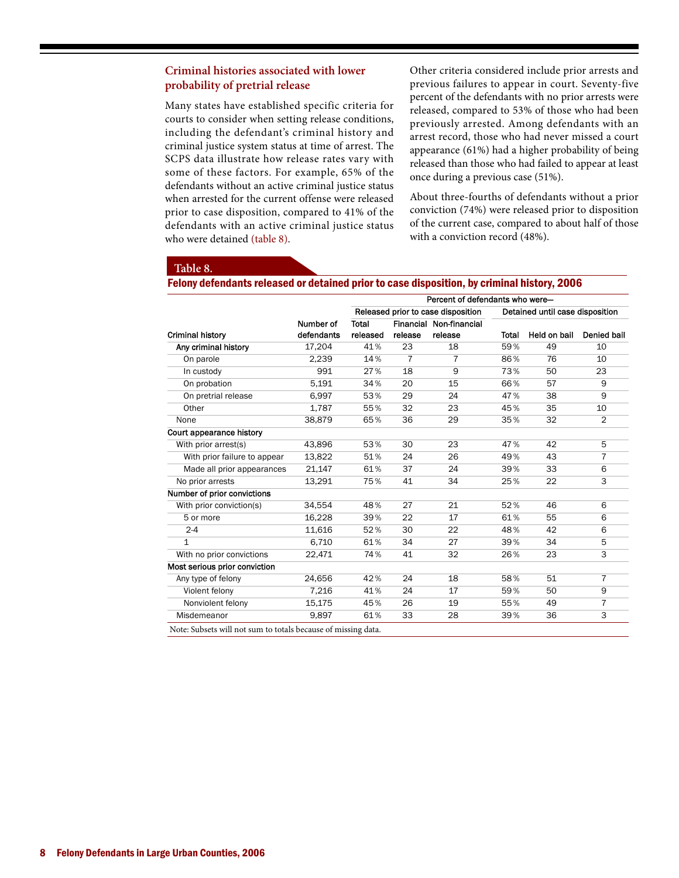## **Criminal histories associated with lower probability of pretrial release**

Many states have established specific criteria for courts to consider when setting release conditions, including the defendant's criminal history and criminal justice system status at time of arrest. The SCPS data illustrate how release rates vary with some of these factors. For example, 65% of the defendants without an active criminal justice status when arrested for the current offense were released prior to case disposition, compared to 41% of the defendants with an active criminal justice status who were detained (table 8).

Other criteria considered include prior arrests and previous failures to appear in court. Seventy-five percent of the defendants with no prior arrests were released, compared to 53% of those who had been previously arrested. Among defendants with an arrest record, those who had never missed a court appearance (61%) had a higher probability of being released than those who had failed to appear at least once during a previous case (51%).

About three-fourths of defendants without a prior conviction (74%) were released prior to disposition of the current case, compared to about half of those with a conviction record (48%).

### **Table 8.**

| <u>FUNILY AUTOMATING INTERVENTION OF AUTOMOTIC PROGRAMMIC CONTINUITY OF CHILD AND THE FUNITION OF LIGHT AND THE </u><br>Any criminal history<br>On parole<br>In custody<br>On probation<br>On pretrial release<br>Other<br>None<br>With prior arrest(s)<br>With prior failure to appear<br>No prior arrests<br>With prior conviction(s)<br>5 or more<br>$2 - 4$<br>$\mathbf{1}$ |            |              |                | Percent of defendants who were-    |       |                                 |                |
|---------------------------------------------------------------------------------------------------------------------------------------------------------------------------------------------------------------------------------------------------------------------------------------------------------------------------------------------------------------------------------|------------|--------------|----------------|------------------------------------|-------|---------------------------------|----------------|
|                                                                                                                                                                                                                                                                                                                                                                                 |            |              |                | Released prior to case disposition |       | Detained until case disposition |                |
|                                                                                                                                                                                                                                                                                                                                                                                 | Number of  | <b>Total</b> |                | <b>Financial Non-financial</b>     |       |                                 |                |
| <b>Criminal history</b>                                                                                                                                                                                                                                                                                                                                                         | defendants | released     | release        | release                            | Total | Held on bail                    | Denied bail    |
|                                                                                                                                                                                                                                                                                                                                                                                 | 17,204     | 41%          | 23             | 18                                 | 59%   | 49                              | 10             |
|                                                                                                                                                                                                                                                                                                                                                                                 | 2,239      | 14%          | $\overline{7}$ | 7                                  | 86%   | 76                              | 10             |
|                                                                                                                                                                                                                                                                                                                                                                                 | 991        | 27%          | 18             | 9                                  | 73%   | 50                              | 23             |
|                                                                                                                                                                                                                                                                                                                                                                                 | 5,191      | 34%          | 20             | 15                                 | 66%   | 57                              | 9              |
|                                                                                                                                                                                                                                                                                                                                                                                 | 6,997      | 53%          | 29             | 24                                 | 47%   | 38                              | 9              |
|                                                                                                                                                                                                                                                                                                                                                                                 | 1.787      | 55%          | 32             | 23                                 | 45%   | 35                              | 10             |
|                                                                                                                                                                                                                                                                                                                                                                                 | 38,879     | 65%          | 36             | 29                                 | 35%   | 32                              | $\overline{2}$ |
| Court appearance history                                                                                                                                                                                                                                                                                                                                                        |            |              |                |                                    |       |                                 |                |
|                                                                                                                                                                                                                                                                                                                                                                                 | 43.896     | 53%          | 30             | 23                                 | 47%   | 42                              | 5              |
|                                                                                                                                                                                                                                                                                                                                                                                 | 13.822     | 51%          | 24             | 26                                 | 49%   | 43                              | $\overline{7}$ |
| Made all prior appearances                                                                                                                                                                                                                                                                                                                                                      | 21,147     | 61%          | 37             | 24                                 | 39%   | 33                              | 6              |
|                                                                                                                                                                                                                                                                                                                                                                                 | 13,291     | 75%          | 41             | 34                                 | 25%   | 22                              | 3              |
| Number of prior convictions                                                                                                                                                                                                                                                                                                                                                     |            |              |                |                                    |       |                                 |                |
|                                                                                                                                                                                                                                                                                                                                                                                 | 34.554     | 48%          | 27             | 21                                 | 52%   | 46                              | 6              |
|                                                                                                                                                                                                                                                                                                                                                                                 | 16,228     | 39%          | 22             | 17                                 | 61%   | 55                              | 6              |
|                                                                                                                                                                                                                                                                                                                                                                                 | 11,616     | 52%          | 30             | 22                                 | 48%   | 42                              | 6              |
|                                                                                                                                                                                                                                                                                                                                                                                 | 6.710      | 61%          | 34             | 27                                 | 39%   | 34                              | 5              |
| With no prior convictions                                                                                                                                                                                                                                                                                                                                                       | 22,471     | 74%          | 41             | 32                                 | 26%   | 23                              | 3              |
| Most serious prior conviction                                                                                                                                                                                                                                                                                                                                                   |            |              |                |                                    |       |                                 |                |
| Any type of felony                                                                                                                                                                                                                                                                                                                                                              | 24,656     | 42%          | 24             | 18                                 | 58%   | 51                              | $\overline{7}$ |
| Violent felony                                                                                                                                                                                                                                                                                                                                                                  | 7,216      | 41%          | 24             | 17                                 | 59%   | 50                              | 9              |
| Nonviolent felony                                                                                                                                                                                                                                                                                                                                                               | 15,175     | 45%          | 26             | 19                                 | 55%   | 49                              | $\overline{7}$ |
| Misdemeanor                                                                                                                                                                                                                                                                                                                                                                     | 9,897      | 61%          | 33             | 28                                 | 39%   | 36                              | 3              |

## Felony defendants released or detained prior to case disposition, by criminal history, 2006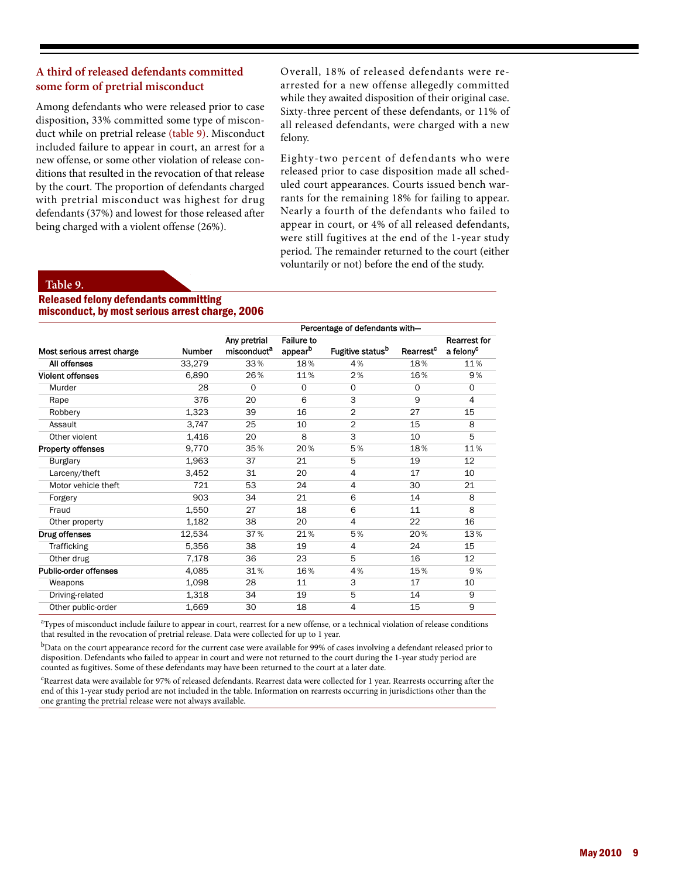## **A third of released defendants committed some form of pretrial misconduct**

Among defendants who were released prior to case disposition, 33% committed some type of misconduct while on pretrial release (table 9). Misconduct included failure to appear in court, an arrest for a new offense, or some other violation of release conditions that resulted in the revocation of that release by the court. The proportion of defendants charged with pretrial misconduct was highest for drug defendants (37%) and lowest for those released after being charged with a violent offense (26%).

Overall, 18% of released defendants were rearrested for a new offense allegedly committed while they awaited disposition of their original case. Sixty-three percent of these defendants, or 11% of all released defendants, were charged with a new felony.

Eighty-two percent of defendants who were released prior to case disposition made all scheduled court appearances. Courts issued bench warrants for the remaining 18% for failing to appear. Nearly a fourth of the defendants who failed to appear in court, or 4% of all released defendants, were still fugitives at the end of the 1-year study period. The remainder returned to the court (either voluntarily or not) before the end of the study.

#### **Table 9.**

Released felony defendants committing misconduct, by most serious arrest charge, 2006

|                            |               | Percentage of defendants with- |                   |                              |                       |                       |  |  |  |  |
|----------------------------|---------------|--------------------------------|-------------------|------------------------------|-----------------------|-----------------------|--|--|--|--|
|                            |               | Any pretrial                   | <b>Failure to</b> |                              |                       | <b>Rearrest for</b>   |  |  |  |  |
| Most serious arrest charge | <b>Number</b> | misconduct <sup>a</sup>        | appearb           | Fugitive status <sup>b</sup> | Rearrest <sup>c</sup> | a felony <sup>c</sup> |  |  |  |  |
| All offenses               | 33,279        | 33%                            | 18%               | 4%                           | 18%                   | 11%                   |  |  |  |  |
| <b>Violent offenses</b>    | 6,890         | 26%                            | 11%               | 2%                           | 16%                   | 9%                    |  |  |  |  |
| Murder                     | 28            | $\mathbf 0$                    | $\circ$           | $\circ$                      | $\mathbf 0$           | 0                     |  |  |  |  |
| Rape                       | 376           | 20                             | 6                 | 3                            | 9                     | $\overline{4}$        |  |  |  |  |
| Robbery                    | 1,323         | 39                             | 16                | $\overline{2}$               | 27                    | 15                    |  |  |  |  |
| Assault                    | 3,747         | 25                             | 10                | $\overline{2}$               | 15                    | 8                     |  |  |  |  |
| Other violent              | 1,416         | 20                             | 8                 | 3                            | 10                    | 5                     |  |  |  |  |
| <b>Property offenses</b>   | 9,770         | 35%                            | 20%               | 5%                           | 18%                   | 11%                   |  |  |  |  |
| <b>Burglary</b>            | 1,963         | 37                             | 21                | 5                            | 19                    | 12                    |  |  |  |  |
| Larceny/theft              | 3,452         | 31                             | 20                | 4                            | 17                    | 10                    |  |  |  |  |
| Motor vehicle theft        | 721           | 53                             | 24                | $\overline{4}$               | 30                    | 21                    |  |  |  |  |
| Forgery                    | 903           | 34                             | 21                | 6                            | 14                    | 8                     |  |  |  |  |
| Fraud                      | 1,550         | 27                             | 18                | 6                            | 11                    | 8                     |  |  |  |  |
| Other property             | 1,182         | 38                             | 20                | $\overline{4}$               | 22                    | 16                    |  |  |  |  |
| Drug offenses              | 12,534        | 37%                            | 21%               | 5%                           | 20%                   | 13%                   |  |  |  |  |
| Trafficking                | 5,356         | 38                             | 19                | 4                            | 24                    | 15                    |  |  |  |  |
| Other drug                 | 7,178         | 36                             | 23                | 5                            | 16                    | 12                    |  |  |  |  |
| Public-order offenses      | 4,085         | 31%                            | 16%               | 4%                           | 15%                   | 9%                    |  |  |  |  |
| Weapons                    | 1,098         | 28                             | 11                | 3                            | 17                    | 10                    |  |  |  |  |
| Driving-related            | 1,318         | 34                             | 19                | 5                            | 14                    | 9                     |  |  |  |  |
| Other public-order         | 1,669         | 30                             | 18                | 4                            | 15                    | 9                     |  |  |  |  |

<sup>a</sup>Types of misconduct include failure to appear in court, rearrest for a new offense, or a technical violation of release conditions that resulted in the revocation of pretrial release. Data were collected for up to 1 year.

 $b$ Data on the court appearance record for the current case were available for 99% of cases involving a defendant released prior to disposition. Defendants who failed to appear in court and were not returned to the court during the 1-year study period are counted as fugitives. Some of these defendants may have been returned to the court at a later date.

c Rearrest data were available for 97% of released defendants. Rearrest data were collected for 1 year. Rearrests occurring after the end of this 1-year study period are not included in the table. Information on rearrests occurring in jurisdictions other than the one granting the pretrial release were not always available.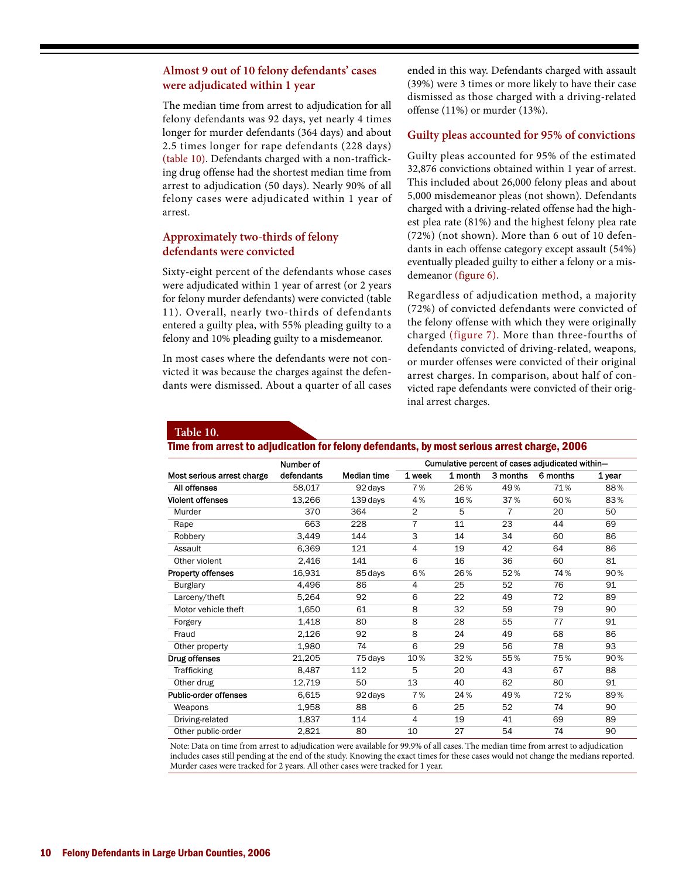## **Almost 9 out of 10 felony defendants' cases were adjudicated within 1 year**

The median time from arrest to adjudication for all felony defendants was 92 days, yet nearly 4 times longer for murder defendants (364 days) and about 2.5 times longer for rape defendants (228 days) (table 10). Defendants charged with a non-trafficking drug offense had the shortest median time from arrest to adjudication (50 days). Nearly 90% of all felony cases were adjudicated within 1 year of arrest.

### **Approximately two-thirds of felony defendants were convicted**

Sixty-eight percent of the defendants whose cases were adjudicated within 1 year of arrest (or 2 years for felony murder defendants) were convicted (table 11). Overall, nearly two-thirds of defendants entered a guilty plea, with 55% pleading guilty to a felony and 10% pleading guilty to a misdemeanor.

In most cases where the defendants were not convicted it was because the charges against the defendants were dismissed. About a quarter of all cases ended in this way. Defendants charged with assault (39%) were 3 times or more likely to have their case dismissed as those charged with a driving-related offense (11%) or murder (13%).

#### **Guilty pleas accounted for 95% of convictions**

Guilty pleas accounted for 95% of the estimated 32,876 convictions obtained within 1 year of arrest. This included about 26,000 felony pleas and about 5,000 misdemeanor pleas (not shown). Defendants charged with a driving-related offense had the highest plea rate (81%) and the highest felony plea rate (72%) (not shown). More than 6 out of 10 defendants in each offense category except assault (54%) eventually pleaded guilty to either a felony or a misdemeanor (figure 6).

Regardless of adjudication method, a majority (72%) of convicted defendants were convicted of the felony offense with which they were originally charged (figure 7). More than three-fourths of defendants convicted of driving-related, weapons, or murder offenses were convicted of their original arrest charges. In comparison, about half of convicted rape defendants were convicted of their original arrest charges.

#### **Table 10.**

| Cumulative percent of cases adjudicated within-<br>Number of |            |             |                |         |          |          |        |
|--------------------------------------------------------------|------------|-------------|----------------|---------|----------|----------|--------|
| Most serious arrest charge                                   | defendants | Median time | 1 week         | 1 month | 3 months | 6 months | 1 year |
| All offenses                                                 | 58,017     | 92 days     | 7%             | 26%     | 49%      | 71%      | 88%    |
| <b>Violent offenses</b>                                      | 13,266     | 139 days    | 4%             | 16%     | 37%      | 60%      | 83%    |
| Murder                                                       | 370        | 364         | $\overline{2}$ | 5       | 7        | 20       | 50     |
| Rape                                                         | 663        | 228         | 7              | 11      | 23       | 44       | 69     |
| Robbery                                                      | 3,449      | 144         | 3              | 14      | 34       | 60       | 86     |
| Assault                                                      | 6,369      | 121         | 4              | 19      | 42       | 64       | 86     |
| Other violent                                                | 2,416      | 141         | 6              | 16      | 36       | 60       | 81     |
| <b>Property offenses</b>                                     | 16,931     | 85 days     | 6%             | 26%     | 52%      | 74%      | 90%    |
| <b>Burglary</b>                                              | 4,496      | 86          | 4              | 25      | 52       | 76       | 91     |
| Larceny/theft                                                | 5,264      | 92          | 6              | 22      | 49       | 72       | 89     |
| Motor vehicle theft                                          | 1,650      | 61          | 8              | 32      | 59       | 79       | 90     |
| Forgery                                                      | 1,418      | 80          | 8              | 28      | 55       | 77       | 91     |
| Fraud                                                        | 2,126      | 92          | 8              | 24      | 49       | 68       | 86     |
| Other property                                               | 1,980      | 74          | 6              | 29      | 56       | 78       | 93     |
| Drug offenses                                                | 21,205     | 75 days     | 10%            | 32%     | 55%      | 75%      | 90%    |
| Trafficking                                                  | 8,487      | 112         | 5              | 20      | 43       | 67       | 88     |
| Other drug                                                   | 12,719     | 50          | 13             | 40      | 62       | 80       | 91     |
| Public-order offenses                                        | 6,615      | 92 days     | 7%             | 24%     | 49%      | 72%      | 89%    |
| Weapons                                                      | 1,958      | 88          | 6              | 25      | 52       | 74       | 90     |
| Driving-related                                              | 1,837      | 114         | 4              | 19      | 41       | 69       | 89     |
| Other public-order                                           | 2,821      | 80          | 10             | 27      | 54       | 74       | 90     |

#### Time from arrest to adjudication for felony defendants, by most serious arrest charge, 2006

Note: Data on time from arrest to adjudication were available for 99.9% of all cases. The median time from arrest to adjudication includes cases still pending at the end of the study. Knowing the exact times for these cases would not change the medians reported. Murder cases were tracked for 2 years. All other cases were tracked for 1 year.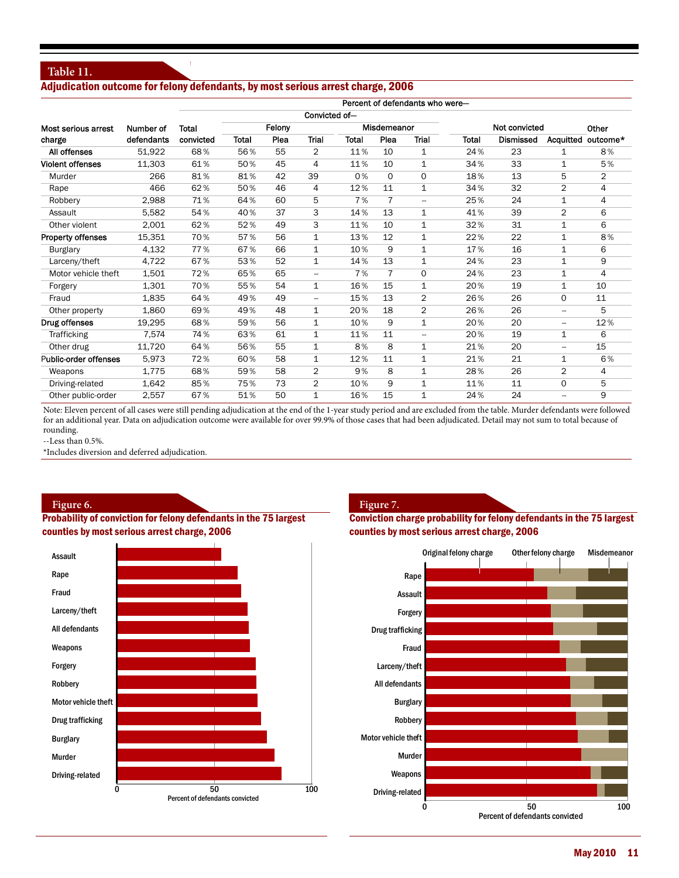## **Table 11.**

## Adjudication outcome for felony defendants, by most serious arrest charge, 2006

|                         |            |           |       |        |                |              |                | Percent of defendants who were- |       |                  |                          |                    |
|-------------------------|------------|-----------|-------|--------|----------------|--------------|----------------|---------------------------------|-------|------------------|--------------------------|--------------------|
|                         |            |           |       |        | Convicted of-  |              |                |                                 |       |                  |                          |                    |
| Most serious arrest     | Number of  | Total     |       | Felony |                |              | Misdemeanor    |                                 |       | Not convicted    |                          | Other              |
| charge                  | defendants | convicted | Total | Plea   | <b>Trial</b>   | <b>Total</b> | Plea           | Trial                           | Total | <b>Dismissed</b> |                          | Acquitted outcome* |
| All offenses            | 51,922     | 68%       | 56%   | 55     | $\overline{2}$ | 11%          | 10             | 1                               | 24%   | 23               | 1                        | 8%                 |
| <b>Violent offenses</b> | 11,303     | 61%       | 50%   | 45     | 4              | 11%          | 10             | 1                               | 34%   | 33               | 1                        | 5%                 |
| Murder                  | 266        | 81%       | 81%   | 42     | 39             | 0%           | 0              | $\mathbf 0$                     | 18%   | 13               | 5                        | 2                  |
| Rape                    | 466        | 62%       | 50%   | 46     | 4              | 12%          | 11             | $\mathbf{1}$                    | 34%   | 32               | $\overline{2}$           | 4                  |
| Robbery                 | 2,988      | 71%       | 64%   | 60     | 5              | 7%           | $\overline{7}$ | $\overline{\phantom{a}}$        | 25%   | 24               | 1                        | 4                  |
| Assault                 | 5,582      | 54%       | 40%   | 37     | 3              | 14%          | 13             | $\mathbf{1}$                    | 41%   | 39               | $\overline{2}$           | 6                  |
| Other violent           | 2,001      | 62%       | 52%   | 49     | 3              | 11%          | 10             | 1                               | 32%   | 31               | 1                        | 6                  |
| Property offenses       | 15,351     | 70%       | 57%   | 56     | 1              | 13%          | 12             | 1                               | 22%   | 22               | 1                        | 8%                 |
| <b>Burglary</b>         | 4,132      | 77%       | 67%   | 66     | 1              | 10%          | 9              | 1                               | 17%   | 16               | 1                        | 6                  |
| Larceny/theft           | 4,722      | 67%       | 53%   | 52     | $\mathbf{1}$   | 14%          | 13             | $\mathbf{1}$                    | 24%   | 23               | 1                        | 9                  |
| Motor vehicle theft     | 1,501      | 72%       | 65%   | 65     | $\overline{a}$ | 7%           | $\overline{7}$ | $\mathbf 0$                     | 24%   | 23               | 1                        | 4                  |
| Forgery                 | 1,301      | 70%       | 55%   | 54     | $\mathbf{1}$   | 16%          | 15             | 1                               | 20%   | 19               | 1                        | 10                 |
| Fraud                   | 1,835      | 64%       | 49%   | 49     | Ξ.             | 15%          | 13             | 2                               | 26%   | 26               | 0                        | 11                 |
| Other property          | 1,860      | 69%       | 49%   | 48     | 1              | 20%          | 18             | 2                               | 26%   | 26               | $\overline{\phantom{a}}$ | 5                  |
| Drug offenses           | 19,295     | 68%       | 59%   | 56     | 1              | 10%          | 9              | 1                               | 20%   | 20               | $\overline{\phantom{a}}$ | 12%                |
| Trafficking             | 7,574      | 74%       | 63%   | 61     | 1              | 11%          | 11             | $\overline{\phantom{a}}$        | 20%   | 19               | 1                        | 6                  |
| Other drug              | 11,720     | 64%       | 56%   | 55     | 1              | 8%           | 8              | 1                               | 21%   | 20               | $\overline{\phantom{a}}$ | 15                 |
| Public-order offenses   | 5,973      | 72%       | 60%   | 58     | 1              | 12%          | 11             | 1                               | 21%   | 21               | 1                        | 6%                 |
| Weapons                 | 1,775      | 68%       | 59%   | 58     | $\overline{2}$ | 9%           | 8              | 1                               | 28%   | 26               | 2                        | 4                  |
| Driving-related         | 1,642      | 85%       | 75%   | 73     | $\overline{2}$ | 10%          | 9              | 1                               | 11%   | 11               | 0                        | 5                  |
| Other public-order      | 2,557      | 67%       | 51%   | 50     | 1              | 16%          | 15             | $\mathbf{1}$                    | 24%   | 24               | $\overline{\phantom{a}}$ | 9                  |

Note: Eleven percent of all cases were still pending adjudication at the end of the 1-year study period and are excluded from the table. Murder defendants were followed for an additional year. Data on adjudication outcome were available for over 99.9% of those cases that had been adjudicated. Detail may not sum to total because of rounding.

--Less than 0.5%.

\*Includes diversion and deferred adjudication.

#### **Figure 6.**

Probability of conviction for felony defendants in the 75 largest counties by most serious arrest charge, 2006



### **Figure 7.**

Conviction charge probability for felony defendants in the 75 largest counties by most serious arrest charge, 2006

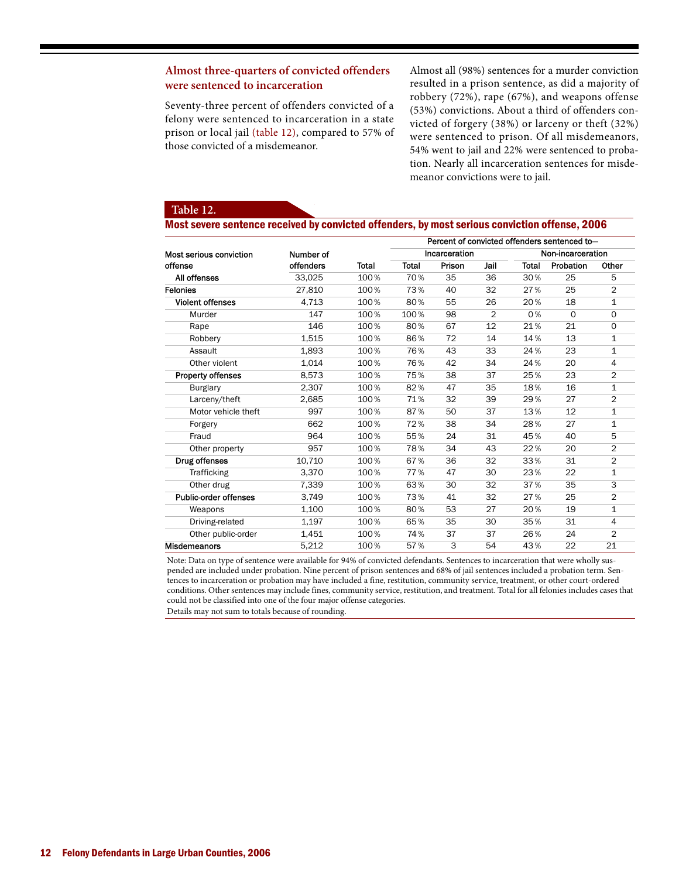## **Almost three-quarters of convicted offenders were sentenced to incarceration**

Seventy-three percent of offenders convicted of a felony were sentenced to incarceration in a state prison or local jail (table 12), compared to 57% of those convicted of a misdemeanor.

Almost all (98%) sentences for a murder conviction resulted in a prison sentence, as did a majority of robbery (72%), rape (67%), and weapons offense (53%) convictions. About a third of offenders convicted of forgery (38%) or larceny or theft (32%) were sentenced to prison. Of all misdemeanors, 54% went to jail and 22% were sentenced to probation. Nearly all incarceration sentences for misdemeanor convictions were to jail.

## **Table 12.**

#### Most severe sentence received by convicted offenders, by most serious conviction offense, 2006

|                          |           |       | Percent of convicted offenders sentenced to- |               |                |              |                   |                |  |
|--------------------------|-----------|-------|----------------------------------------------|---------------|----------------|--------------|-------------------|----------------|--|
| Most serious conviction  | Number of |       |                                              | Incarceration |                |              | Non-incarceration |                |  |
| offense                  | offenders | Total | <b>Total</b>                                 | Prison        | Jail           | <b>Total</b> | Probation         | Other          |  |
| All offenses             | 33,025    | 100%  | 70%                                          | 35            | 36             | 30%          | 25                | 5              |  |
| <b>Felonies</b>          | 27.810    | 100%  | 73%                                          | 40            | 32             | 27%          | 25                | $\overline{2}$ |  |
| <b>Violent offenses</b>  | 4,713     | 100%  | 80%                                          | 55            | 26             | 20%          | 18                | 1              |  |
| Murder                   | 147       | 100%  | 100%                                         | 98            | $\overline{2}$ | 0%           | $\mathbf 0$       | $\mathsf{O}$   |  |
| Rape                     | 146       | 100%  | 80%                                          | 67            | 12             | 21%          | 21                | $\mathsf{O}$   |  |
| Robbery                  | 1,515     | 100%  | 86%                                          | 72            | 14             | 14%          | 13                | 1              |  |
| Assault                  | 1.893     | 100%  | 76%                                          | 43            | 33             | 24%          | 23                | 1              |  |
| Other violent            | 1.014     | 100%  | 76%                                          | 42            | 34             | 24%          | 20                | 4              |  |
| <b>Property offenses</b> | 8.573     | 100%  | 75%                                          | 38            | 37             | 25%          | 23                | 2              |  |
| <b>Burglary</b>          | 2,307     | 100%  | 82%                                          | 47            | 35             | 18%          | 16                | 1              |  |
| Larceny/theft            | 2,685     | 100%  | 71%                                          | 32            | 39             | 29%          | 27                | $\overline{2}$ |  |
| Motor vehicle theft      | 997       | 100%  | 87%                                          | 50            | 37             | 13%          | 12                | 1              |  |
| Forgery                  | 662       | 100%  | 72%                                          | 38            | 34             | 28%          | 27                | 1              |  |
| Fraud                    | 964       | 100%  | 55%                                          | 24            | 31             | 45%          | 40                | 5              |  |
| Other property           | 957       | 100%  | 78%                                          | 34            | 43             | 22%          | 20                | $\overline{2}$ |  |
| Drug offenses            | 10.710    | 100%  | 67%                                          | 36            | 32             | 33%          | 31                | 2              |  |
| Trafficking              | 3.370     | 100%  | 77%                                          | 47            | 30             | 23%          | 22                | 1              |  |
| Other drug               | 7,339     | 100%  | 63%                                          | 30            | 32             | 37%          | 35                | 3              |  |
| Public-order offenses    | 3,749     | 100%  | 73%                                          | 41            | 32             | 27%          | 25                | 2              |  |
| Weapons                  | 1,100     | 100%  | 80%                                          | 53            | 27             | 20%          | 19                | 1              |  |
| Driving-related          | 1,197     | 100%  | 65%                                          | 35            | 30             | 35%          | 31                | 4              |  |
| Other public-order       | 1,451     | 100%  | 74%                                          | 37            | 37             | 26%          | 24                | $\overline{2}$ |  |
| <b>Misdemeanors</b>      | 5,212     | 100%  | 57%                                          | 3             | 54             | 43%          | 22                | 21             |  |

Note: Data on type of sentence were available for 94% of convicted defendants. Sentences to incarceration that were wholly suspended are included under probation. Nine percent of prison sentences and 68% of jail sentences included a probation term. Sentences to incarceration or probation may have included a fine, restitution, community service, treatment, or other court-ordered conditions. Other sentences may include fines, community service, restitution, and treatment. Total for all felonies includes cases that could not be classified into one of the four major offense categories.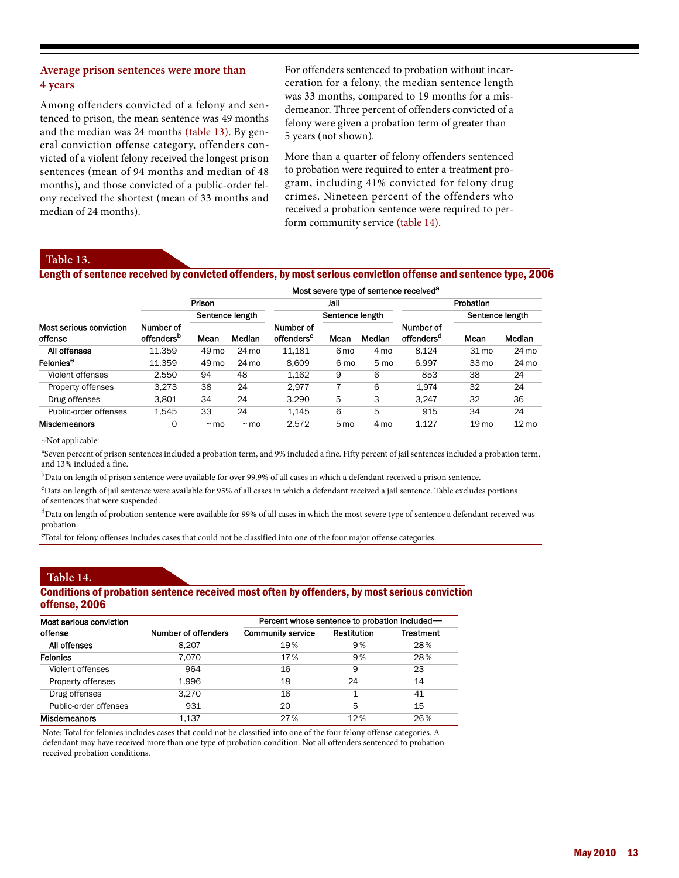### **Average prison sentences were more than 4 years**

Among offenders convicted of a felony and sentenced to prison, the mean sentence was 49 months and the median was 24 months (table 13). By general conviction offense category, offenders convicted of a violent felony received the longest prison sentences (mean of 94 months and median of 48 months), and those convicted of a public-order felony received the shortest (mean of 33 months and median of 24 months).

For offenders sentenced to probation without incarceration for a felony, the median sentence length was 33 months, compared to 19 months for a misdemeanor. Three percent of offenders convicted of a felony were given a probation term of greater than 5 years (not shown).

More than a quarter of felony offenders sentenced to probation were required to enter a treatment program, including 41% convicted for felony drug crimes. Nineteen percent of the offenders who received a probation sentence were required to perform community service (table 14).

#### **Table 13.**

#### Length of sentence received by convicted offenders, by most serious conviction offense and sentence type, 2006

|                                    |                                     | Most severe type of sentence received <sup>a</sup> |                 |                                     |                 |                 |                                     |                  |                 |  |
|------------------------------------|-------------------------------------|----------------------------------------------------|-----------------|-------------------------------------|-----------------|-----------------|-------------------------------------|------------------|-----------------|--|
|                                    | Prison                              |                                                    |                 |                                     | Jail            |                 |                                     | Probation        |                 |  |
|                                    |                                     | Sentence length                                    |                 |                                     | Sentence length |                 |                                     | Sentence length  |                 |  |
| Most serious conviction<br>offense | Number of<br>offenders <sup>b</sup> | Mean                                               | Median          | Number of<br>offenders <sup>c</sup> | Mean            | Median          | Number of<br>offenders <sup>a</sup> | Mean             | Median          |  |
| All offenses                       | 11.359                              | 49 mo                                              | $24 \text{ mo}$ | 11.181                              | 6 <sub>mo</sub> | 4 <sub>mo</sub> | 8.124                               | 31 mo            | 24 mo           |  |
| <b>Felonies<sup>e</sup></b>        | 11.359                              | 49 mo                                              | $24 \text{ mo}$ | 8.609                               | 6 mo            | 5 mo            | 6.997                               | $33 \text{ mo}$  | 24 mo           |  |
| Violent offenses                   | 2.550                               | 94                                                 | 48              | 1.162                               | 9               | 6               | 853                                 | 38               | 24              |  |
| Property offenses                  | 3.273                               | 38                                                 | 24              | 2.977                               | 7               | 6               | 1.974                               | 32               | 24              |  |
| Drug offenses                      | 3.801                               | 34                                                 | 24              | 3.290                               | 5               | 3               | 3.247                               | 32               | 36              |  |
| Public-order offenses              | 1,545                               | 33                                                 | 24              | 1.145                               | 6               | 5               | 915                                 | 34               | 24              |  |
| <b>Misdemeanors</b>                | 0                                   | $~\sim$ mo                                         | $~\sim$ mo      | 2,572                               | 5 <sub>mo</sub> | 4 <sub>mo</sub> | 1.127                               | 19 <sub>mo</sub> | $12 \text{ mo}$ |  |

~Not applicable.

<sup>a</sup>Seven percent of prison sentences included a probation term, and 9% included a fine. Fifty percent of jail sentences included a probation term, and 13% included a fine.

 $b$ Data on length of prison sentence were available for over 99.9% of all cases in which a defendant received a prison sentence.

c Data on length of jail sentence were available for 95% of all cases in which a defendant received a jail sentence. Table excludes portions of sentences that were suspended.

dData on length of probation sentence were available for 99% of all cases in which the most severe type of sentence a defendant received was probation.

eTotal for felony offenses includes cases that could not be classified into one of the four major offense categories.

#### **Table 14.**

#### Conditions of probation sentence received most often by offenders, by most serious conviction offense, 2006

| Most serious conviction |                     | Percent whose sentence to probation included— |                    |                  |  |  |  |
|-------------------------|---------------------|-----------------------------------------------|--------------------|------------------|--|--|--|
| offense                 | Number of offenders | <b>Community service</b>                      | <b>Restitution</b> | <b>Treatment</b> |  |  |  |
| All offenses            | 8.207               | 19%                                           | 9%                 | 28%              |  |  |  |
| <b>Felonies</b>         | 7.070               | 17%                                           | 9%                 | 28%              |  |  |  |
| Violent offenses        | 964                 | 16                                            | 9                  | 23               |  |  |  |
| Property offenses       | 1.996               | 18                                            | 24                 | 14               |  |  |  |
| Drug offenses           | 3.270               | 16                                            | 1                  | 41               |  |  |  |
| Public-order offenses   | 931                 | 20                                            | 5                  | 15               |  |  |  |
| <b>Misdemeanors</b>     | 1.137               | 27%                                           | 12%                | 26%              |  |  |  |

Note: Total for felonies includes cases that could not be classified into one of the four felony offense categories. A defendant may have received more than one type of probation condition. Not all offenders sentenced to probation received probation conditions.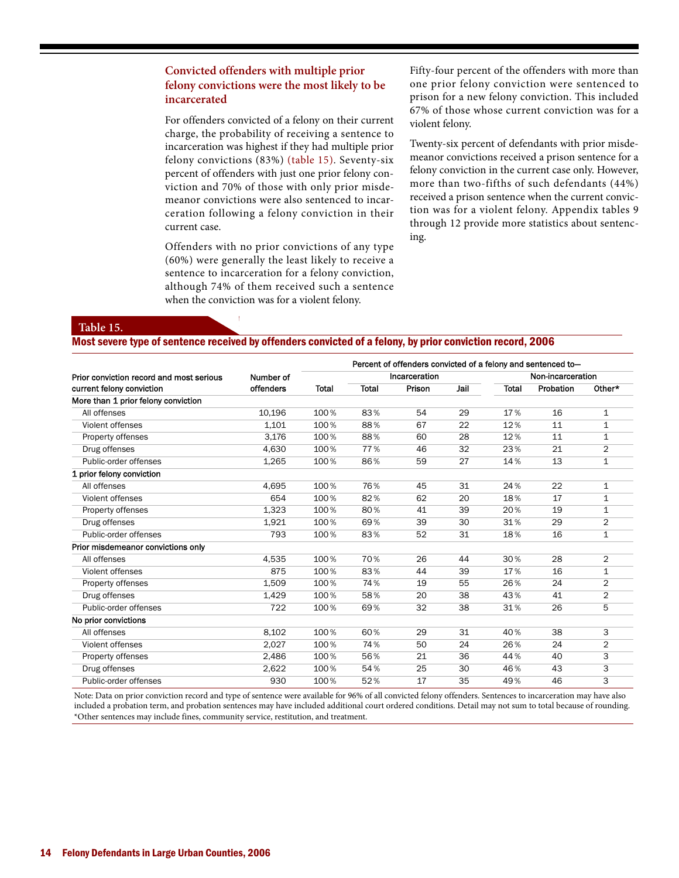## **Convicted offenders with multiple prior felony convictions were the most likely to be incarcerated**

For offenders convicted of a felony on their current charge, the probability of receiving a sentence to incarceration was highest if they had multiple prior felony convictions (83%) (table 15). Seventy-six percent of offenders with just one prior felony conviction and 70% of those with only prior misdemeanor convictions were also sentenced to incarceration following a felony conviction in their current case.

Offenders with no prior convictions of any type (60%) were generally the least likely to receive a sentence to incarceration for a felony conviction, although 74% of them received such a sentence when the conviction was for a violent felony.

Fifty-four percent of the offenders with more than one prior felony conviction were sentenced to prison for a new felony conviction. This included 67% of those whose current conviction was for a violent felony.

Twenty-six percent of defendants with prior misdemeanor convictions received a prison sentence for a felony conviction in the current case only. However, more than two-fifths of such defendants (44%) received a prison sentence when the current conviction was for a violent felony. Appendix tables 9 through 12 provide more statistics about sentencing.

#### **Table 15.**

#### Most severe type of sentence received by offenders convicted of a felony, by prior conviction record, 2006

|                                          |           | Percent of offenders convicted of a felony and sentenced to- |       |               |      |                   |           |                |  |
|------------------------------------------|-----------|--------------------------------------------------------------|-------|---------------|------|-------------------|-----------|----------------|--|
| Prior conviction record and most serious | Number of |                                                              |       | Incarceration |      | Non-incarceration |           |                |  |
| current felony conviction                | offenders | Total                                                        | Total | Prison        | Jail | <b>Total</b>      | Probation | Other*         |  |
| More than 1 prior felony conviction      |           |                                                              |       |               |      |                   |           |                |  |
| All offenses                             | 10,196    | 100%                                                         | 83%   | 54            | 29   | 17%               | 16        | 1              |  |
| Violent offenses                         | 1.101     | 100%                                                         | 88%   | 67            | 22   | 12%               | 11        | $\mathbf{1}$   |  |
| Property offenses                        | 3,176     | 100%                                                         | 88%   | 60            | 28   | 12%               | 11        | $\mathbf{1}$   |  |
| Drug offenses                            | 4,630     | 100%                                                         | 77%   | 46            | 32   | 23%               | 21        | $\overline{2}$ |  |
| Public-order offenses                    | 1,265     | 100%                                                         | 86%   | 59            | 27   | 14%               | 13        | 1              |  |
| 1 prior felony conviction                |           |                                                              |       |               |      |                   |           |                |  |
| All offenses                             | 4,695     | 100%                                                         | 76%   | 45            | 31   | 24%               | 22        | 1              |  |
| Violent offenses                         | 654       | 100%                                                         | 82%   | 62            | 20   | 18%               | 17        | $\mathbf{1}$   |  |
| Property offenses                        | 1,323     | 100%                                                         | 80%   | 41            | 39   | 20%               | 19        | $\mathbf{1}$   |  |
| Drug offenses                            | 1,921     | 100%                                                         | 69%   | 39            | 30   | 31%               | 29        | $\overline{2}$ |  |
| Public-order offenses                    | 793       | 100%                                                         | 83%   | 52            | 31   | 18%               | 16        | $\mathbf{1}$   |  |
| Prior misdemeanor convictions only       |           |                                                              |       |               |      |                   |           |                |  |
| All offenses                             | 4,535     | 100%                                                         | 70%   | 26            | 44   | 30%               | 28        | $\overline{2}$ |  |
| Violent offenses                         | 875       | 100%                                                         | 83%   | 44            | 39   | 17%               | 16        | $\mathbf{1}$   |  |
| Property offenses                        | 1,509     | 100%                                                         | 74%   | 19            | 55   | 26%               | 24        | $\overline{2}$ |  |
| Drug offenses                            | 1,429     | 100%                                                         | 58%   | 20            | 38   | 43%               | 41        | $\overline{2}$ |  |
| Public-order offenses                    | 722       | 100%                                                         | 69%   | 32            | 38   | 31%               | 26        | 5              |  |
| No prior convictions                     |           |                                                              |       |               |      |                   |           |                |  |
| All offenses                             | 8,102     | 100%                                                         | 60%   | 29            | 31   | 40%               | 38        | 3              |  |
| Violent offenses                         | 2,027     | 100%                                                         | 74%   | 50            | 24   | 26%               | 24        | $\overline{2}$ |  |
| Property offenses                        | 2,486     | 100%                                                         | 56%   | 21            | 36   | 44%               | 40        | 3              |  |
| Drug offenses                            | 2,622     | 100%                                                         | 54%   | 25            | 30   | 46%               | 43        | 3              |  |
| Public-order offenses                    | 930       | 100%                                                         | 52%   | 17            | 35   | 49%               | 46        | 3              |  |

Note: Data on prior conviction record and type of sentence were available for 96% of all convicted felony offenders. Sentences to incarceration may have also included a probation term, and probation sentences may have included additional court ordered conditions. Detail may not sum to total because of rounding. \*Other sentences may include fines, community service, restitution, and treatment.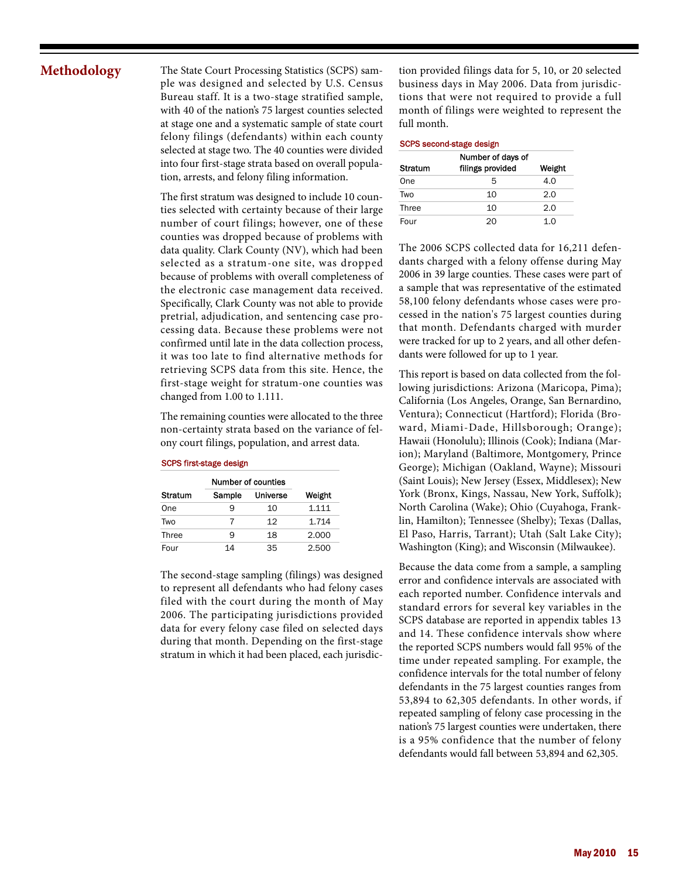## **Methodology**

The State Court Processing Statistics (SCPS) sample was designed and selected by U.S. Census Bureau staff. It is a two-stage stratified sample, with 40 of the nation's 75 largest counties selected at stage one and a systematic sample of state court felony filings (defendants) within each county selected at stage two. The 40 counties were divided into four first-stage strata based on overall population, arrests, and felony filing information.

The first stratum was designed to include 10 counties selected with certainty because of their large number of court filings; however, one of these counties was dropped because of problems with data quality. Clark County (NV), which had been selected as a stratum-one site, was dropped because of problems with overall completeness of the electronic case management data received. Specifically, Clark County was not able to provide pretrial, adjudication, and sentencing case processing data. Because these problems were not confirmed until late in the data collection process, it was too late to find alternative methods for retrieving SCPS data from this site. Hence, the first-stage weight for stratum-one counties was changed from 1.00 to 1.111.

The remaining counties were allocated to the three non-certainty strata based on the variance of felony court filings, population, and arrest data.

|                | Number of counties |          |        |
|----------------|--------------------|----------|--------|
| <b>Stratum</b> | Sample             | Universe | Weight |
| One            | 9                  | 10       | 1.111  |
| Two            | 7                  | 12       | 1.714  |
| Three          | 9                  | 18       | 2.000  |
| Four           | 14                 | 35       | 2.500  |

#### SCPS first-stage design

The second-stage sampling (filings) was designed to represent all defendants who had felony cases filed with the court during the month of May 2006. The participating jurisdictions provided data for every felony case filed on selected days during that month. Depending on the first-stage stratum in which it had been placed, each jurisdiction provided filings data for 5, 10, or 20 selected business days in May 2006. Data from jurisdictions that were not required to provide a full month of filings were weighted to represent the full month.

#### SCPS second-stage design

|         | Number of days of |        |  |  |  |  |  |  |
|---------|-------------------|--------|--|--|--|--|--|--|
| Stratum | filings provided  | Weight |  |  |  |  |  |  |
| One     | 5                 | 4.O    |  |  |  |  |  |  |
| Two     | 10                | 2.0    |  |  |  |  |  |  |
| Three   | 10                | 2.0    |  |  |  |  |  |  |
| Four    | חכ                |        |  |  |  |  |  |  |

The 2006 SCPS collected data for 16,211 defendants charged with a felony offense during May 2006 in 39 large counties. These cases were part of a sample that was representative of the estimated 58,100 felony defendants whose cases were processed in the nation's 75 largest counties during that month. Defendants charged with murder were tracked for up to 2 years, and all other defendants were followed for up to 1 year.

This report is based on data collected from the following jurisdictions: Arizona (Maricopa, Pima); California (Los Angeles, Orange, San Bernardino, Ventura); Connecticut (Hartford); Florida (Broward, Miami-Dade, Hillsborough; Orange); Hawaii (Honolulu); Illinois (Cook); Indiana (Marion); Maryland (Baltimore, Montgomery, Prince George); Michigan (Oakland, Wayne); Missouri (Saint Louis); New Jersey (Essex, Middlesex); New York (Bronx, Kings, Nassau, New York, Suffolk); North Carolina (Wake); Ohio (Cuyahoga, Franklin, Hamilton); Tennessee (Shelby); Texas (Dallas, El Paso, Harris, Tarrant); Utah (Salt Lake City); Washington (King); and Wisconsin (Milwaukee).

Because the data come from a sample, a sampling error and confidence intervals are associated with each reported number. Confidence intervals and standard errors for several key variables in the SCPS database are reported in appendix tables 13 and 14. These confidence intervals show where the reported SCPS numbers would fall 95% of the time under repeated sampling. For example, the confidence intervals for the total number of felony defendants in the 75 largest counties ranges from 53,894 to 62,305 defendants. In other words, if repeated sampling of felony case processing in the nation's 75 largest counties were undertaken, there is a 95% confidence that the number of felony defendants would fall between 53,894 and 62,305.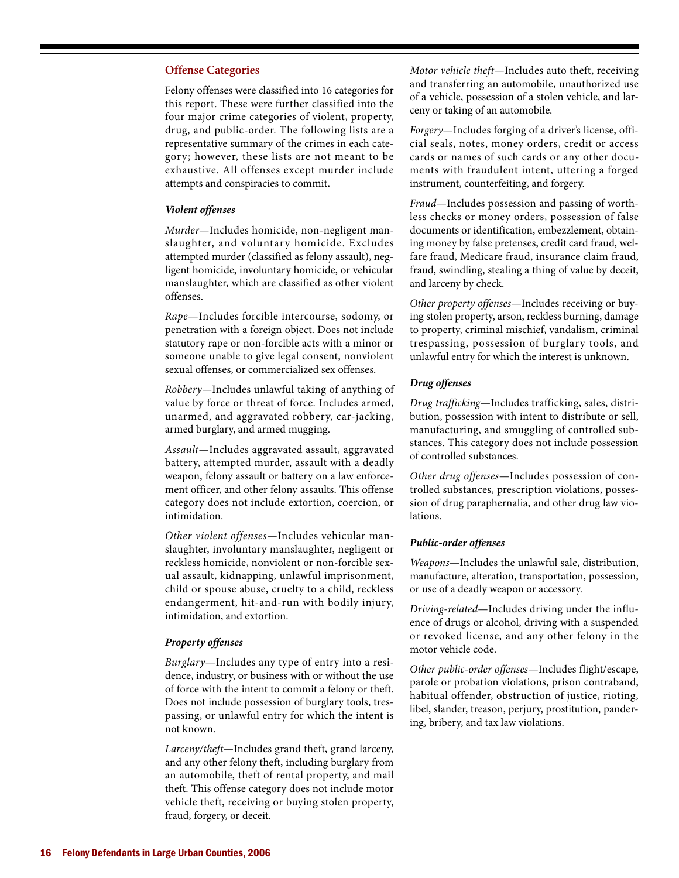#### **Offense Categories**

Felony offenses were classified into 16 categories for this report. These were further classified into the four major crime categories of violent, property, drug, and public-order. The following lists are a representative summary of the crimes in each category; however, these lists are not meant to be exhaustive. All offenses except murder include attempts and conspiracies to commit**.**

#### *Violent offenses*

*Murder*—Includes homicide, non-negligent manslaughter, and voluntary homicide. Excludes attempted murder (classified as felony assault), negligent homicide, involuntary homicide, or vehicular manslaughter, which are classified as other violent offenses.

*Rape*—Includes forcible intercourse, sodomy, or penetration with a foreign object. Does not include statutory rape or non-forcible acts with a minor or someone unable to give legal consent, nonviolent sexual offenses, or commercialized sex offenses.

*Robbery—*Includes unlawful taking of anything of value by force or threat of force. Includes armed, unarmed, and aggravated robbery, car-jacking, armed burglary, and armed mugging.

*Assault*—Includes aggravated assault, aggravated battery, attempted murder, assault with a deadly weapon, felony assault or battery on a law enforcement officer, and other felony assaults. This offense category does not include extortion, coercion, or intimidation.

*Other violent offenses*—Includes vehicular manslaughter, involuntary manslaughter, negligent or reckless homicide, nonviolent or non-forcible sexual assault, kidnapping, unlawful imprisonment, child or spouse abuse, cruelty to a child, reckless endangerment, hit-and-run with bodily injury, intimidation, and extortion.

#### *Property offenses*

*Burglary*—Includes any type of entry into a residence, industry, or business with or without the use of force with the intent to commit a felony or theft. Does not include possession of burglary tools, trespassing, or unlawful entry for which the intent is not known.

*Larceny/theft*—Includes grand theft, grand larceny, and any other felony theft, including burglary from an automobile, theft of rental property, and mail theft. This offense category does not include motor vehicle theft, receiving or buying stolen property, fraud, forgery, or deceit.

*Motor vehicle theft*—Includes auto theft, receiving and transferring an automobile, unauthorized use of a vehicle, possession of a stolen vehicle, and larceny or taking of an automobile.

*Forgery*—Includes forging of a driver's license, official seals, notes, money orders, credit or access cards or names of such cards or any other documents with fraudulent intent, uttering a forged instrument, counterfeiting, and forgery.

*Fraud*—Includes possession and passing of worthless checks or money orders, possession of false documents or identification, embezzlement, obtaining money by false pretenses, credit card fraud, welfare fraud, Medicare fraud, insurance claim fraud, fraud, swindling, stealing a thing of value by deceit, and larceny by check.

*Other property offenses*—Includes receiving or buying stolen property, arson, reckless burning, damage to property, criminal mischief, vandalism, criminal trespassing, possession of burglary tools, and unlawful entry for which the interest is unknown.

#### *Drug offenses*

*Drug trafficking*—Includes trafficking, sales, distribution, possession with intent to distribute or sell, manufacturing, and smuggling of controlled substances. This category does not include possession of controlled substances.

*Other drug offenses*—Includes possession of controlled substances, prescription violations, possession of drug paraphernalia, and other drug law violations.

#### *Public-order offenses*

*Weapons*—Includes the unlawful sale, distribution, manufacture, alteration, transportation, possession, or use of a deadly weapon or accessory.

*Driving-related*—Includes driving under the influence of drugs or alcohol, driving with a suspended or revoked license, and any other felony in the motor vehicle code.

*Other public-order offenses*—Includes flight/escape, parole or probation violations, prison contraband, habitual offender, obstruction of justice, rioting, libel, slander, treason, perjury, prostitution, pandering, bribery, and tax law violations.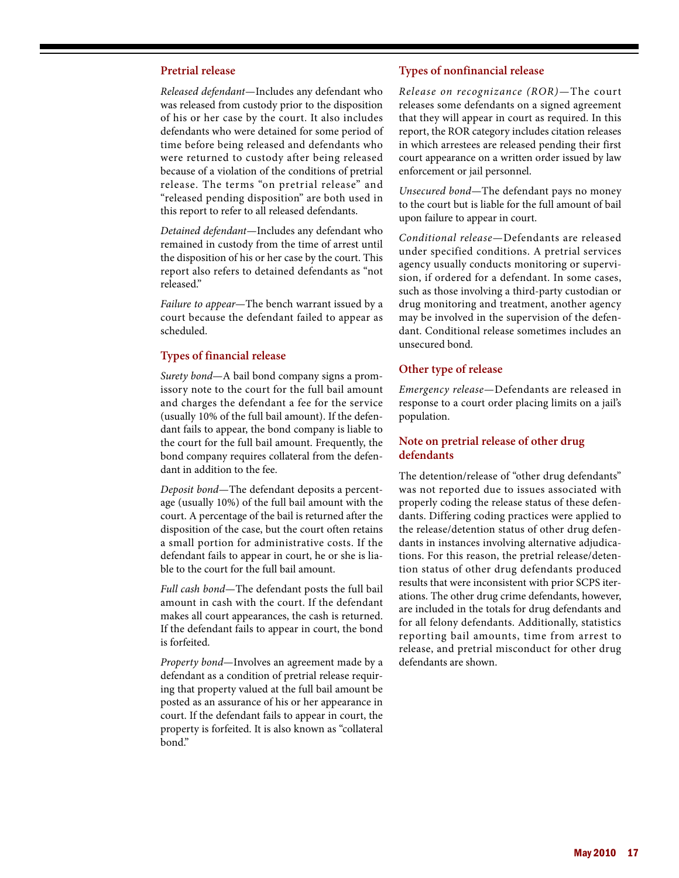### **Pretrial release**

*Released defendant*—Includes any defendant who was released from custody prior to the disposition of his or her case by the court. It also includes defendants who were detained for some period of time before being released and defendants who were returned to custody after being released because of a violation of the conditions of pretrial release. The terms "on pretrial release" and "released pending disposition" are both used in this report to refer to all released defendants.

*Detained defendant*—Includes any defendant who remained in custody from the time of arrest until the disposition of his or her case by the court. This report also refers to detained defendants as "not released"

*Failure to appear*—The bench warrant issued by a court because the defendant failed to appear as scheduled.

#### **Types of financial release**

*Surety bond*—A bail bond company signs a promissory note to the court for the full bail amount and charges the defendant a fee for the service (usually 10% of the full bail amount). If the defendant fails to appear, the bond company is liable to the court for the full bail amount. Frequently, the bond company requires collateral from the defendant in addition to the fee.

*Deposit bond*—The defendant deposits a percentage (usually 10%) of the full bail amount with the court. A percentage of the bail is returned after the disposition of the case, but the court often retains a small portion for administrative costs. If the defendant fails to appear in court, he or she is liable to the court for the full bail amount.

*Full cash bond*—The defendant posts the full bail amount in cash with the court. If the defendant makes all court appearances, the cash is returned. If the defendant fails to appear in court, the bond is forfeited.

*Property bond*—Involves an agreement made by a defendant as a condition of pretrial release requiring that property valued at the full bail amount be posted as an assurance of his or her appearance in court. If the defendant fails to appear in court, the property is forfeited. It is also known as "collateral bond."

### **Types of nonfinancial release**

*Release on recognizance (ROR)*—The court releases some defendants on a signed agreement that they will appear in court as required. In this report, the ROR category includes citation releases in which arrestees are released pending their first court appearance on a written order issued by law enforcement or jail personnel.

*Unsecured bond*—The defendant pays no money to the court but is liable for the full amount of bail upon failure to appear in court.

*Conditional release*—Defendants are released under specified conditions. A pretrial services agency usually conducts monitoring or supervision, if ordered for a defendant. In some cases, such as those involving a third-party custodian or drug monitoring and treatment, another agency may be involved in the supervision of the defendant. Conditional release sometimes includes an unsecured bond.

#### **Other type of release**

*Emergency release*—Defendants are released in response to a court order placing limits on a jail's population.

### **Note on pretrial release of other drug defendants**

The detention/release of "other drug defendants" was not reported due to issues associated with properly coding the release status of these defendants. Differing coding practices were applied to the release/detention status of other drug defendants in instances involving alternative adjudications. For this reason, the pretrial release/detention status of other drug defendants produced results that were inconsistent with prior SCPS iterations. The other drug crime defendants, however, are included in the totals for drug defendants and for all felony defendants. Additionally, statistics reporting bail amounts, time from arrest to release, and pretrial misconduct for other drug defendants are shown.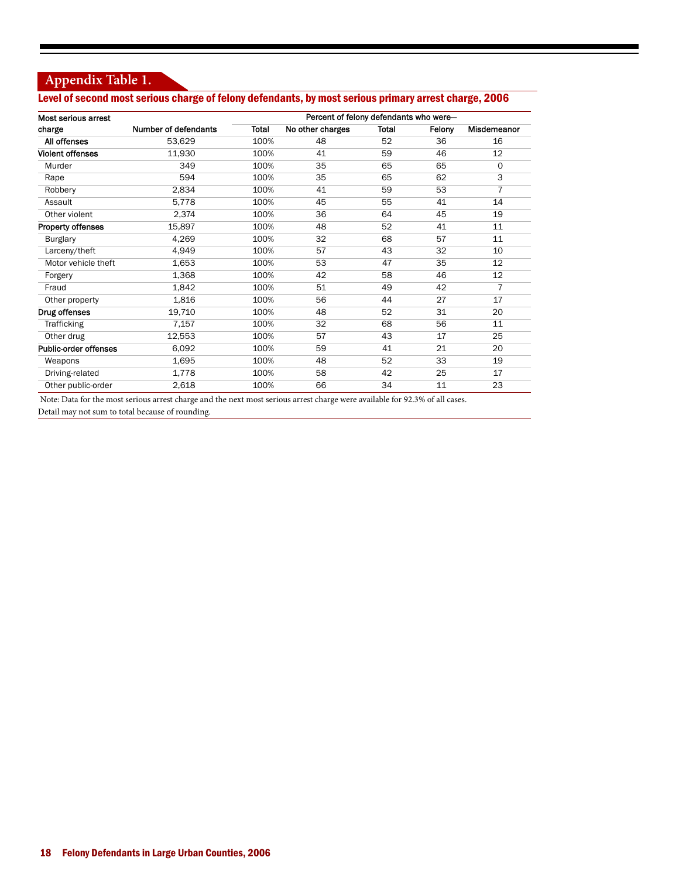## **Appendix Table 1.**

## Level of second most serious charge of felony defendants, by most serious primary arrest charge, 2006

| Most serious arrest      |                             | Percent of felony defendants who were- |                  |       |        |                |  |  |  |
|--------------------------|-----------------------------|----------------------------------------|------------------|-------|--------|----------------|--|--|--|
| charge                   | <b>Number of defendants</b> | Total                                  | No other charges | Total | Felony | Misdemeanor    |  |  |  |
| All offenses             | 53,629                      | 100%                                   | 48               | 52    | 36     | 16             |  |  |  |
| <b>Violent offenses</b>  | 11,930                      | 100%                                   | 41               | 59    | 46     | 12             |  |  |  |
| Murder                   | 349                         | 100%                                   | 35               | 65    | 65     | $\mathbf 0$    |  |  |  |
| Rape                     | 594                         | 100%                                   | 35               | 65    | 62     | 3              |  |  |  |
| Robbery                  | 2,834                       | 100%                                   | 41               | 59    | 53     | $\overline{7}$ |  |  |  |
| Assault                  | 5,778                       | 100%                                   | 45               | 55    | 41     | 14             |  |  |  |
| Other violent            | 2,374                       | 100%                                   | 36               | 64    | 45     | 19             |  |  |  |
| <b>Property offenses</b> | 15,897                      | 100%                                   | 48               | 52    | 41     | 11             |  |  |  |
| <b>Burglary</b>          | 4,269                       | 100%                                   | 32               | 68    | 57     | 11             |  |  |  |
| Larceny/theft            | 4,949                       | 100%                                   | 57               | 43    | 32     | 10             |  |  |  |
| Motor vehicle theft      | 1,653                       | 100%                                   | 53               | 47    | 35     | 12             |  |  |  |
| Forgery                  | 1,368                       | 100%                                   | 42               | 58    | 46     | 12             |  |  |  |
| Fraud                    | 1,842                       | 100%                                   | 51               | 49    | 42     | 7              |  |  |  |
| Other property           | 1,816                       | 100%                                   | 56               | 44    | 27     | 17             |  |  |  |
| Drug offenses            | 19,710                      | 100%                                   | 48               | 52    | 31     | 20             |  |  |  |
| Trafficking              | 7,157                       | 100%                                   | 32               | 68    | 56     | 11             |  |  |  |
| Other drug               | 12,553                      | 100%                                   | 57               | 43    | 17     | 25             |  |  |  |
| Public-order offenses    | 6,092                       | 100%                                   | 59               | 41    | 21     | 20             |  |  |  |
| Weapons                  | 1,695                       | 100%                                   | 48               | 52    | 33     | 19             |  |  |  |
| Driving-related          | 1,778                       | 100%                                   | 58               | 42    | 25     | 17             |  |  |  |
| Other public-order       | 2,618                       | 100%                                   | 66               | 34    | 11     | 23             |  |  |  |

Note: Data for the most serious arrest charge and the next most serious arrest charge were available for 92.3% of all cases.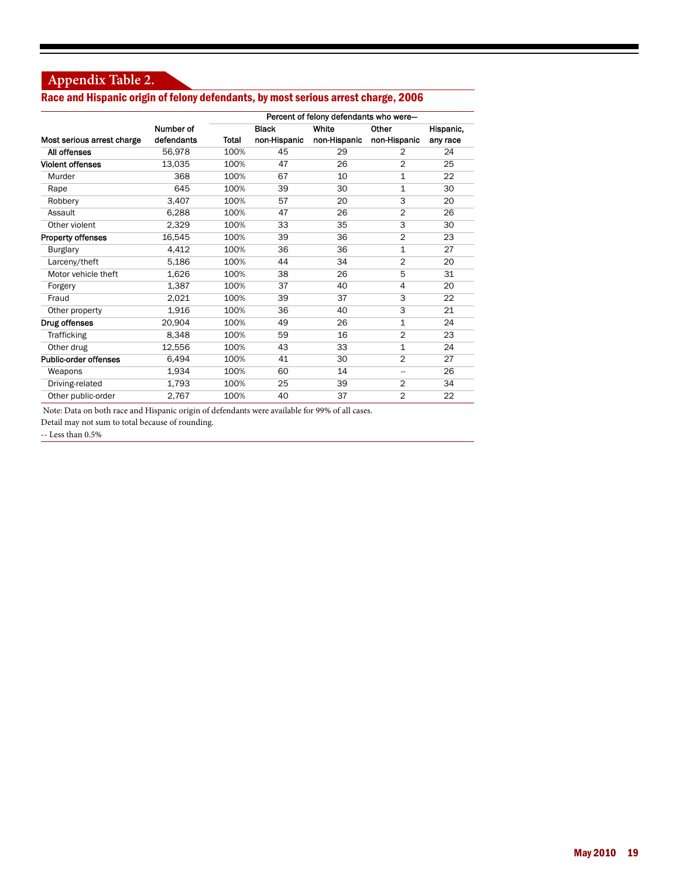## **Appendix Table 2.**

## Race and Hispanic origin of felony defendants, by most serious arrest charge, 2006

|                              |            |       |              | Percent of felony defendants who were- |                |           |
|------------------------------|------------|-------|--------------|----------------------------------------|----------------|-----------|
|                              | Number of  |       | <b>Black</b> | White                                  | Other          | Hispanic, |
| Most serious arrest charge   | defendants | Total | non-Hispanic | non-Hispanic                           | non-Hispanic   | any race  |
| All offenses                 | 56,978     | 100%  | 45           | 29                                     | $\overline{2}$ | 24        |
| <b>Violent offenses</b>      | 13,035     | 100%  | 47           | 26                                     | $\overline{2}$ | 25        |
| Murder                       | 368        | 100%  | 67           | 10                                     | 1              | 22        |
| Rape                         | 645        | 100%  | 39           | 30                                     | 1              | 30        |
| Robbery                      | 3,407      | 100%  | 57           | 20                                     | 3              | 20        |
| Assault                      | 6,288      | 100%  | 47           | 26                                     | $\overline{2}$ | 26        |
| Other violent                | 2,329      | 100%  | 33           | 35                                     | 3              | 30        |
| <b>Property offenses</b>     | 16,545     | 100%  | 39           | 36                                     | $\overline{2}$ | 23        |
| <b>Burglary</b>              | 4,412      | 100%  | 36           | 36                                     | $\mathbf{1}$   | 27        |
| Larceny/theft                | 5,186      | 100%  | 44           | 34                                     | $\overline{2}$ | 20        |
| Motor vehicle theft          | 1,626      | 100%  | 38           | 26                                     | 5              | 31        |
| Forgery                      | 1,387      | 100%  | 37           | 40                                     | 4              | 20        |
| Fraud                        | 2,021      | 100%  | 39           | 37                                     | 3              | 22        |
| Other property               | 1,916      | 100%  | 36           | 40                                     | 3              | 21        |
| Drug offenses                | 20,904     | 100%  | 49           | 26                                     | 1              | 24        |
| Trafficking                  | 8,348      | 100%  | 59           | 16                                     | $\overline{2}$ | 23        |
| Other drug                   | 12,556     | 100%  | 43           | 33                                     | 1              | 24        |
| <b>Public-order offenses</b> | 6,494      | 100%  | 41           | 30                                     | $\overline{2}$ | 27        |
| Weapons                      | 1,934      | 100%  | 60           | 14                                     | --             | 26        |
| Driving-related              | 1,793      | 100%  | 25           | 39                                     | $\overline{2}$ | 34        |
| Other public-order           | 2,767      | 100%  | 40           | 37                                     | $\overline{2}$ | 22        |

Note: Data on both race and Hispanic origin of defendants were available for 99% of all cases.

Detail may not sum to total because of rounding.

-- Less than 0.5%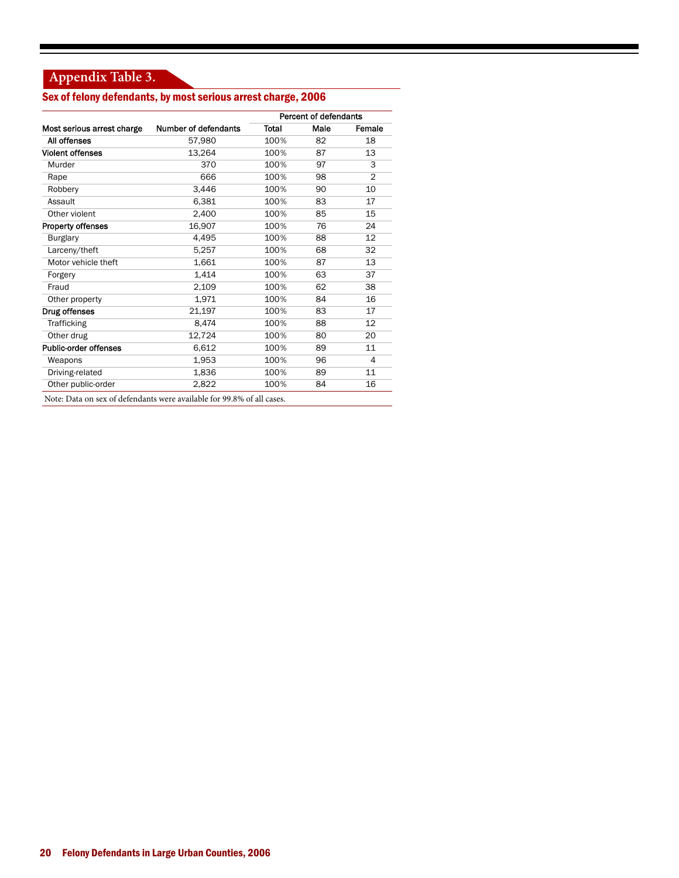## **Appendix Table 3.**

## Sex of felony defendants, by most serious arrest charge, 2006

| <b>Number of defendants</b> | Total | Male                                                                   | Female         |
|-----------------------------|-------|------------------------------------------------------------------------|----------------|
| 57,980                      | 100%  | 82                                                                     | 18             |
| 13,264                      | 100%  | 87                                                                     | 13             |
| 370                         | 100%  | 97                                                                     | 3              |
| 666                         | 100%  | 98                                                                     | $\overline{2}$ |
| 3,446                       | 100%  | 90                                                                     | 10             |
| 6,381                       | 100%  | 83                                                                     | 17             |
| 2,400                       | 100%  | 85                                                                     | 15             |
| 16,907                      | 100%  | 76                                                                     | 24             |
| 4,495                       | 100%  | 88                                                                     | 12             |
| 5,257                       | 100%  | 68                                                                     | 32             |
| 1,661                       | 100%  | 87                                                                     | 13             |
| 1,414                       | 100%  | 63                                                                     | 37             |
| 2,109                       | 100%  | 62                                                                     | 38             |
| 1,971                       | 100%  | 84                                                                     | 16             |
| 21,197                      | 100%  | 83                                                                     | 17             |
| 8,474                       | 100%  | 88                                                                     | 12             |
| 12,724                      | 100%  | 80                                                                     | 20             |
| 6,612                       | 100%  | 89                                                                     | 11             |
| 1,953                       | 100%  | 96                                                                     | 4              |
| 1,836                       | 100%  | 89                                                                     | 11             |
| 2,822                       | 100%  | 84                                                                     | 16             |
|                             |       | Note: Data on sex of defendants were available for 99.8% of all cases. |                |

20 Felony Defendants in Large Urban Counties, 2006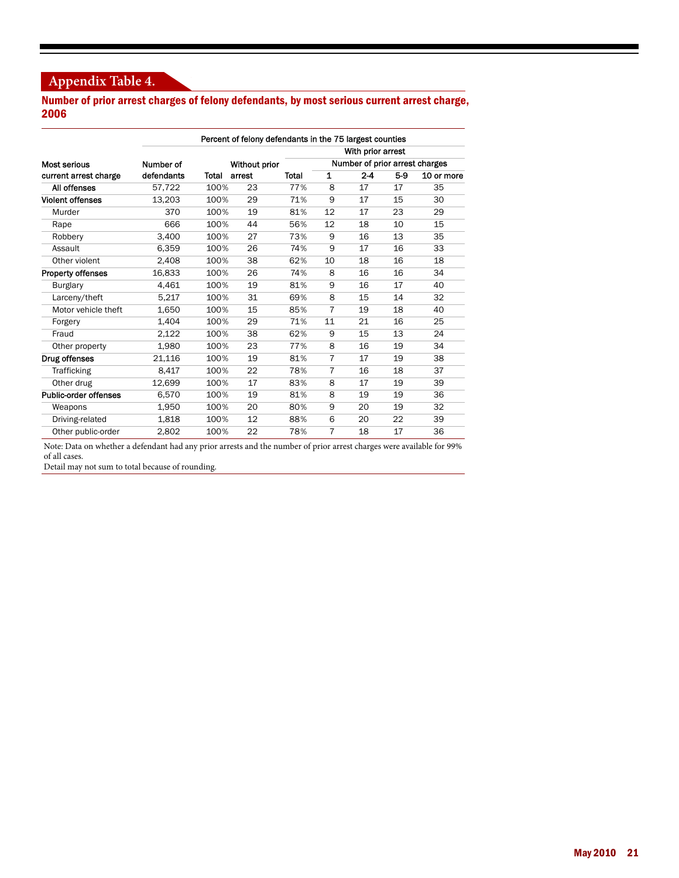## **Appendix Table 4.**

Number of prior arrest charges of felony defendants, by most serious current arrest charge, 2006

|                          | Percent of felony defendants in the 75 largest counties |       |               |              |              |                   |       |                                |  |  |
|--------------------------|---------------------------------------------------------|-------|---------------|--------------|--------------|-------------------|-------|--------------------------------|--|--|
|                          |                                                         |       |               |              |              | With prior arrest |       |                                |  |  |
| <b>Most serious</b>      | Number of                                               |       | Without prior |              |              |                   |       | Number of prior arrest charges |  |  |
| current arrest charge    | defendants                                              | Total | arrest        | <b>Total</b> | $\mathbf{1}$ | $2-4$             | $5-9$ | 10 or more                     |  |  |
| All offenses             | 57.722                                                  | 100%  | 23            | 77%          | 8            | 17                | 17    | 35                             |  |  |
| <b>Violent offenses</b>  | 13,203                                                  | 100%  | 29            | 71%          | 9            | 17                | 15    | 30                             |  |  |
| Murder                   | 370                                                     | 100%  | 19            | 81%          | 12           | 17                | 23    | 29                             |  |  |
| Rape                     | 666                                                     | 100%  | 44            | 56%          | 12           | 18                | 10    | 15                             |  |  |
| Robbery                  | 3,400                                                   | 100%  | 27            | 73%          | 9            | 16                | 13    | 35                             |  |  |
| Assault                  | 6,359                                                   | 100%  | 26            | 74%          | 9            | 17                | 16    | 33                             |  |  |
| Other violent            | 2.408                                                   | 100%  | 38            | 62%          | 10           | 18                | 16    | 18                             |  |  |
| <b>Property offenses</b> | 16,833                                                  | 100%  | 26            | 74%          | 8            | 16                | 16    | 34                             |  |  |
| <b>Burglary</b>          | 4,461                                                   | 100%  | 19            | 81%          | 9            | 16                | 17    | 40                             |  |  |
| Larceny/theft            | 5,217                                                   | 100%  | 31            | 69%          | 8            | 15                | 14    | 32                             |  |  |
| Motor vehicle theft      | 1,650                                                   | 100%  | 15            | 85%          | 7            | 19                | 18    | 40                             |  |  |
| Forgery                  | 1.404                                                   | 100%  | 29            | 71%          | 11           | 21                | 16    | 25                             |  |  |
| Fraud                    | 2.122                                                   | 100%  | 38            | 62%          | 9            | 15                | 13    | 24                             |  |  |
| Other property           | 1,980                                                   | 100%  | 23            | 77%          | 8            | 16                | 19    | 34                             |  |  |
| Drug offenses            | 21,116                                                  | 100%  | 19            | 81%          | 7            | 17                | 19    | 38                             |  |  |
| Trafficking              | 8.417                                                   | 100%  | 22            | 78%          | 7            | 16                | 18    | 37                             |  |  |
| Other drug               | 12.699                                                  | 100%  | 17            | 83%          | 8            | 17                | 19    | 39                             |  |  |
| Public-order offenses    | 6.570                                                   | 100%  | 19            | 81%          | 8            | 19                | 19    | 36                             |  |  |
| Weapons                  | 1,950                                                   | 100%  | 20            | 80%          | 9            | 20                | 19    | 32                             |  |  |
| Driving-related          | 1.818                                                   | 100%  | 12            | 88%          | 6            | 20                | 22    | 39                             |  |  |
| Other public-order       | 2,802                                                   | 100%  | 22            | 78%          | 7            | 18                | 17    | 36                             |  |  |

Note: Data on whether a defendant had any prior arrests and the number of prior arrest charges were available for 99% of all cases.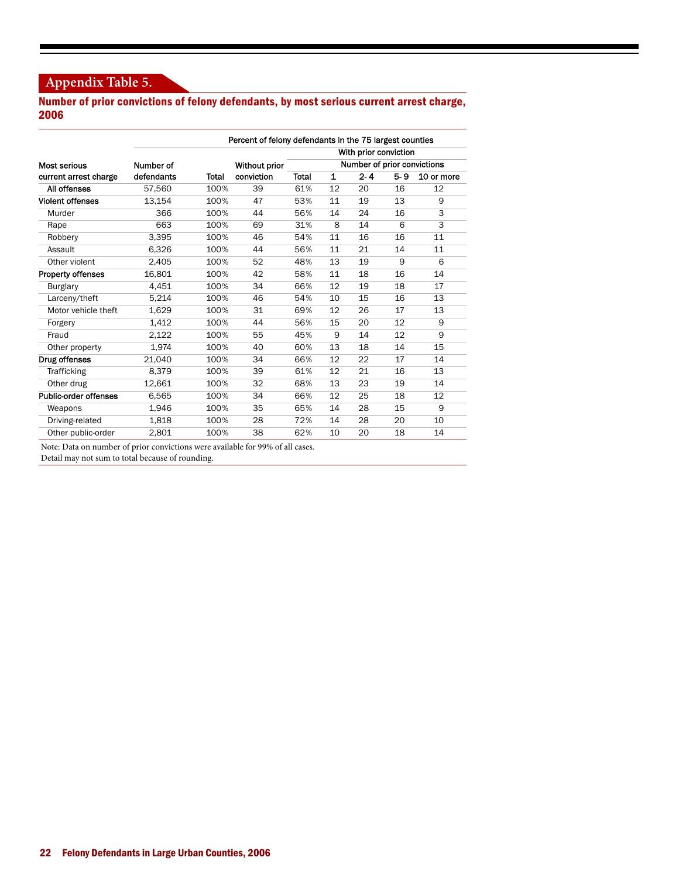## **Appendix Table 5.**

Number of prior convictions of felony defendants, by most serious current arrest charge, 2006

|                         | Percent of felony defendants in the 75 largest counties |       |               |       |                             |                       |         |            |  |  |
|-------------------------|---------------------------------------------------------|-------|---------------|-------|-----------------------------|-----------------------|---------|------------|--|--|
|                         |                                                         |       |               |       |                             | With prior conviction |         |            |  |  |
| Most serious            | Number of                                               |       | Without prior |       | Number of prior convictions |                       |         |            |  |  |
| current arrest charge   | defendants                                              | Total | conviction    | Total | 1                           | $2 - 4$               | $5 - 9$ | 10 or more |  |  |
| All offenses            | 57,560                                                  | 100%  | 39            | 61%   | 12                          | 20                    | 16      | 12         |  |  |
| <b>Violent offenses</b> | 13,154                                                  | 100%  | 47            | 53%   | 11                          | 19                    | 13      | 9          |  |  |
| Murder                  | 366                                                     | 100%  | 44            | 56%   | 14                          | 24                    | 16      | 3          |  |  |
| Rape                    | 663                                                     | 100%  | 69            | 31%   | 8                           | 14                    | 6       | 3          |  |  |
| Robbery                 | 3,395                                                   | 100%  | 46            | 54%   | 11                          | 16                    | 16      | 11         |  |  |
| Assault                 | 6,326                                                   | 100%  | 44            | 56%   | 11                          | 21                    | 14      | 11         |  |  |
| Other violent           | 2,405                                                   | 100%  | 52            | 48%   | 13                          | 19                    | 9       | 6          |  |  |
| Property offenses       | 16,801                                                  | 100%  | 42            | 58%   | 11                          | 18                    | 16      | 14         |  |  |
| <b>Burglary</b>         | 4,451                                                   | 100%  | 34            | 66%   | 12                          | 19                    | 18      | 17         |  |  |
| Larceny/theft           | 5,214                                                   | 100%  | 46            | 54%   | 10                          | 15                    | 16      | 13         |  |  |
| Motor vehicle theft     | 1,629                                                   | 100%  | 31            | 69%   | 12                          | 26                    | 17      | 13         |  |  |
| Forgery                 | 1,412                                                   | 100%  | 44            | 56%   | 15                          | 20                    | 12      | 9          |  |  |
| Fraud                   | 2,122                                                   | 100%  | 55            | 45%   | 9                           | 14                    | 12      | 9          |  |  |
| Other property          | 1.974                                                   | 100%  | 40            | 60%   | 13                          | 18                    | 14      | 15         |  |  |
| Drug offenses           | 21.040                                                  | 100%  | 34            | 66%   | 12                          | 22                    | 17      | 14         |  |  |
| Trafficking             | 8,379                                                   | 100%  | 39            | 61%   | 12                          | 21                    | 16      | 13         |  |  |
| Other drug              | 12,661                                                  | 100%  | 32            | 68%   | 13                          | 23                    | 19      | 14         |  |  |
| Public-order offenses   | 6.565                                                   | 100%  | 34            | 66%   | 12                          | 25                    | 18      | 12         |  |  |
| Weapons                 | 1.946                                                   | 100%  | 35            | 65%   | 14                          | 28                    | 15      | 9          |  |  |
| Driving-related         | 1,818                                                   | 100%  | 28            | 72%   | 14                          | 28                    | 20      | 10         |  |  |
| Other public-order      | 2,801                                                   | 100%  | 38            | 62%   | 10                          | 20                    | 18      | 14         |  |  |

Note: Data on number of prior convictions were available for 99% of all cases.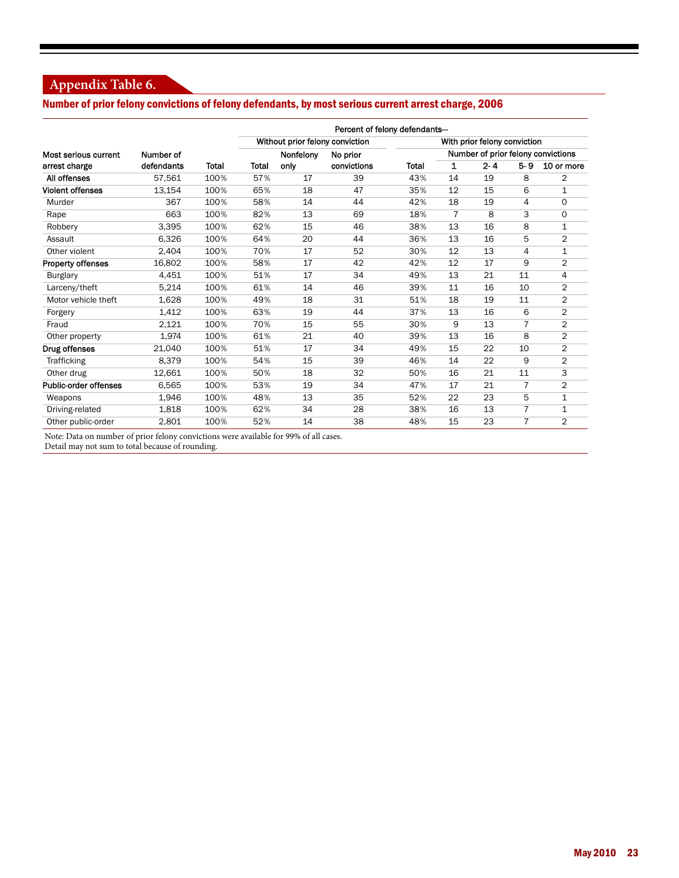## **Appendix Table 6.**

## Number of prior felony convictions of felony defendants, by most serious current arrest charge, 2006

|            |       | Percent of felony defendants- |           |                              |                                 |                                    |         |                |                |
|------------|-------|-------------------------------|-----------|------------------------------|---------------------------------|------------------------------------|---------|----------------|----------------|
|            |       |                               |           | With prior felony conviction |                                 |                                    |         |                |                |
| Number of  |       |                               | Nonfelony | No prior                     |                                 | Number of prior felony convictions |         |                |                |
| defendants | Total | Total                         | only      | convictions                  | Total                           | 1                                  | $2 - 4$ | $5 - 9$        | 10 or more     |
| 57,561     | 100%  | 57%                           | 17        | 39                           | 43%                             | 14                                 | 19      | 8              | 2              |
| 13,154     | 100%  | 65%                           | 18        | 47                           | 35%                             | 12                                 | 15      | 6              | 1              |
| 367        | 100%  | 58%                           | 14        | 44                           | 42%                             | 18                                 | 19      | 4              | $\Omega$       |
| 663        | 100%  | 82%                           | 13        | 69                           | 18%                             | 7                                  | 8       | 3              | $\Omega$       |
| 3,395      | 100%  | 62%                           | 15        | 46                           | 38%                             | 13                                 | 16      | 8              | 1              |
| 6,326      | 100%  | 64%                           | 20        | 44                           | 36%                             | 13                                 | 16      | 5              | $\overline{2}$ |
| 2,404      | 100%  | 70%                           | 17        | 52                           | 30%                             | 12                                 | 13      | 4              | 1              |
| 16,802     | 100%  | 58%                           | 17        | 42                           | 42%                             | 12                                 | 17      | 9              | $\overline{2}$ |
| 4.451      | 100%  | 51%                           | 17        | 34                           | 49%                             | 13                                 | 21      | 11             | 4              |
| 5,214      | 100%  | 61%                           | 14        | 46                           | 39%                             | 11                                 | 16      | 10             | $\overline{2}$ |
| 1,628      | 100%  | 49%                           | 18        | 31                           | 51%                             | 18                                 | 19      | 11             | $\overline{2}$ |
| 1,412      | 100%  | 63%                           | 19        | 44                           | 37%                             | 13                                 | 16      | 6              | 2              |
| 2,121      | 100%  | 70%                           | 15        | 55                           | 30%                             | 9                                  | 13      | $\overline{7}$ | $\overline{2}$ |
| 1,974      | 100%  | 61%                           | 21        | 40                           | 39%                             | 13                                 | 16      | 8              | $\overline{2}$ |
| 21,040     | 100%  | 51%                           | 17        | 34                           | 49%                             | 15                                 | 22      | 10             | $\overline{2}$ |
| 8.379      | 100%  | 54%                           | 15        | 39                           | 46%                             | 14                                 | 22      | 9              | $\overline{2}$ |
| 12,661     | 100%  | 50%                           | 18        | 32                           | 50%                             | 16                                 | 21      | 11             | 3              |
| 6,565      | 100%  | 53%                           | 19        | 34                           | 47%                             | 17                                 | 21      | $\overline{7}$ | $\overline{2}$ |
| 1,946      | 100%  | 48%                           | 13        | 35                           | 52%                             | 22                                 | 23      | 5              | 1              |
| 1,818      | 100%  | 62%                           | 34        | 28                           | 38%                             | 16                                 | 13      | $\overline{7}$ | $\mathbf{1}$   |
| 2,801      | 100%  | 52%                           | 14        | 38                           | 48%                             | 15                                 | 23      | $\overline{7}$ | $\overline{2}$ |
|            |       |                               |           |                              | Without prior felony conviction |                                    |         |                |                |

Note: Data on number of prior felony convictions were available for 99% of all cases.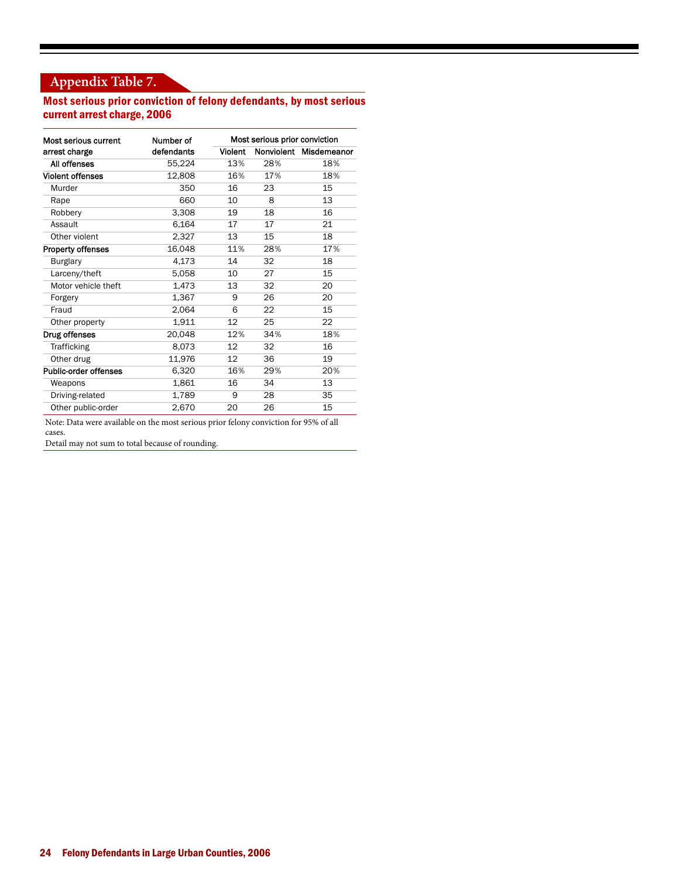## **Appendix Table 7.**

## Most serious prior conviction of felony defendants, by most serious current arrest charge, 2006

| Most serious current     | Number of  |                | Most serious prior conviction |                        |  |  |  |
|--------------------------|------------|----------------|-------------------------------|------------------------|--|--|--|
| arrest charge            | defendants | <b>Violent</b> |                               | Nonviolent Misdemeanor |  |  |  |
| All offenses             | 55,224     | 13%            | 28%                           | 18%                    |  |  |  |
| <b>Violent offenses</b>  | 12,808     | 16%            | 17%                           | 18%                    |  |  |  |
| Murder                   | 350        | 16             | 23                            | 15                     |  |  |  |
| Rape                     | 660        | 10             | 8                             | 13                     |  |  |  |
| Robbery                  | 3,308      | 19             | 18                            | 16                     |  |  |  |
| Assault                  | 6.164      | 17             | 17                            | 21                     |  |  |  |
| Other violent            | 2,327      | 13             | 15                            | 18                     |  |  |  |
| <b>Property offenses</b> | 16,048     | 11%            | 28%                           | 17%                    |  |  |  |
| <b>Burglary</b>          | 4,173      | 14             | 32                            | 18                     |  |  |  |
| Larceny/theft            | 5,058      | 10             | 27                            | 15                     |  |  |  |
| Motor vehicle theft      | 1,473      | 13             | 32                            | 20                     |  |  |  |
| Forgery                  | 1,367      | 9              | 26                            | 20                     |  |  |  |
| Fraud                    | 2,064      | 6              | 22                            | 15                     |  |  |  |
| Other property           | 1,911      | 12             | 25                            | 22                     |  |  |  |
| Drug offenses            | 20,048     | 12%            | 34%                           | 18%                    |  |  |  |
| Trafficking              | 8,073      | 12             | 32                            | 16                     |  |  |  |
| Other drug               | 11,976     | 12             | 36                            | 19                     |  |  |  |
| Public-order offenses    | 6,320      | 16%            | 29%                           | 20%                    |  |  |  |
| Weapons                  | 1,861      | 16             | 34                            | 13                     |  |  |  |
| Driving-related          | 1,789      | 9              | 28                            | 35                     |  |  |  |
| Other public-order       | 2,670      | 20             | 26                            | 15                     |  |  |  |

Note: Data were available on the most serious prior felony conviction for 95% of all cases.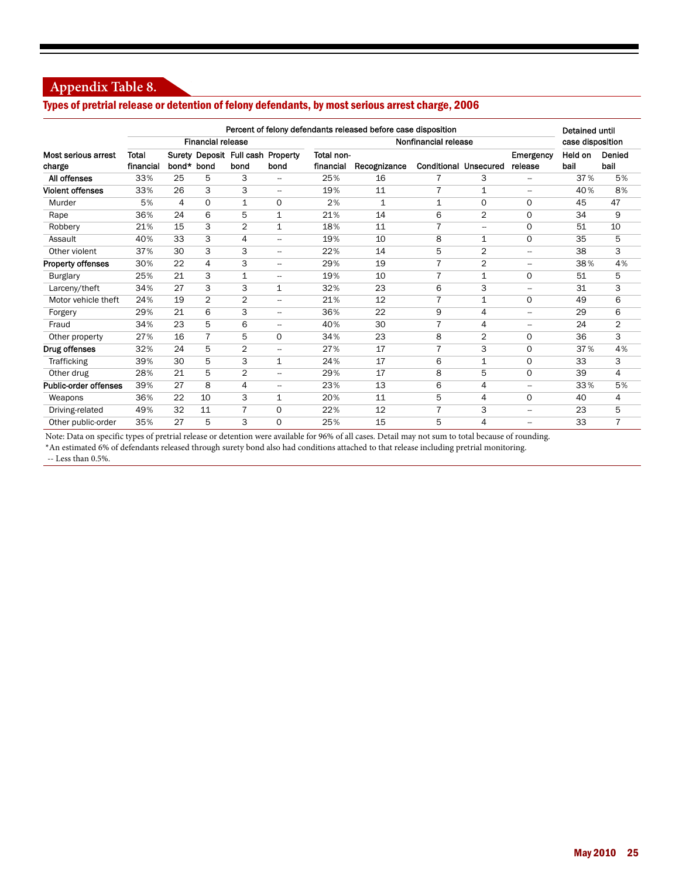## **Appendix Table 8.**

## Types of pretrial release or detention of felony defendants, by most serious arrest charge, 2006

|                                      |                    |            |                          |                                           |                          |                         | Percent of felony defendants released before case disposition |                              |                          |                             | <b>Detained until</b> |                  |  |
|--------------------------------------|--------------------|------------|--------------------------|-------------------------------------------|--------------------------|-------------------------|---------------------------------------------------------------|------------------------------|--------------------------|-----------------------------|-----------------------|------------------|--|
|                                      |                    |            | <b>Financial release</b> |                                           |                          |                         | Nonfinancial release                                          |                              |                          |                             |                       | case disposition |  |
| <b>Most serious arrest</b><br>charge | Total<br>financial | bond* bond |                          | Surety Deposit Full cash Property<br>bond | bond                     | Total non-<br>financial | Recognizance                                                  | <b>Conditional Unsecured</b> |                          | <b>Emergency</b><br>release | Held on<br>bail       | Denied<br>bail   |  |
| All offenses                         | 33%                | 25         | 5                        | 3                                         | $\overline{\phantom{a}}$ | 25%                     | 16                                                            |                              | 3                        | $\overline{\phantom{a}}$    | 37%                   | 5%               |  |
| <b>Violent offenses</b>              | 33%                | 26         | 3                        | 3                                         | $\overline{\phantom{a}}$ | 19%                     | 11                                                            | $\overline{7}$               | $\mathbf{1}$             | $\overline{\phantom{a}}$    | 40%                   | 8%               |  |
| Murder                               | 5%                 | 4          | $\Omega$                 | $\mathbf{1}$                              | $\Omega$                 | 2%                      | $\mathbf{1}$                                                  | $\mathbf{1}$                 | 0                        | $\Omega$                    | 45                    | 47               |  |
| Rape                                 | 36%                | 24         | 6                        | 5                                         | $\mathbf{1}$             | 21%                     | 14                                                            | 6                            | $\overline{2}$           | $\Omega$                    | 34                    | 9                |  |
| Robbery                              | 21%                | 15         | 3                        | $\overline{2}$                            | $\mathbf{1}$             | 18%                     | 11                                                            | $\overline{7}$               | $\overline{\phantom{a}}$ | 0                           | 51                    | 10               |  |
| Assault                              | 40%                | 33         | 3                        | 4                                         | ÷.                       | 19%                     | 10                                                            | 8                            | 1                        | 0                           | 35                    | 5                |  |
| Other violent                        | 37%                | 30         | 3                        | 3                                         | $\overline{\phantom{a}}$ | 22%                     | 14                                                            | 5                            | $\overline{2}$           | $\overline{\phantom{a}}$    | 38                    | 3                |  |
| Property offenses                    | 30%                | 22         | 4                        | 3                                         | $\overline{\phantom{a}}$ | 29%                     | 19                                                            | $\overline{7}$               | $\overline{2}$           | $\overline{\phantom{a}}$    | 38%                   | 4%               |  |
| <b>Burglary</b>                      | 25%                | 21         | 3                        | $\mathbf{1}$                              | --                       | 19%                     | 10                                                            | $\overline{7}$               | $\mathbf{1}$             | $\mathbf 0$                 | 51                    | 5                |  |
| Larceny/theft                        | 34%                | 27         | 3                        | 3                                         | 1                        | 32%                     | 23                                                            | 6                            | 3                        | $\overline{\phantom{a}}$    | 31                    | 3                |  |
| Motor vehicle theft                  | 24%                | 19         | $\overline{2}$           | $\overline{2}$                            | $\overline{\phantom{a}}$ | 21%                     | 12                                                            | $\overline{7}$               | $\mathbf{1}$             | $\Omega$                    | 49                    | 6                |  |
| Forgery                              | 29%                | 21         | 6                        | 3                                         | $\overline{\phantom{a}}$ | 36%                     | 22                                                            | 9                            | 4                        | $\overline{\phantom{a}}$    | 29                    | 6                |  |
| Fraud                                | 34%                | 23         | 5                        | 6                                         | $\overline{\phantom{a}}$ | 40%                     | 30                                                            | $\overline{7}$               | 4                        | $\overline{\phantom{a}}$    | 24                    | 2                |  |
| Other property                       | 27%                | 16         | $\overline{7}$           | 5                                         | 0                        | 34%                     | 23                                                            | 8                            | $\overline{2}$           | 0                           | 36                    | 3                |  |
| Drug offenses                        | 32%                | 24         | 5                        | $\overline{2}$                            | $\overline{\phantom{a}}$ | 27%                     | 17                                                            | $\overline{7}$               | 3                        | $\Omega$                    | 37%                   | 4%               |  |
| Trafficking                          | 39%                | 30         | 5                        | 3                                         | 1                        | 24%                     | 17                                                            | 6                            | $\mathbf{1}$             | $\Omega$                    | 33                    | 3                |  |
| Other drug                           | 28%                | 21         | 5                        | $\overline{2}$                            | $\overline{\phantom{a}}$ | 29%                     | 17                                                            | 8                            | 5                        | $\mathbf 0$                 | 39                    | 4                |  |
| Public-order offenses                | 39%                | 27         | 8                        | 4                                         | --                       | 23%                     | 13                                                            | 6                            | 4                        | --                          | 33%                   | 5%               |  |
| Weapons                              | 36%                | 22         | 10                       | 3                                         | 1                        | 20%                     | 11                                                            | 5                            | 4                        | $\mathbf 0$                 | 40                    | 4                |  |
| Driving-related                      | 49%                | 32         | 11                       | $\overline{7}$                            | 0                        | 22%                     | 12                                                            | $\overline{7}$               | 3                        | $\overline{\phantom{a}}$    | 23                    | 5                |  |
| Other public-order                   | 35%                | 27         | 5                        | 3                                         | 0                        | 25%                     | 15                                                            | 5                            | 4                        |                             | 33                    | $\overline{7}$   |  |

Note: Data on specific types of pretrial release or detention were available for 96% of all cases. Detail may not sum to total because of rounding.

\*An estimated 6% of defendants released through surety bond also had conditions attached to that release including pretrial monitoring.

-- Less than 0.5%.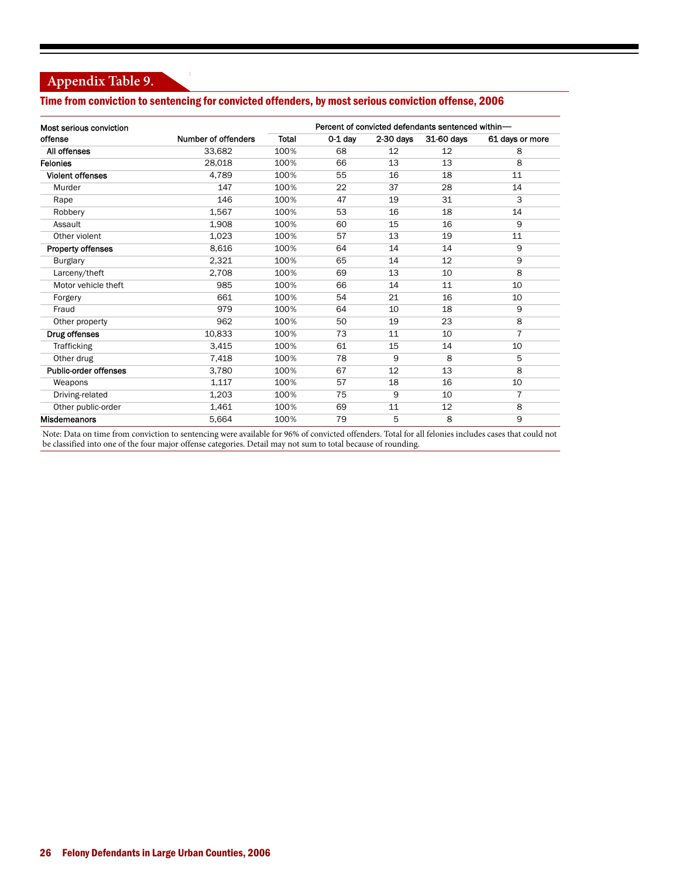## **Appendix Table 9.**

## Time from conviction to sentencing for convicted offenders, by most serious conviction offense, 2006

| Most serious conviction      |                     |              |           |             | Percent of convicted defendants sentenced within- |                 |
|------------------------------|---------------------|--------------|-----------|-------------|---------------------------------------------------|-----------------|
| offense                      | Number of offenders | <b>Total</b> | $0-1$ day | $2-30$ days | 31-60 days                                        | 61 days or more |
| All offenses                 | 33,682              | 100%         | 68        | 12          | 12                                                | 8               |
| <b>Felonies</b>              | 28.018              | 100%         | 66        | 13          | 13                                                | 8               |
| <b>Violent offenses</b>      | 4,789               | 100%         | 55        | 16          | 18                                                | 11              |
| Murder                       | 147                 | 100%         | 22        | 37          | 28                                                | 14              |
| Rape                         | 146                 | 100%         | 47        | 19          | 31                                                | 3               |
| Robbery                      | 1,567               | 100%         | 53        | 16          | 18                                                | 14              |
| Assault                      | 1,908               | 100%         | 60        | 15          | 16                                                | 9               |
| Other violent                | 1,023               | 100%         | 57        | 13          | 19                                                | 11              |
| Property offenses            | 8,616               | 100%         | 64        | 14          | 14                                                | 9               |
| <b>Burglary</b>              | 2,321               | 100%         | 65        | 14          | 12                                                | 9               |
| Larceny/theft                | 2,708               | 100%         | 69        | 13          | 10                                                | 8               |
| Motor vehicle theft          | 985                 | 100%         | 66        | 14          | 11                                                | 10              |
| Forgery                      | 661                 | 100%         | 54        | 21          | 16                                                | 10              |
| Fraud                        | 979                 | 100%         | 64        | 10          | 18                                                | 9               |
| Other property               | 962                 | 100%         | 50        | 19          | 23                                                | 8               |
| Drug offenses                | 10,833              | 100%         | 73        | 11          | 10                                                | $\overline{7}$  |
| Trafficking                  | 3.415               | 100%         | 61        | 15          | 14                                                | 10              |
| Other drug                   | 7,418               | 100%         | 78        | 9           | 8                                                 | 5               |
| <b>Public-order offenses</b> | 3,780               | 100%         | 67        | 12          | 13                                                | 8               |
| Weapons                      | 1,117               | 100%         | 57        | 18          | 16                                                | 10              |
| Driving-related              | 1,203               | 100%         | 75        | 9           | 10                                                | $\overline{7}$  |
| Other public-order           | 1,461               | 100%         | 69        | 11          | 12                                                | 8               |
| <b>Misdemeanors</b>          | 5,664               | 100%         | 79        | 5           | 8                                                 | 9               |

Note: Data on time from conviction to sentencing were available for 96% of convicted offenders. Total for all felonies includes cases that could not be classified into one of the four major offense categories. Detail may not sum to total because of rounding.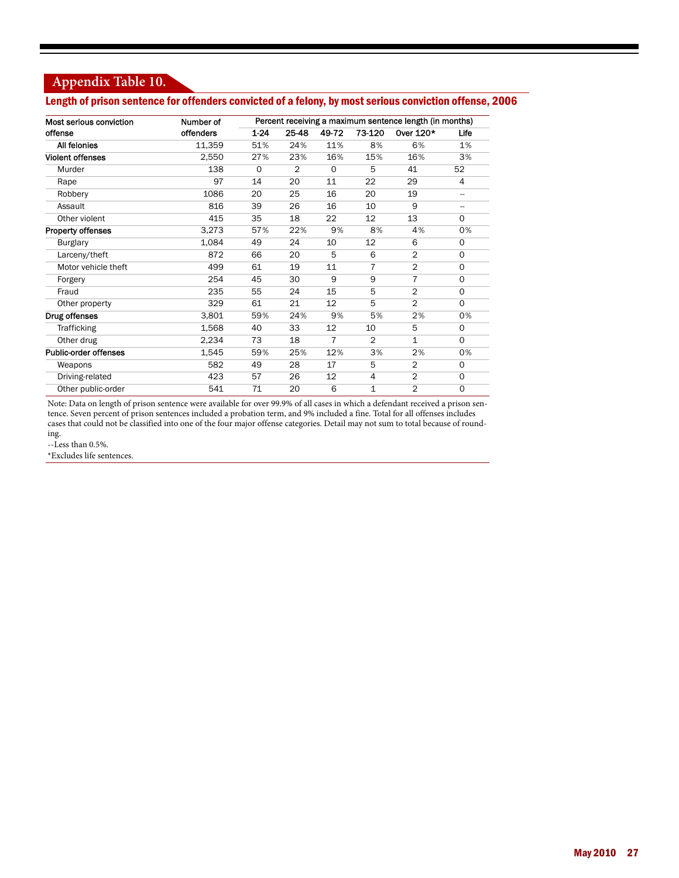## **Appendix Table 10.**

### Length of prison sentence for offenders convicted of a felony, by most serious conviction offense, 2006

| Most serious conviction  | Number of |          |                |                |                | Percent receiving a maximum sentence length (in months) |              |
|--------------------------|-----------|----------|----------------|----------------|----------------|---------------------------------------------------------|--------------|
| offense                  | offenders | $1 - 24$ | 25-48          | 49-72          | 73-120         | Over 120*                                               | Life         |
| All felonies             | 11,359    | 51%      | 24%            | 11%            | 8%             | 6%                                                      | 1%           |
| <b>Violent offenses</b>  | 2,550     | 27%      | 23%            | 16%            | 15%            | 16%                                                     | 3%           |
| Murder                   | 138       | $\circ$  | $\overline{2}$ | $\circ$        | 5              | 41                                                      | 52           |
| Rape                     | 97        | 14       | 20             | 11             | 22             | 29                                                      | 4            |
| Robbery                  | 1086      | 20       | 25             | 16             | 20             | 19                                                      | --           |
| Assault                  | 816       | 39       | 26             | 16             | 10             | 9                                                       | --           |
| Other violent            | 415       | 35       | 18             | 22             | 12             | 13                                                      | $\mathbf 0$  |
| <b>Property offenses</b> | 3,273     | 57%      | 22%            | 9%             | 8%             | 4%                                                      | 0%           |
| Burglary                 | 1,084     | 49       | 24             | 10             | 12             | 6                                                       | $\mathbf 0$  |
| Larceny/theft            | 872       | 66       | 20             | 5              | 6              | $\overline{2}$                                          | $\mathbf 0$  |
| Motor vehicle theft      | 499       | 61       | 19             | 11             | 7              | $\overline{2}$                                          | 0            |
| Forgery                  | 254       | 45       | 30             | 9              | 9              | $\overline{7}$                                          | 0            |
| Fraud                    | 235       | 55       | 24             | 15             | 5              | $\overline{2}$                                          | 0            |
| Other property           | 329       | 61       | 21             | 12             | 5              | $\overline{2}$                                          | $\mathsf{O}$ |
| Drug offenses            | 3,801     | 59%      | 24%            | 9%             | 5%             | 2%                                                      | 0%           |
| Trafficking              | 1,568     | 40       | 33             | 12             | 10             | 5                                                       | 0            |
| Other drug               | 2,234     | 73       | 18             | $\overline{7}$ | $\overline{2}$ | $\mathbf{1}$                                            | $\mathbf 0$  |
| Public-order offenses    | 1,545     | 59%      | 25%            | 12%            | 3%             | 2%                                                      | 0%           |
| Weapons                  | 582       | 49       | 28             | 17             | 5              | $\overline{2}$                                          | $\mathbf 0$  |
| Driving-related          | 423       | 57       | 26             | 12             | 4              | $\overline{2}$                                          | 0            |
| Other public-order       | 541       | 71       | 20             | 6              | 1              | $\overline{2}$                                          | 0            |

Note: Data on length of prison sentence were available for over 99.9% of all cases in which a defendant received a prison sentence. Seven percent of prison sentences included a probation term, and 9% included a fine. Total for all offenses includes cases that could not be classified into one of the four major offense categories. Detail may not sum to total because of rounding.

--Less than 0.5%.

\*Excludes life sentences.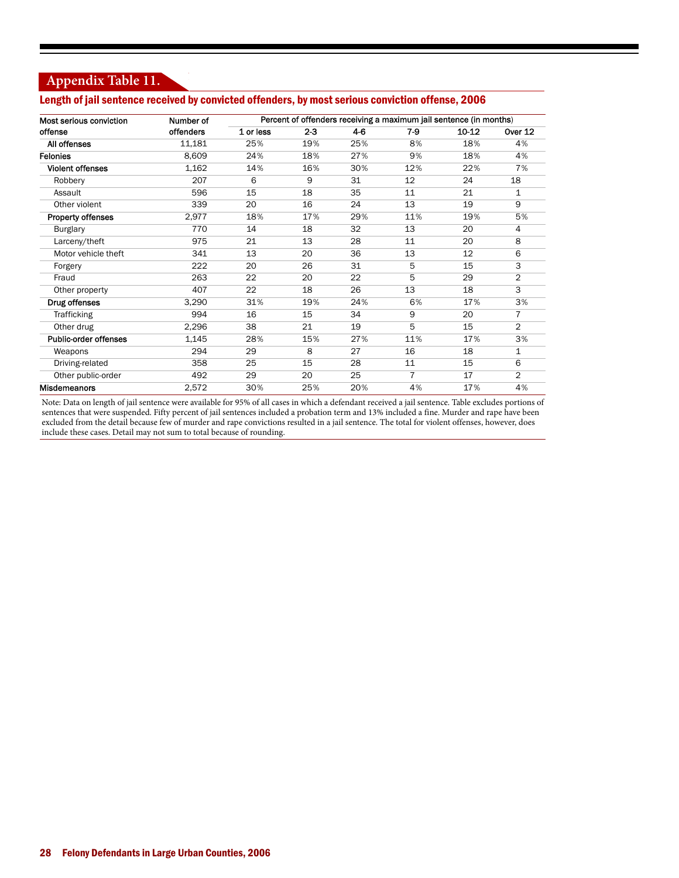## **Appendix Table 11.**

### Length of jail sentence received by convicted offenders, by most serious conviction offense, 2006

| Most serious conviction  | Number of |           |         |       |                | Percent of offenders receiving a maximum jail sentence (in months) |                |
|--------------------------|-----------|-----------|---------|-------|----------------|--------------------------------------------------------------------|----------------|
| offense                  | offenders | 1 or less | $2 - 3$ | $4-6$ | $7-9$          | 10-12                                                              | Over 12        |
| All offenses             | 11,181    | 25%       | 19%     | 25%   | 8%             | 18%                                                                | 4%             |
| <b>Felonies</b>          | 8,609     | 24%       | 18%     | 27%   | 9%             | 18%                                                                | 4%             |
| <b>Violent offenses</b>  | 1,162     | 14%       | 16%     | 30%   | 12%            | 22%                                                                | 7%             |
| Robbery                  | 207       | 6         | 9       | 31    | 12             | 24                                                                 | 18             |
| Assault                  | 596       | 15        | 18      | 35    | 11             | 21                                                                 | 1              |
| Other violent            | 339       | 20        | 16      | 24    | 13             | 19                                                                 | 9              |
| <b>Property offenses</b> | 2,977     | 18%       | 17%     | 29%   | 11%            | 19%                                                                | 5%             |
| <b>Burglary</b>          | 770       | 14        | 18      | 32    | 13             | 20                                                                 | 4              |
| Larceny/theft            | 975       | 21        | 13      | 28    | 11             | 20                                                                 | 8              |
| Motor vehicle theft      | 341       | 13        | 20      | 36    | 13             | 12                                                                 | 6              |
| Forgery                  | 222       | 20        | 26      | 31    | 5              | 15                                                                 | 3              |
| Fraud                    | 263       | 22        | 20      | 22    | 5              | 29                                                                 | $\overline{2}$ |
| Other property           | 407       | 22        | 18      | 26    | 13             | 18                                                                 | 3              |
| Drug offenses            | 3,290     | 31%       | 19%     | 24%   | 6%             | 17%                                                                | 3%             |
| Trafficking              | 994       | 16        | 15      | 34    | 9              | 20                                                                 | $\overline{7}$ |
| Other drug               | 2,296     | 38        | 21      | 19    | 5              | 15                                                                 | 2              |
| Public-order offenses    | 1,145     | 28%       | 15%     | 27%   | 11%            | 17%                                                                | 3%             |
| Weapons                  | 294       | 29        | 8       | 27    | 16             | 18                                                                 | 1              |
| Driving-related          | 358       | 25        | 15      | 28    | 11             | 15                                                                 | 6              |
| Other public-order       | 492       | 29        | 20      | 25    | $\overline{7}$ | 17                                                                 | 2              |
| <b>Misdemeanors</b>      | 2,572     | 30%       | 25%     | 20%   | 4%             | 17%                                                                | 4%             |

Note: Data on length of jail sentence were available for 95% of all cases in which a defendant received a jail sentence. Table excludes portions of sentences that were suspended. Fifty percent of jail sentences included a probation term and 13% included a fine. Murder and rape have been excluded from the detail because few of murder and rape convictions resulted in a jail sentence. The total for violent offenses, however, does include these cases. Detail may not sum to total because of rounding.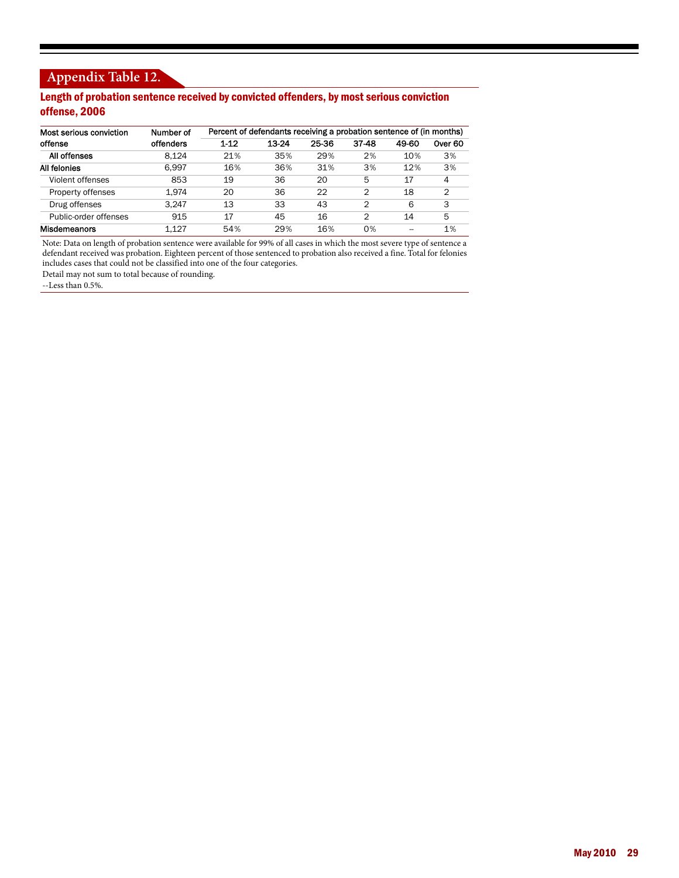## **Appendix Table 12.**

## Length of probation sentence received by convicted offenders, by most serious conviction offense, 2006

| Most serious conviction | Number of | Percent of defendants receiving a probation sentence of (in months) |       |       |       |       |         |  |  |
|-------------------------|-----------|---------------------------------------------------------------------|-------|-------|-------|-------|---------|--|--|
| offense                 | offenders | 1 1 2                                                               | 13-24 | 25-36 | 37-48 | 49-60 | Over 60 |  |  |
| All offenses            | 8.124     | 21%                                                                 | 35%   | 29%   | 2%    | 10%   | 3%      |  |  |
| All felonies            | 6.997     | 16%                                                                 | 36%   | 31%   | 3%    | 12%   | 3%      |  |  |
| Violent offenses        | 853       | 19                                                                  | 36    | 20    | 5     | 17    | 4       |  |  |
| Property offenses       | 1.974     | 20                                                                  | 36    | 22    | 2     | 18    | 2       |  |  |
| Drug offenses           | 3.247     | 13                                                                  | 33    | 43    | 2     | 6     | 3       |  |  |
| Public-order offenses   | 915       | 17                                                                  | 45    | 16    | 2     | 14    | 5       |  |  |
| Misdemeanors            | 1.127     | 54%                                                                 | 29%   | 16%   | 0%    |       | 1%      |  |  |

Note: Data on length of probation sentence were available for 99% of all cases in which the most severe type of sentence a defendant received was probation. Eighteen percent of those sentenced to probation also received a fine. Total for felonies includes cases that could not be classified into one of the four categories.

Detail may not sum to total because of rounding.

--Less than 0.5%.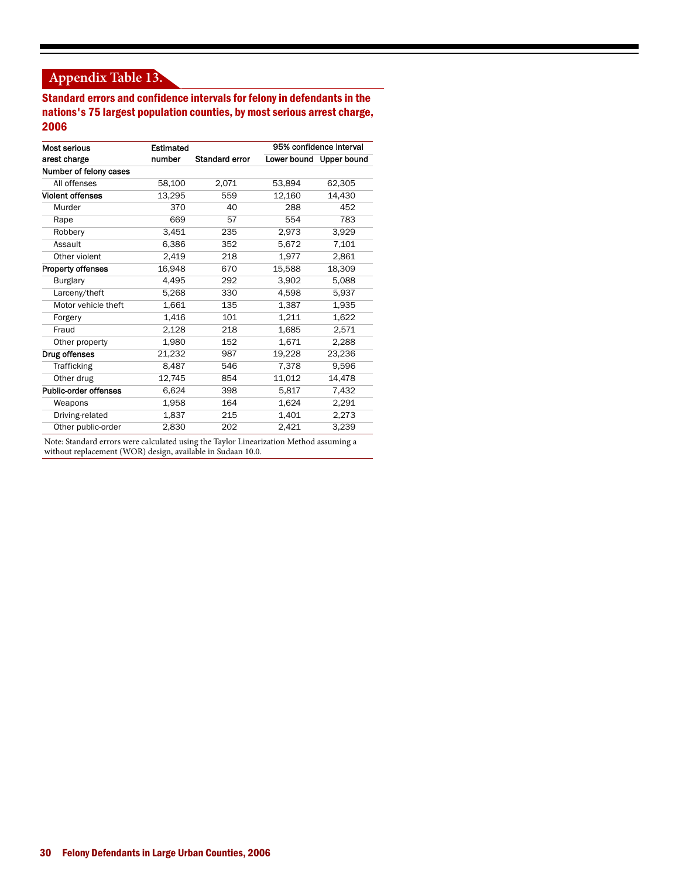## **Appendix Table 13.**

Standard errors and confidence intervals for felony in defendants in the nations's 75 largest population counties, by most serious arrest charge, 2006

| <b>Most serious</b>      | Estimated |                       |        | 95% confidence interval |
|--------------------------|-----------|-----------------------|--------|-------------------------|
| arest charge             | number    | <b>Standard error</b> |        | Lower bound Upper bound |
| Number of felony cases   |           |                       |        |                         |
| All offenses             | 58,100    | 2,071                 | 53,894 | 62,305                  |
| <b>Violent offenses</b>  | 13,295    | 559                   | 12,160 | 14,430                  |
| Murder                   | 370       | 40                    | 288    | 452                     |
| Rape                     | 669       | 57                    | 554    | 783                     |
| Robbery                  | 3,451     | 235                   | 2,973  | 3,929                   |
| Assault                  | 6,386     | 352                   | 5,672  | 7,101                   |
| Other violent            | 2,419     | 218                   | 1,977  | 2,861                   |
| <b>Property offenses</b> | 16,948    | 670                   | 15,588 | 18,309                  |
| Burglary                 | 4,495     | 292                   | 3,902  | 5,088                   |
| Larceny/theft            | 5,268     | 330                   | 4,598  | 5,937                   |
| Motor vehicle theft      | 1,661     | 135                   | 1,387  | 1,935                   |
| Forgery                  | 1,416     | 101                   | 1,211  | 1,622                   |
| Fraud                    | 2,128     | 218                   | 1,685  | 2,571                   |
| Other property           | 1,980     | 152                   | 1,671  | 2,288                   |
| Drug offenses            | 21,232    | 987                   | 19,228 | 23,236                  |
| <b>Trafficking</b>       | 8,487     | 546                   | 7,378  | 9,596                   |
| Other drug               | 12,745    | 854                   | 11,012 | 14,478                  |
| Public-order offenses    | 6,624     | 398                   | 5,817  | 7,432                   |
| Weapons                  | 1,958     | 164                   | 1,624  | 2,291                   |
| Driving-related          | 1,837     | 215                   | 1,401  | 2,273                   |
| Other public-order       | 2.830     | 202                   | 2.421  | 3.239                   |

Note: Standard errors were calculated using the Taylor Linearization Method assuming a without replacement (WOR) design, available in Sudaan 10.0.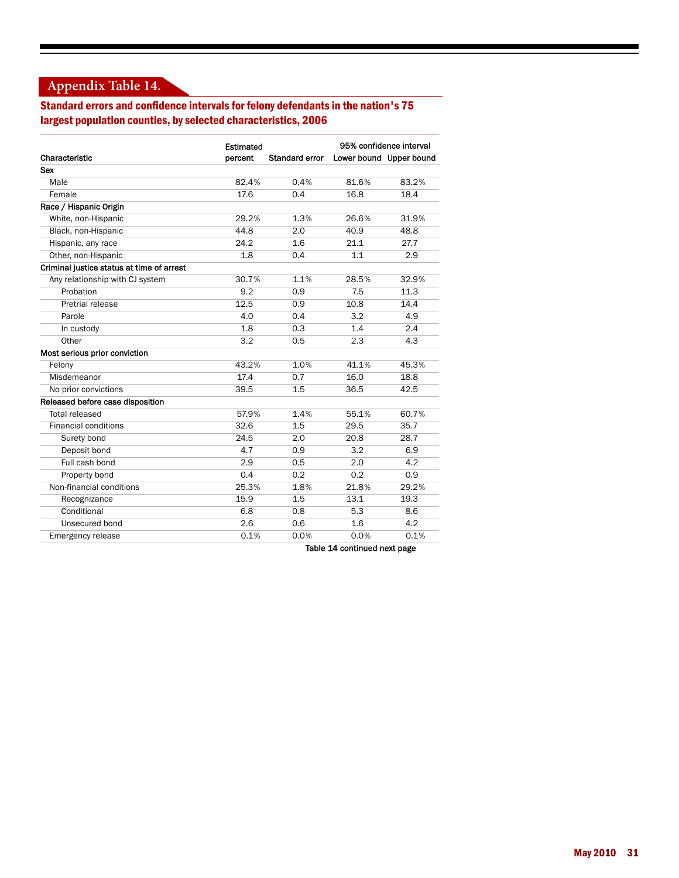## **Appendix Table 14.**

## Standard errors and confidence intervals for felony defendants in the nation's 75 largest population counties, by selected characteristics, 2006

|                                           | <b>Estimated</b> |                       |       | 95% confidence interval |
|-------------------------------------------|------------------|-----------------------|-------|-------------------------|
| Characteristic                            | percent          | <b>Standard error</b> |       | Lower bound Upper bound |
| <b>Sex</b>                                |                  |                       |       |                         |
| Male                                      | 82.4%            | 0.4%                  | 81.6% | 83.2%                   |
| Female                                    | 17.6             | 0.4                   | 16.8  | 18.4                    |
| Race / Hispanic Origin                    |                  |                       |       |                         |
| White, non-Hispanic                       | 29.2%            | 1.3%                  | 26.6% | 31.9%                   |
| Black, non-Hispanic                       | 44.8             | 2.0                   | 40.9  | 48.8                    |
| Hispanic, any race                        | 24.2             | 1.6                   | 21.1  | 27.7                    |
| Other, non-Hispanic                       | 1.8              | 0.4                   | 1.1   | 2.9                     |
| Criminal justice status at time of arrest |                  |                       |       |                         |
| Any relationship with CJ system           | 30.7%            | 1.1%                  | 28.5% | 32.9%                   |
| Probation                                 | 9.2              | 0.9                   | 7.5   | 11.3                    |
| Pretrial release                          | 12.5             | 0.9                   | 10.8  | 14.4                    |
| Parole                                    | 4.0              | 0.4                   | 3.2   | 4.9                     |
| In custody                                | 1.8              | 0.3                   | 1.4   | 2.4                     |
| Other                                     | 3.2              | 0.5                   | 2.3   | 4.3                     |
| Most serious prior conviction             |                  |                       |       |                         |
| Felony                                    | 43.2%            | 1.0%                  | 41.1% | 45.3%                   |
| Misdemeanor                               | 17.4             | 0.7                   | 16.0  | 18.8                    |
| No prior convictions                      | 39.5             | 1.5                   | 36.5  | 42.5                    |
| Released before case disposition          |                  |                       |       |                         |
| <b>Total released</b>                     | 57.9%            | 1.4%                  | 55.1% | 60.7%                   |
| Financial conditions                      | 32.6             | 1.5                   | 29.5  | 35.7                    |
| Surety bond                               | 24.5             | 2.0                   | 20.8  | 28.7                    |
| Deposit bond                              | 4.7              | 0.9                   | 3.2   | 6.9                     |
| Full cash bond                            | 2.9              | 0.5                   | 2.0   | 4.2                     |
| Property bond                             | 0.4              | 0.2                   | 0.2   | 0.9                     |
| Non-financial conditions                  | 25.3%            | 1.8%                  | 21.8% | 29.2%                   |
| Recognizance                              | 15.9             | 1.5                   | 13.1  | 19.3                    |
| Conditional                               | 6.8              | 0.8                   | 5.3   | 8.6                     |
| Unsecured bond                            | 2.6              | 0.6                   | 1.6   | 4.2                     |
| Emergency release                         | 0.1%             | 0.0%                  | 0.0%  | 0.1%                    |

Table 14 continued next page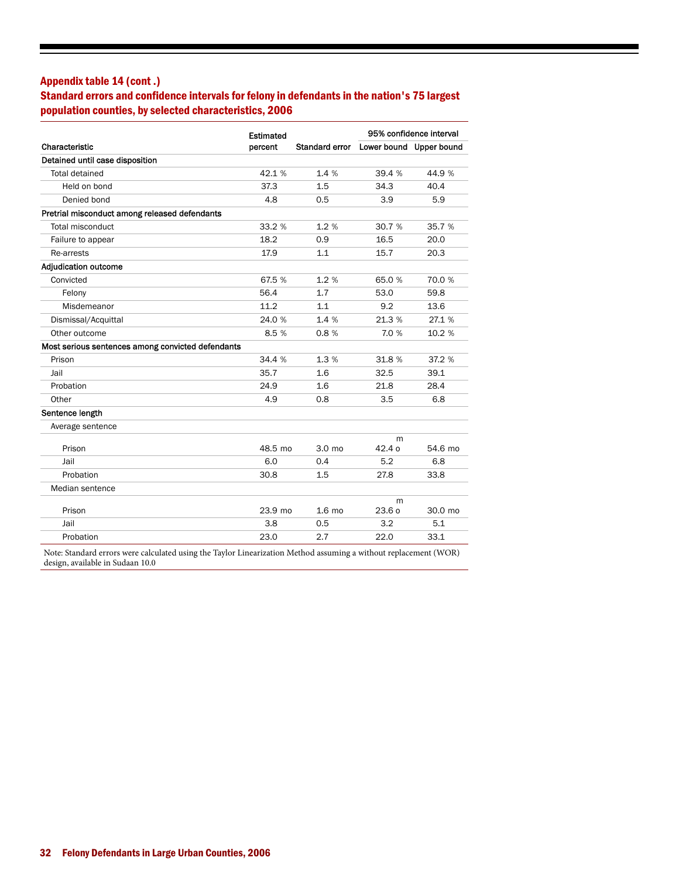## Appendix table 14 (cont .)

## Standard errors and confidence intervals for felony in defendants in the nation's 75 largest population counties, by selected characteristics, 2006

|                                                   | Estimated |                                        |                        | 95% confidence interval |
|---------------------------------------------------|-----------|----------------------------------------|------------------------|-------------------------|
| Characteristic                                    | percent   | Standard error Lower bound Upper bound |                        |                         |
| Detained until case disposition                   |           |                                        |                        |                         |
| <b>Total detained</b>                             | 42.1 %    | 1.4%                                   | 39.4 %                 | 44.9%                   |
| Held on bond                                      | 37.3      | 1.5                                    | 34.3                   | 40.4                    |
| Denied bond                                       | 4.8       | 0.5                                    | 3.9                    | 5.9                     |
| Pretrial misconduct among released defendants     |           |                                        |                        |                         |
| Total misconduct                                  | 33.2 %    | 1.2%                                   | 30.7 %                 | 35.7 %                  |
| Failure to appear                                 | 18.2      | 0.9                                    | 16.5                   | 20.0                    |
| Re-arrests                                        | 17.9      | 1.1                                    | 15.7                   | 20.3                    |
| <b>Adjudication outcome</b>                       |           |                                        |                        |                         |
| Convicted                                         | 67.5 %    | 1.2%                                   | 65.0 %                 | 70.0 %                  |
| Felony                                            | 56.4      | 1.7                                    | 53.0                   | 59.8                    |
| Misdemeanor                                       | 11.2      | 1.1                                    | 9.2                    | 13.6                    |
| Dismissal/Acquittal                               | 24.0 %    | 1.4%                                   | 21.3 %                 | 27.1 %                  |
| Other outcome                                     | 8.5 %     | 0.8%                                   | 7.0%                   | 10.2 %                  |
| Most serious sentences among convicted defendants |           |                                        |                        |                         |
| Prison                                            | 34.4 %    | 1.3%                                   | 31.8%                  | 37.2 %                  |
| Jail                                              | 35.7      | 1.6                                    | 32.5                   | 39.1                    |
| Probation                                         | 24.9      | 1.6                                    | 21.8                   | 28.4                    |
| Other                                             | 4.9       | 0.8                                    | 3.5                    | 6.8                     |
| Sentence length                                   |           |                                        |                        |                         |
| Average sentence                                  |           |                                        |                        |                         |
|                                                   |           |                                        | m                      |                         |
| Prison                                            | 48.5 mo   | $3.0 \text{ mo}$                       | 42.4o                  | 54.6 mo                 |
| Jail                                              | 6.0       | 0.4                                    | 5.2                    | 6.8                     |
| Probation                                         | 30.8      | 1.5                                    | 27.8                   | 33.8                    |
| Median sentence                                   |           |                                        |                        |                         |
| Prison                                            | 23.9 mo   | $1.6 \text{ mo}$                       | m<br>23.6 <sub>o</sub> | 30.0 mo                 |
| Jail                                              | 3.8       | 0.5                                    | 3.2                    | 5.1                     |
| Probation                                         | 23.0      | 2.7                                    | 22.0                   | 33.1                    |

Note: Standard errors were calculated using the Taylor Linearization Method assuming a without replacement (WOR) design, available in Sudaan 10.0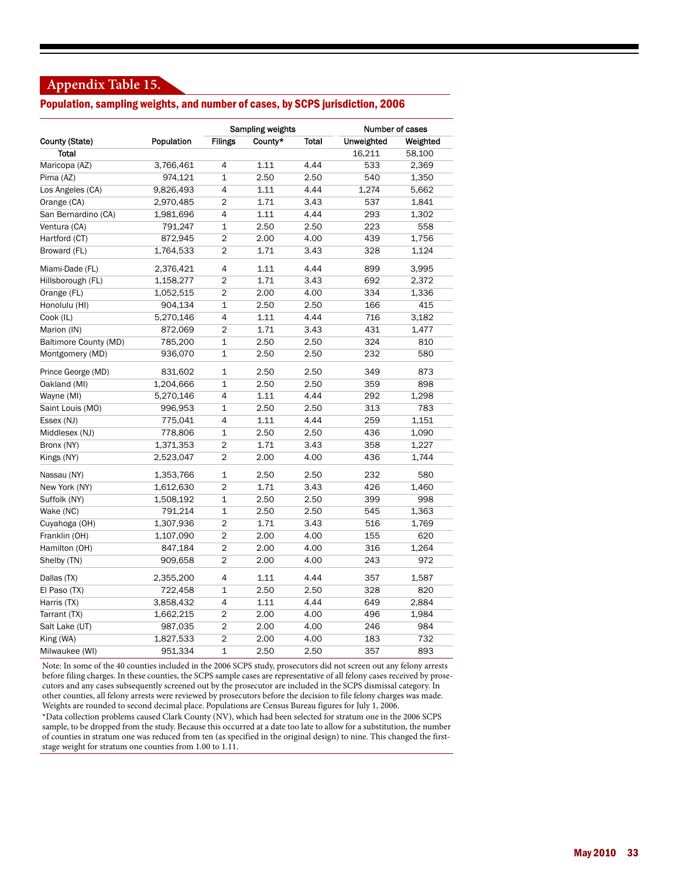## **Appendix Table 15.**

## Population, sampling weights, and number of cases, by SCPS jurisdiction, 2006

|                       |            | Sampling weights |         |       | Number of cases   |          |  |
|-----------------------|------------|------------------|---------|-------|-------------------|----------|--|
| County (State)        | Population | <b>Filings</b>   | County* | Total | <b>Unweighted</b> | Weighted |  |
| Total                 |            |                  |         |       | 16,211            | 58,100   |  |
| Maricopa (AZ)         | 3,766,461  | 4                | 1.11    | 4.44  | 533               | 2,369    |  |
| Pima (AZ)             | 974,121    | $\mathbf{1}$     | 2.50    | 2.50  | 540               | 1,350    |  |
| Los Angeles (CA)      | 9,826,493  | 4                | 1.11    | 4.44  | 1,274             | 5,662    |  |
| Orange (CA)           | 2,970,485  | $\overline{2}$   | 1.71    | 3.43  | 537               | 1,841    |  |
| San Bernardino (CA)   | 1,981,696  | 4                | 1.11    | 4.44  | 293               | 1,302    |  |
| Ventura (CA)          | 791,247    | 1                | 2.50    | 2.50  | 223               | 558      |  |
| Hartford (CT)         | 872,945    | $\overline{2}$   | 2.00    | 4.00  | 439               | 1,756    |  |
| Broward (FL)          | 1,764,533  | $\overline{2}$   | 1.71    | 3.43  | 328               | 1,124    |  |
| Miami-Dade (FL)       | 2,376,421  | 4                | 1.11    | 4.44  | 899               | 3,995    |  |
| Hillsborough (FL)     | 1,158,277  | $\overline{2}$   | 1.71    | 3.43  | 692               | 2,372    |  |
| Orange (FL)           | 1,052,515  | 2                | 2.00    | 4.00  | 334               | 1,336    |  |
| Honolulu (HI)         | 904,134    | $\mathbf{1}$     | 2.50    | 2.50  | 166               | 415      |  |
| Cook (IL)             | 5,270,146  | 4                | 1.11    | 4.44  | 716               | 3,182    |  |
| Marion (IN)           | 872,069    | $\overline{c}$   | 1.71    | 3.43  | 431               | 1,477    |  |
| Baltimore County (MD) | 785,200    | $\mathbf 1$      | 2.50    | 2.50  | 324               | 810      |  |
| Montgomery (MD)       | 936,070    | 1                | 2.50    | 2.50  | 232               | 580      |  |
| Prince George (MD)    | 831,602    | $\mathbf 1$      | 2.50    | 2.50  | 349               | 873      |  |
| Oakland (MI)          | 1,204,666  | $\overline{1}$   | 2.50    | 2.50  | 359               | 898      |  |
| Wayne (MI)            | 5,270,146  | 4                | 1.11    | 4.44  | 292               | 1,298    |  |
| Saint Louis (MO)      | 996,953    | 1                | 2.50    | 2.50  | 313               | 783      |  |
| Essex (NJ)            | 775,041    | 4                | 1.11    | 4.44  | 259               | 1,151    |  |
| Middlesex (NJ)        | 778,806    | $\mathbf{1}$     | 2.50    | 2.50  | 436               | 1,090    |  |
| Bronx (NY)            | 1,371,353  | 2                | 1.71    | 3.43  | 358               | 1,227    |  |
| Kings (NY)            | 2,523,047  | $\overline{2}$   | 2.00    | 4.00  | 436               | 1,744    |  |
| Nassau (NY)           | 1,353,766  | $\mathbf 1$      | 2.50    | 2.50  | 232               | 580      |  |
| New York (NY)         | 1,612,630  | $\overline{2}$   | 1.71    | 3.43  | 426               | 1,460    |  |
| Suffolk (NY)          | 1,508,192  | $\mathbf 1$      | 2.50    | 2.50  | 399               | 998      |  |
| Wake (NC)             | 791,214    | $\overline{1}$   | 2.50    | 2.50  | 545               | 1,363    |  |
| Cuyahoga (OH)         | 1,307,936  | $\overline{2}$   | 1.71    | 3.43  | 516               | 1,769    |  |
| Franklin (OH)         | 1,107,090  | $\overline{2}$   | 2.00    | 4.00  | 155               | 620      |  |
| Hamilton (OH)         | 847,184    | $\overline{2}$   | 2.00    | 4.00  | 316               | 1,264    |  |
| Shelby (TN)           | 909,658    | 2                | 2.00    | 4.00  | 243               | 972      |  |
| Dallas (TX)           | 2,355,200  | 4                | 1.11    | 4.44  | 357               | 1,587    |  |
| El Paso (TX)          | 722,458    | $\mathbf{1}$     | 2.50    | 2.50  | 328               | 820      |  |
| Harris (TX)           | 3,858,432  | $\overline{4}$   | 1.11    | 4.44  | 649               | 2,884    |  |
| Tarrant (TX)          | 1,662,215  | $\overline{2}$   | 2.00    | 4.00  | 496               | 1,984    |  |
| Salt Lake (UT)        | 987,035    | $\overline{2}$   | 2.00    | 4.00  | 246               | 984      |  |
| King (WA)             | 1,827,533  | $\overline{2}$   | 2.00    | 4.00  | 183               | 732      |  |
| Milwaukee (WI)        | 951,334    | $\mathbf 1$      | 2.50    | 2.50  | 357               | 893      |  |

Note: In some of the 40 counties included in the 2006 SCPS study, prosecutors did not screen out any felony arrests before filing charges. In these counties, the SCPS sample cases are representative of all felony cases received by prosecutors and any cases subsequently screened out by the prosecutor are included in the SCPS dismissal category. In other counties, all felony arrests were reviewed by prosecutors before the decision to file felony charges was made. Weights are rounded to second decimal place. Populations are Census Bureau figures for July 1, 2006.

\*Data collection problems caused Clark County (NV), which had been selected for stratum one in the 2006 SCPS sample, to be dropped from the study. Because this occurred at a date too late to allow for a substitution, the number of counties in stratum one was reduced from ten (as specified in the original design) to nine. This changed the firststage weight for stratum one counties from 1.00 to 1.11.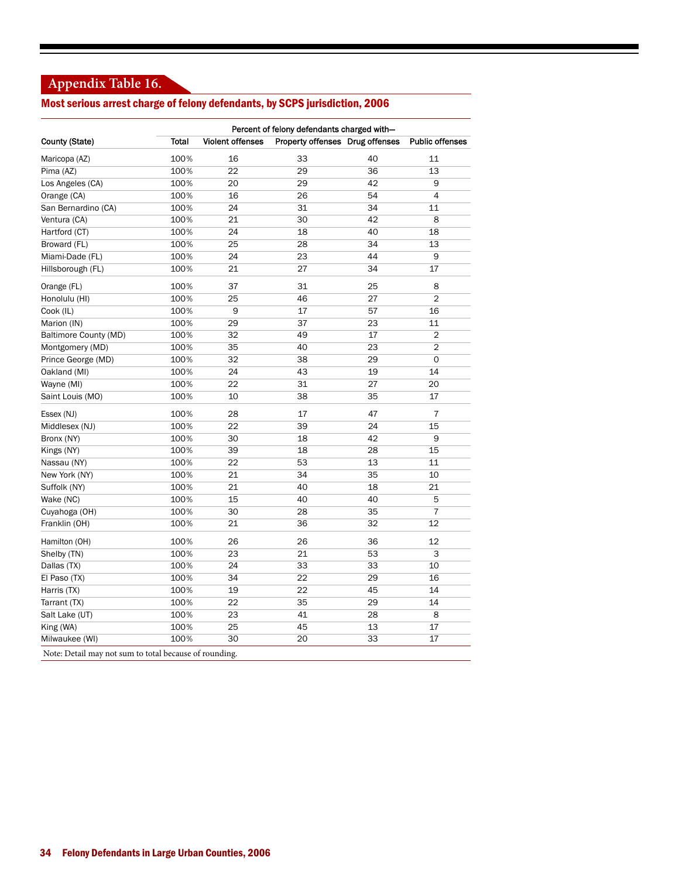## **Appendix Table 16.**

## Most serious arrest charge of felony defendants, by SCPS jurisdiction, 2006

|                                                        | Percent of felony defendants charged with- |                         |                                 |    |                        |  |  |  |  |
|--------------------------------------------------------|--------------------------------------------|-------------------------|---------------------------------|----|------------------------|--|--|--|--|
| County (State)                                         | <b>Total</b>                               | <b>Violent offenses</b> | Property offenses Drug offenses |    | <b>Public offenses</b> |  |  |  |  |
| Maricopa (AZ)                                          | 100%                                       | 16                      | 33                              | 40 | 11                     |  |  |  |  |
| Pima (AZ)                                              | 100%                                       | 22                      | 29                              | 36 | 13                     |  |  |  |  |
| Los Angeles (CA)                                       | 100%                                       | 20                      | 29                              | 42 | 9                      |  |  |  |  |
| Orange (CA)                                            | 100%                                       | 16                      | 26                              | 54 | $\overline{4}$         |  |  |  |  |
| San Bernardino (CA)                                    | 100%                                       | 24                      | 31                              | 34 | 11                     |  |  |  |  |
| Ventura (CA)                                           | 100%                                       | 21                      | 30                              | 42 | 8                      |  |  |  |  |
| Hartford (CT)                                          | 100%                                       | 24                      | 18                              | 40 | 18                     |  |  |  |  |
| Broward (FL)                                           | 100%                                       | 25                      | 28                              | 34 | 13                     |  |  |  |  |
| Miami-Dade (FL)                                        | 100%                                       | 24                      | 23                              | 44 | 9                      |  |  |  |  |
| Hillsborough (FL)                                      | 100%                                       | 21                      | 27                              | 34 | 17                     |  |  |  |  |
| Orange (FL)                                            | 100%                                       | 37                      | 31                              | 25 | 8                      |  |  |  |  |
| Honolulu (HI)                                          | 100%                                       | 25                      | 46                              | 27 | $\overline{2}$         |  |  |  |  |
| Cook (IL)                                              | 100%                                       | 9                       | 17                              | 57 | 16                     |  |  |  |  |
| Marion (IN)                                            | 100%                                       | 29                      | 37                              | 23 | 11                     |  |  |  |  |
| Baltimore County (MD)                                  | 100%                                       | 32                      | 49                              | 17 | $\overline{c}$         |  |  |  |  |
| Montgomery (MD)                                        | 100%                                       | 35                      | 40                              | 23 | $\overline{2}$         |  |  |  |  |
| Prince George (MD)                                     | 100%                                       | 32                      | 38                              | 29 | $\mathsf{O}$           |  |  |  |  |
| Oakland (MI)                                           | 100%                                       | 24                      | 43                              | 19 | 14                     |  |  |  |  |
| Wayne (MI)                                             | 100%                                       | 22                      | 31                              | 27 | 20                     |  |  |  |  |
| Saint Louis (MO)                                       | 100%                                       | 10                      | 38                              | 35 | 17                     |  |  |  |  |
| Essex (NJ)                                             | 100%                                       | 28                      | 17                              | 47 | $\overline{7}$         |  |  |  |  |
| Middlesex (NJ)                                         | 100%                                       | 22                      | 39                              | 24 | 15                     |  |  |  |  |
| Bronx (NY)                                             | 100%                                       | 30                      | 18                              | 42 | 9                      |  |  |  |  |
| Kings (NY)                                             | 100%                                       | 39                      | 18                              | 28 | 15                     |  |  |  |  |
| Nassau (NY)                                            | 100%                                       | 22                      | 53                              | 13 | 11                     |  |  |  |  |
| New York (NY)                                          | 100%                                       | 21                      | 34                              | 35 | 10                     |  |  |  |  |
| Suffolk (NY)                                           | 100%                                       | 21                      | 40                              | 18 | 21                     |  |  |  |  |
| Wake (NC)                                              | 100%                                       | 15                      | 40                              | 40 | 5                      |  |  |  |  |
| Cuyahoga (OH)                                          | 100%                                       | 30                      | 28                              | 35 | $\overline{7}$         |  |  |  |  |
| Franklin (OH)                                          | 100%                                       | 21                      | 36                              | 32 | 12                     |  |  |  |  |
| Hamilton (OH)                                          | 100%                                       | 26                      | 26                              | 36 | 12                     |  |  |  |  |
| Shelby (TN)                                            | 100%                                       | 23                      | 21                              | 53 | 3                      |  |  |  |  |
| Dallas (TX)                                            | 100%                                       | 24                      | 33                              | 33 | 10                     |  |  |  |  |
| El Paso (TX)                                           | 100%                                       | 34                      | 22                              | 29 | 16                     |  |  |  |  |
| Harris (TX)                                            | 100%                                       | 19                      | 22                              | 45 | 14                     |  |  |  |  |
| Tarrant (TX)                                           | 100%                                       | 22                      | 35                              | 29 | 14                     |  |  |  |  |
| Salt Lake (UT)                                         | 100%                                       | 23                      | 41                              | 28 | 8                      |  |  |  |  |
| King (WA)                                              | 100%                                       | 25                      | 45                              | 13 | 17                     |  |  |  |  |
| Milwaukee (WI)                                         | 100%                                       | 30                      | 20                              | 33 | 17                     |  |  |  |  |
| Note: Detail may not sum to total because of rounding. |                                            |                         |                                 |    |                        |  |  |  |  |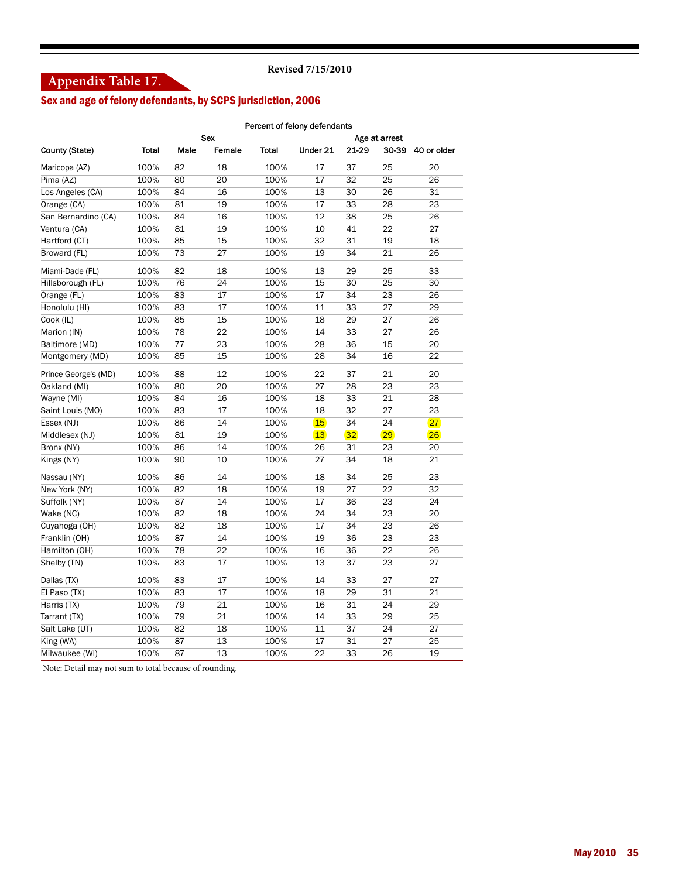## **Revised 7/15/2010**

## **Appendix Table 17.**

## Sex and age of felony defendants, by SCPS jurisdiction, 2006

|                                                        | Percent of felony defendants |      |            |              |          |                 |               |             |  |  |
|--------------------------------------------------------|------------------------------|------|------------|--------------|----------|-----------------|---------------|-------------|--|--|
|                                                        |                              |      | <b>Sex</b> |              |          |                 | Age at arrest |             |  |  |
| County (State)                                         | <b>Total</b>                 | Male | Female     | <b>Total</b> | Under 21 | 21-29           | 30-39         | 40 or older |  |  |
| Maricopa (AZ)                                          | 100%                         | 82   | 18         | 100%         | 17       | 37              | 25            | 20          |  |  |
| Pima (AZ)                                              | 100%                         | 80   | 20         | 100%         | 17       | 32              | 25            | 26          |  |  |
| Los Angeles (CA)                                       | 100%                         | 84   | 16         | 100%         | 13       | 30              | 26            | 31          |  |  |
| Orange (CA)                                            | 100%                         | 81   | 19         | 100%         | 17       | 33              | 28            | 23          |  |  |
| San Bernardino (CA)                                    | 100%                         | 84   | 16         | 100%         | 12       | 38              | 25            | 26          |  |  |
| Ventura (CA)                                           | 100%                         | 81   | 19         | 100%         | 10       | 41              | 22            | 27          |  |  |
| Hartford (CT)                                          | 100%                         | 85   | 15         | 100%         | 32       | 31              | 19            | 18          |  |  |
| Broward (FL)                                           | 100%                         | 73   | 27         | 100%         | 19       | 34              | 21            | 26          |  |  |
| Miami-Dade (FL)                                        | 100%                         | 82   | 18         | 100%         | 13       | 29              | 25            | 33          |  |  |
| Hillsborough (FL)                                      | 100%                         | 76   | 24         | 100%         | 15       | 30              | 25            | 30          |  |  |
| Orange (FL)                                            | 100%                         | 83   | 17         | 100%         | 17       | 34              | 23            | 26          |  |  |
| Honolulu (HI)                                          | 100%                         | 83   | 17         | 100%         | 11       | 33              | 27            | 29          |  |  |
| Cook (IL)                                              | 100%                         | 85   | 15         | 100%         | 18       | 29              | 27            | 26          |  |  |
| Marion (IN)                                            | 100%                         | 78   | 22         | 100%         | 14       | 33              | 27            | 26          |  |  |
| Baltimore (MD)                                         | 100%                         | 77   | 23         | 100%         | 28       | 36              | 15            | 20          |  |  |
| Montgomery (MD)                                        | 100%                         | 85   | 15         | 100%         | 28       | 34              | 16            | 22          |  |  |
| Prince George's (MD)                                   | 100%                         | 88   | 12         | 100%         | 22       | 37              | 21            | 20          |  |  |
| Oakland (MI)                                           | 100%                         | 80   | 20         | 100%         | 27       | 28              | 23            | 23          |  |  |
| Wayne (MI)                                             | 100%                         | 84   | 16         | 100%         | 18       | 33              | 21            | 28          |  |  |
| Saint Louis (MO)                                       | 100%                         | 83   | 17         | 100%         | 18       | 32              | 27            | 23          |  |  |
| Essex (NJ)                                             | 100%                         | 86   | 14         | 100%         | 15       | 34              | 24            | 27          |  |  |
| Middlesex (NJ)                                         | 100%                         | 81   | 19         | 100%         | 13       | 32 <sup>2</sup> | 29            | 26          |  |  |
| Bronx (NY)                                             | 100%                         | 86   | 14         | 100%         | 26       | 31              | 23            | 20          |  |  |
| Kings (NY)                                             | 100%                         | 90   | 10         | 100%         | 27       | 34              | 18            | 21          |  |  |
| Nassau (NY)                                            | 100%                         | 86   | 14         | 100%         | 18       | 34              | 25            | 23          |  |  |
| New York (NY)                                          | 100%                         | 82   | 18         | 100%         | 19       | 27              | 22            | 32          |  |  |
| Suffolk (NY)                                           | 100%                         | 87   | 14         | 100%         | 17       | 36              | 23            | 24          |  |  |
| Wake (NC)                                              | 100%                         | 82   | 18         | 100%         | 24       | 34              | 23            | 20          |  |  |
| Cuyahoga (OH)                                          | 100%                         | 82   | 18         | 100%         | 17       | 34              | 23            | 26          |  |  |
| Franklin (OH)                                          | 100%                         | 87   | 14         | 100%         | 19       | 36              | 23            | 23          |  |  |
| Hamilton (OH)                                          | 100%                         | 78   | 22         | 100%         | 16       | 36              | 22            | 26          |  |  |
| Shelby (TN)                                            | 100%                         | 83   | 17         | 100%         | 13       | 37              | 23            | 27          |  |  |
| Dallas (TX)                                            | 100%                         | 83   | 17         | 100%         | 14       | 33              | 27            | 27          |  |  |
| El Paso (TX)                                           | 100%                         | 83   | 17         | 100%         | 18       | 29              | 31            | 21          |  |  |
| Harris (TX)                                            | 100%                         | 79   | 21         | 100%         | 16       | 31              | 24            | 29          |  |  |
| Tarrant (TX)                                           | 100%                         | 79   | 21         | 100%         | 14       | 33              | 29            | 25          |  |  |
| Salt Lake (UT)                                         | 100%                         | 82   | 18         | 100%         | 11       | 37              | 24            | 27          |  |  |
| King (WA)                                              | 100%                         | 87   | 13         | 100%         | 17       | 31              | 27            | 25          |  |  |
| Milwaukee (WI)                                         | 100%                         | 87   | 13         | 100%         | 22       | 33              | 26            | 19          |  |  |
| Note: Detail may not sum to total because of rounding. |                              |      |            |              |          |                 |               |             |  |  |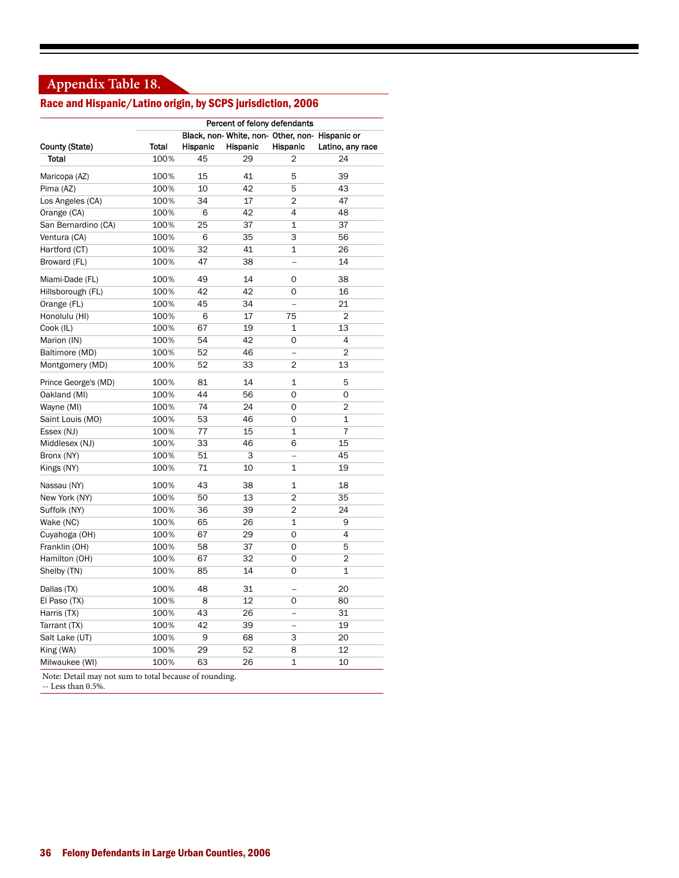## **Appendix Table 18.**

## Race and Hispanic/Latino origin, by SCPS jurisdiction, 2006

|                      | Percent of felony defendants |          |          |                          |                                                 |  |  |  |  |
|----------------------|------------------------------|----------|----------|--------------------------|-------------------------------------------------|--|--|--|--|
|                      |                              |          |          |                          | Black, non- White, non- Other, non- Hispanic or |  |  |  |  |
| County (State)       | Total                        | Hispanic | Hispanic | Hispanic                 | Latino, any race                                |  |  |  |  |
| Total                | 100%                         | 45       | 29       | 2                        | 24                                              |  |  |  |  |
| Maricopa (AZ)        | 100%                         | 15       | 41       | 5                        | 39                                              |  |  |  |  |
| Pima (AZ)            | 100%                         | 10       | 42       | 5                        | 43                                              |  |  |  |  |
| Los Angeles (CA)     | 100%                         | 34       | 17       | $\overline{c}$           | 47                                              |  |  |  |  |
| Orange (CA)          | 100%                         | 6        | 42       | 4                        | 48                                              |  |  |  |  |
| San Bernardino (CA)  | 100%                         | 25       | 37       | $\mathbf 1$              | 37                                              |  |  |  |  |
| Ventura (CA)         | 100%                         | 6        | 35       | 3                        | 56                                              |  |  |  |  |
| Hartford (CT)        | 100%                         | 32       | 41       | 1                        | 26                                              |  |  |  |  |
| Broward (FL)         | 100%                         | 47       | 38       | $\overline{\phantom{a}}$ | 14                                              |  |  |  |  |
| Miami-Dade (FL)      | 100%                         | 49       | 14       | 0                        | 38                                              |  |  |  |  |
| Hillsborough (FL)    | 100%                         | 42       | 42       | 0                        | 16                                              |  |  |  |  |
| Orange (FL)          | 100%                         | 45       | 34       | ÷,                       | 21                                              |  |  |  |  |
| Honolulu (HI)        | 100%                         | 6        | 17       | 75                       | $\overline{2}$                                  |  |  |  |  |
| Cook (IL)            | 100%                         | 67       | 19       | 1                        | 13                                              |  |  |  |  |
| Marion (IN)          | 100%                         | 54       | 42       | 0                        | 4                                               |  |  |  |  |
| Baltimore (MD)       | 100%                         | 52       | 46       | <u></u>                  | $\overline{2}$                                  |  |  |  |  |
| Montgomery (MD)      | 100%                         | 52       | 33       | 2                        | 13                                              |  |  |  |  |
| Prince George's (MD) | 100%                         | 81       | 14       | $\mathbf{1}$             | 5                                               |  |  |  |  |
| Oakland (MI)         | 100%                         | 44       | 56       | 0                        | 0                                               |  |  |  |  |
| Wayne (MI)           | 100%                         | 74       | 24       | 0                        | 2                                               |  |  |  |  |
| Saint Louis (MO)     | 100%                         | 53       | 46       | 0                        | 1                                               |  |  |  |  |
| Essex (NJ)           | 100%                         | 77       | 15       | $\mathbf{1}$             | $\overline{7}$                                  |  |  |  |  |
| Middlesex (NJ)       | 100%                         | 33       | 46       | 6                        | 15                                              |  |  |  |  |
| Bronx (NY)           | 100%                         | 51       | 3        | Ξ,                       | 45                                              |  |  |  |  |
| Kings (NY)           | 100%                         | 71       | 10       | $\mathbf{1}$             | 19                                              |  |  |  |  |
| Nassau (NY)          | 100%                         | 43       | 38       | $\mathbf 1$              | 18                                              |  |  |  |  |
| New York (NY)        | 100%                         | 50       | 13       | 2                        | 35                                              |  |  |  |  |
| Suffolk (NY)         | 100%                         | 36       | 39       | 2                        | 24                                              |  |  |  |  |
| Wake (NC)            | 100%                         | 65       | 26       | $\mathbf{1}$             | 9                                               |  |  |  |  |
| Cuyahoga (OH)        | 100%                         | 67       | 29       | 0                        | 4                                               |  |  |  |  |
| Franklin (OH)        | 100%                         | 58       | 37       | 0                        | 5                                               |  |  |  |  |
| Hamilton (OH)        | 100%                         | 67       | 32       | 0                        | 2                                               |  |  |  |  |
| Shelby (TN)          | 100%                         | 85       | 14       | 0                        | 1                                               |  |  |  |  |
| Dallas (TX)          | 100%                         | 48       | 31       |                          | 20                                              |  |  |  |  |
| El Paso (TX)         | 100%                         | 8        | 12       | 0                        | 80                                              |  |  |  |  |
| Harris (TX)          | 100%                         | 43       | 26       | $\overline{\phantom{a}}$ | 31                                              |  |  |  |  |
| Tarrant (TX)         | 100%                         | 42       | 39       | $\overline{a}$           | 19                                              |  |  |  |  |
| Salt Lake (UT)       | 100%                         | 9        | 68       | 3                        | 20                                              |  |  |  |  |
| King (WA)            | 100%                         | 29       | 52       | 8                        | 12                                              |  |  |  |  |
| Milwaukee (WI)       | 100%                         | 63       | 26       | 1                        | 10                                              |  |  |  |  |

Note: Detail may not sum to total because of rounding.

-- Less than 0.5%.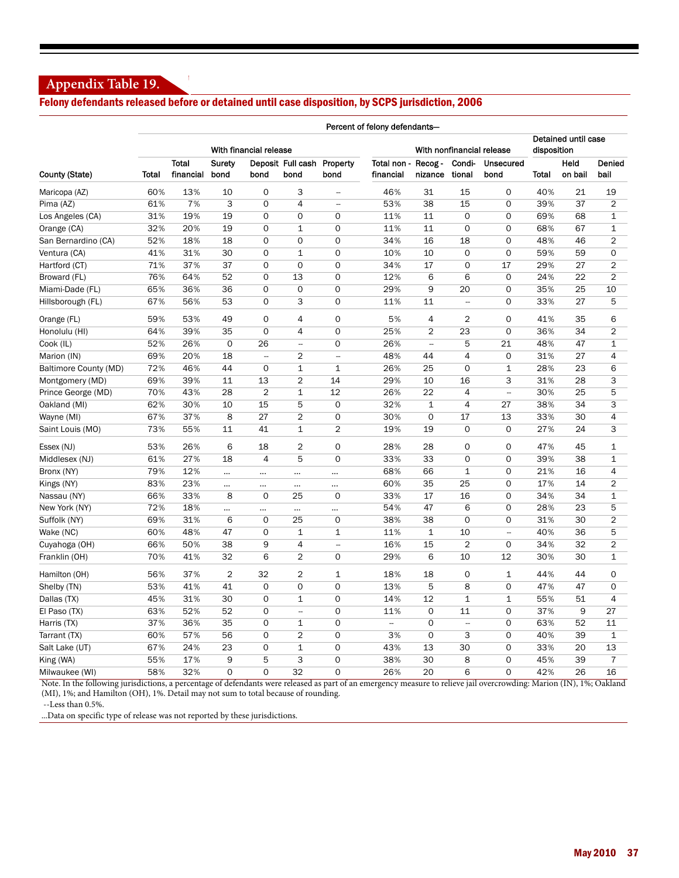## **Appendix Table 19.**

### Felony defendants released before or detained until case disposition, by SCPS jurisdiction, 2006

|                       | Percent of felony defendants- |                           |                       |                |                                    |                     |                          |                           |                          |                          |       |                                    |                |  |
|-----------------------|-------------------------------|---------------------------|-----------------------|----------------|------------------------------------|---------------------|--------------------------|---------------------------|--------------------------|--------------------------|-------|------------------------------------|----------------|--|
|                       |                               | With financial release    |                       |                |                                    |                     |                          | With nonfinancial release |                          |                          |       | Detained until case<br>disposition |                |  |
| County (State)        | <b>Total</b>                  | <b>Total</b><br>financial | <b>Surety</b><br>bond | bond           | Deposit Full cash Property<br>bond | bond                | Total non -<br>financial | Recog-<br>nizance         | Condi-<br>tional         | <b>Unsecured</b><br>bond | Total | Held<br>on bail                    | Denied<br>bail |  |
| Maricopa (AZ)         | 60%                           | 13%                       | 10                    | 0              | 3                                  | <u></u>             | 46%                      | 31                        | 15                       | $\mathsf{O}$             | 40%   | 21                                 | 19             |  |
| Pima (AZ)             | 61%                           | 7%                        | 3                     | 0              | $\overline{4}$                     | ÷,                  | 53%                      | 38                        | 15                       | $\Omega$                 | 39%   | 37                                 | 2              |  |
| Los Angeles (CA)      | 31%                           | 19%                       | 19                    | 0              | $\mathbf 0$                        | 0                   | 11%                      | 11                        | 0                        | $\mathsf{O}$             | 69%   | 68                                 | 1              |  |
| Orange (CA)           | 32%                           | 20%                       | 19                    | 0              | $\mathbf{1}$                       | $\mathbf 0$         | 11%                      | 11                        | 0                        | $\mathbf 0$              | 68%   | 67                                 | $\mathbf{1}$   |  |
| San Bernardino (CA)   | 52%                           | 18%                       | 18                    | 0              | $\mathbf 0$                        | $\mathbf 0$         | 34%                      | 16                        | 18                       | $\mathsf{O}$             | 48%   | 46                                 | $\overline{2}$ |  |
| Ventura (CA)          | 41%                           | 31%                       | 30                    | 0              | $\mathbf 1$                        | $\mathsf{O}\xspace$ | 10%                      | 10                        | 0                        | 0                        | 59%   | 59                                 | 0              |  |
| Hartford (CT)         | 71%                           | 37%                       | 37                    | 0              | $\mathbf 0$                        | 0                   | 34%                      | 17                        | 0                        | 17                       | 29%   | 27                                 | $\overline{2}$ |  |
| Broward (FL)          | 76%                           | 64%                       | 52                    | 0              | 13                                 | 0                   | 12%                      | 6                         | 6                        | 0                        | 24%   | 22                                 | $\overline{2}$ |  |
| Miami-Dade (FL)       | 65%                           | 36%                       | 36                    | 0              | $\mathbf 0$                        | $\mathbf 0$         | 29%                      | 9                         | 20                       | $\mathbf 0$              | 35%   | 25                                 | 10             |  |
| Hillsborough (FL)     | 67%                           | 56%                       | 53                    | 0              | 3                                  | $\mathbf 0$         | 11%                      | 11                        | $\overline{\phantom{a}}$ | $\mathbf 0$              | 33%   | 27                                 | 5              |  |
| Orange (FL)           | 59%                           | 53%                       | 49                    | 0              | $\overline{4}$                     | $\mathbf 0$         | 5%                       | $\overline{4}$            | $\overline{2}$           | $\mathsf{O}$             | 41%   | 35                                 | 6              |  |
| Honolulu (HI)         | 64%                           | 39%                       | 35                    | $\mathbf 0$    | 4                                  | $\mathbf 0$         | 25%                      | $\overline{2}$            | 23                       | $\mathbf 0$              | 36%   | 34                                 | $\overline{2}$ |  |
| Cook (IL)             | 52%                           | 26%                       | 0                     | 26             | $\overline{\phantom{a}}$           | $\mathbf 0$         | 26%                      | ÷,                        | 5                        | 21                       | 48%   | 47                                 | $\mathbf{1}$   |  |
| Marion (IN)           | 69%                           | 20%                       | 18                    | $\sim$         | 2                                  | ÷,                  | 48%                      | 44                        | 4                        | 0                        | 31%   | 27                                 | 4              |  |
| Baltimore County (MD) | 72%                           | 46%                       | 44                    | $\mathsf{O}$   | $\mathbf{1}$                       | $\mathbf{1}$        | 26%                      | 25                        | $\mathbf 0$              | $\mathbf 1$              | 28%   | 23                                 | 6              |  |
| Montgomery (MD)       | 69%                           | 39%                       | 11                    | 13             | 2                                  | 14                  | 29%                      | 10                        | 16                       | 3                        | 31%   | 28                                 | 3              |  |
| Prince George (MD)    | 70%                           | 43%                       | 28                    | $\overline{2}$ | $\mathbf{1}$                       | 12                  | 26%                      | 22                        | $\overline{4}$           | $\overline{\phantom{a}}$ | 30%   | 25                                 | 5              |  |
| Oakland (MI)          | 62%                           | 30%                       | 10                    | 15             | 5                                  | 0                   | 32%                      | 1                         | 4                        | 27                       | 38%   | 34                                 | 3              |  |
| Wayne (MI)            | 67%                           | 37%                       | 8                     | 27             | $\overline{2}$                     | 0                   | 30%                      | $\mathsf{O}$              | 17                       | 13                       | 33%   | 30                                 | 4              |  |
| Saint Louis (MO)      | 73%                           | 55%                       | 11                    | 41             | $\mathbf{1}$                       | $\overline{2}$      | 19%                      | 19                        | 0                        | $\mathsf{O}$             | 27%   | 24                                 | 3              |  |
| Essex (NJ)            | 53%                           | 26%                       | 6                     | 18             | $\overline{2}$                     | 0                   | 28%                      | 28                        | 0                        | 0                        | 47%   | 45                                 | 1              |  |
| Middlesex (NJ)        | 61%                           | 27%                       | 18                    | $\overline{4}$ | 5                                  | $\mathbf 0$         | 33%                      | 33                        | 0                        | $\mathbf 0$              | 39%   | 38                                 | $\mathbf{1}$   |  |
| Bronx (NY)            | 79%                           | 12%                       |                       | $\cdots$       |                                    |                     | 68%                      | 66                        | $\mathbf 1$              | $\mathbf 0$              | 21%   | 16                                 | 4              |  |
| Kings (NY)            | 83%                           | 23%                       |                       | $\ldots$       | $\cdots$                           |                     | 60%                      | 35                        | 25                       | $\mathbf 0$              | 17%   | 14                                 | 2              |  |
| Nassau (NY)           | 66%                           | 33%                       | 8                     | 0              | 25                                 | 0                   | 33%                      | 17                        | 16                       | 0                        | 34%   | 34                                 | 1              |  |
| New York (NY)         | 72%                           | 18%                       |                       | $\cdots$       |                                    |                     | 54%                      | 47                        | 6                        | $\mathsf{O}$             | 28%   | 23                                 | 5              |  |
| Suffolk (NY)          | 69%                           | 31%                       | 6                     | 0              | 25                                 | $\mathbf 0$         | 38%                      | 38                        | 0                        | 0                        | 31%   | 30                                 | $\overline{2}$ |  |
| Wake (NC)             | 60%                           | 48%                       | 47                    | 0              | $\mathbf{1}$                       | $\mathbf{1}$        | 11%                      | 1                         | 10                       | $\overline{\phantom{a}}$ | 40%   | 36                                 | 5              |  |
| Cuyahoga (OH)         | 66%                           | 50%                       | 38                    | 9              | 4                                  | ÷,                  | 16%                      | 15                        | $\overline{\mathbf{c}}$  | $\circ$                  | 34%   | 32                                 | $\overline{2}$ |  |
| Franklin (OH)         | 70%                           | 41%                       | 32                    | 6              | $\overline{c}$                     | $\mathbf 0$         | 29%                      | 6                         | 10                       | 12                       | 30%   | 30                                 | $\mathbf 1$    |  |
| Hamilton (OH)         | 56%                           | 37%                       | $\overline{2}$        | 32             | $\overline{2}$                     | 1                   | 18%                      | 18                        | 0                        | $\mathbf{1}$             | 44%   | 44                                 | 0              |  |
| Shelby (TN)           | 53%                           | 41%                       | 41                    | 0              | $\Omega$                           | 0                   | 13%                      | 5                         | 8                        | 0                        | 47%   | 47                                 | 0              |  |
| Dallas (TX)           | 45%                           | 31%                       | 30                    | 0              | $\mathbf{1}$                       | 0                   | 14%                      | 12                        | $\mathbf 1$              | $\mathbf 1$              | 55%   | 51                                 | 4              |  |
| El Paso (TX)          | 63%                           | 52%                       | 52                    | 0              | ÷,                                 | 0                   | 11%                      | $\mathbf 0$               | 11                       | $\mathsf{O}$             | 37%   | 9                                  | 27             |  |
| Harris (TX)           | 37%                           | 36%                       | 35                    | 0              | $\mathbf{1}$                       | $\mathbf 0$         | $\frac{1}{2}$            | $\mathbf 0$               | $\overline{\phantom{a}}$ | $\mathbf 0$              | 63%   | 52                                 | 11             |  |
| Tarrant (TX)          | 60%                           | 57%                       | 56                    | 0              | $\overline{2}$                     | 0                   | 3%                       | 0                         | 3                        | 0                        | 40%   | 39                                 | 1              |  |
| Salt Lake (UT)        | 67%                           | 24%                       | 23                    | 0              | $\mathbf 1$                        | $\mathbf 0$         | 43%                      | 13                        | 30                       | 0                        | 33%   | 20                                 | 13             |  |
| King (WA)             | 55%                           | 17%                       | 9                     | 5              | 3                                  | 0                   | 38%                      | 30                        | 8                        | $\mathbf 0$              | 45%   | 39                                 | $\overline{7}$ |  |
| Milwaukee (WI)        | 58%                           | 32%                       | 0                     | $\Omega$       | 32                                 | $\mathbf 0$         | 26%                      | 20                        | 6                        | O                        | 42%   | 26                                 | 16             |  |

Note. In the following jurisdictions, a percentage of defendants were released as part of an emergency measure to relieve jail overcrowding: Marion (IN), 1%; Oakland (MI), 1%; and Hamilton (OH), 1%. Detail may not sum to total because of rounding.

--Less than 0.5%.

...Data on specific type of release was not reported by these jurisdictions.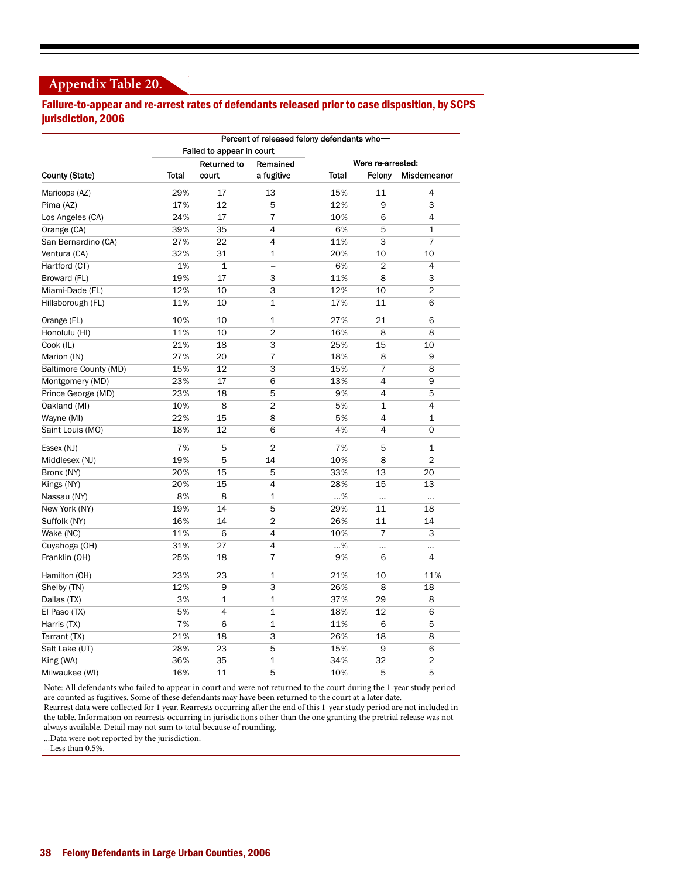## **Appendix Table 20.**

## Failure-to-appear and re-arrest rates of defendants released prior to case disposition, by SCPS jurisdiction, 2006

|                       | Percent of released felony defendants who- |                    |                          |       |                   |                |  |  |  |  |
|-----------------------|--------------------------------------------|--------------------|--------------------------|-------|-------------------|----------------|--|--|--|--|
|                       | Failed to appear in court                  |                    |                          |       |                   |                |  |  |  |  |
|                       |                                            | <b>Returned to</b> |                          |       | Were re-arrested: |                |  |  |  |  |
| County (State)        | Total                                      | court              | a fugitive               | Total | Felony            | Misdemeanor    |  |  |  |  |
| Maricopa (AZ)         | 29%                                        | 17                 | 13                       | 15%   | 11                | 4              |  |  |  |  |
| Pima (AZ)             | 17%                                        | 12                 | 5                        | 12%   | 9                 | 3              |  |  |  |  |
| Los Angeles (CA)      | 24%                                        | 17                 | $\overline{7}$           | 10%   | 6                 | 4              |  |  |  |  |
| Orange (CA)           | 39%                                        | 35                 | 4                        | 6%    | 5                 | 1              |  |  |  |  |
| San Bernardino (CA)   | 27%                                        | 22                 | 4                        | 11%   | 3                 | $\overline{7}$ |  |  |  |  |
| Ventura (CA)          | 32%                                        | 31                 | $\mathbf{1}$             | 20%   | 10                | 10             |  |  |  |  |
| Hartford (CT)         | 1%                                         | $\mathbf 1$        | $\overline{\phantom{a}}$ | 6%    | 2                 | 4              |  |  |  |  |
| Broward (FL)          | 19%                                        | 17                 | 3                        | 11%   | 8                 | 3              |  |  |  |  |
| Miami-Dade (FL)       | 12%                                        | 10                 | 3                        | 12%   | 10                | $\overline{c}$ |  |  |  |  |
| Hillsborough (FL)     | 11%                                        | 10                 | $\mathbf{1}$             | 17%   | 11                | 6              |  |  |  |  |
| Orange (FL)           | 10%                                        | 10                 | $\mathbf{1}$             | 27%   | 21                | 6              |  |  |  |  |
| Honolulu (HI)         | 11%                                        | 10                 | $\overline{2}$           | 16%   | 8                 | 8              |  |  |  |  |
| Cook (IL)             | 21%                                        | 18                 | 3                        | 25%   | 15                | 10             |  |  |  |  |
| Marion (IN)           | 27%                                        | 20                 | $\overline{7}$           | 18%   | 8                 | 9              |  |  |  |  |
| Baltimore County (MD) | 15%                                        | 12                 | 3                        | 15%   | $\overline{7}$    | 8              |  |  |  |  |
| Montgomery (MD)       | 23%                                        | 17                 | 6                        | 13%   | 4                 | 9              |  |  |  |  |
| Prince George (MD)    | 23%                                        | 18                 | 5                        | 9%    | 4                 | 5              |  |  |  |  |
| Oakland (MI)          | 10%                                        | 8                  | $\overline{2}$           | 5%    | 1                 | 4              |  |  |  |  |
| Wayne (MI)            | 22%                                        | 15                 | 8                        | 5%    | 4                 | $\mathbf 1$    |  |  |  |  |
| Saint Louis (MO)      | 18%                                        | 12                 | 6                        | 4%    | 4                 | 0              |  |  |  |  |
| Essex (NJ)            | 7%                                         | 5                  | $\overline{c}$           | 7%    | 5                 | $\mathbf 1$    |  |  |  |  |
| Middlesex (NJ)        | 19%                                        | 5                  | 14                       | 10%   | 8                 | $\overline{2}$ |  |  |  |  |
| Bronx (NY)            | 20%                                        | 15                 | 5                        | 33%   | 13                | 20             |  |  |  |  |
| Kings (NY)            | 20%                                        | 15                 | $\overline{4}$           | 28%   | 15                | 13             |  |  |  |  |
| Nassau (NY)           | 8%                                         | 8                  | $\mathbf{1}$             | %     | μ.                |                |  |  |  |  |
| New York (NY)         | 19%                                        | 14                 | 5                        | 29%   | 11                | 18             |  |  |  |  |
| Suffolk (NY)          | 16%                                        | 14                 | $\overline{c}$           | 26%   | 11                | 14             |  |  |  |  |
| Wake (NC)             | 11%                                        | 6                  | 4                        | 10%   | $\overline{7}$    | 3              |  |  |  |  |
| Cuyahoga (OH)         | 31%                                        | 27                 | 4                        | %     | u.                |                |  |  |  |  |
| Franklin (OH)         | 25%                                        | 18                 | $\overline{7}$           | 9%    | 6                 | 4              |  |  |  |  |
| Hamilton (OH)         | 23%                                        | 23                 | $\mathbf 1$              | 21%   | 10                | 11%            |  |  |  |  |
| Shelby (TN)           | 12%                                        | 9                  | 3                        | 26%   | 8                 | 18             |  |  |  |  |
| Dallas (TX)           | 3%                                         | 1                  | $\mathbf 1$              | 37%   | 29                | 8              |  |  |  |  |
| El Paso (TX)          | 5%                                         | 4                  | $\mathbf{1}$             | 18%   | 12                | 6              |  |  |  |  |
| Harris (TX)           | 7%                                         | 6                  | $\mathbf{1}$             | 11%   | 6                 | 5              |  |  |  |  |
| Tarrant (TX)          | 21%                                        | 18                 | 3                        | 26%   | 18                | 8              |  |  |  |  |
| Salt Lake (UT)        | 28%                                        | 23                 | 5                        | 15%   | 9                 | 6              |  |  |  |  |
| King (WA)             | 36%                                        | 35                 | $\mathbf{1}$             | 34%   | 32                | $\overline{2}$ |  |  |  |  |
| Milwaukee (WI)        | 16%                                        | 11                 | 5                        | 10%   | 5                 | 5              |  |  |  |  |

Note: All defendants who failed to appear in court and were not returned to the court during the 1-year study period are counted as fugitives. Some of these defendants may have been returned to the court at a later date.

Rearrest data were collected for 1 year. Rearrests occurring after the end of this 1-year study period are not included in the table. Information on rearrests occurring in jurisdictions other than the one granting the pretrial release was not always available. Detail may not sum to total because of rounding.

...Data were not reported by the jurisdiction.

--Less than 0.5%.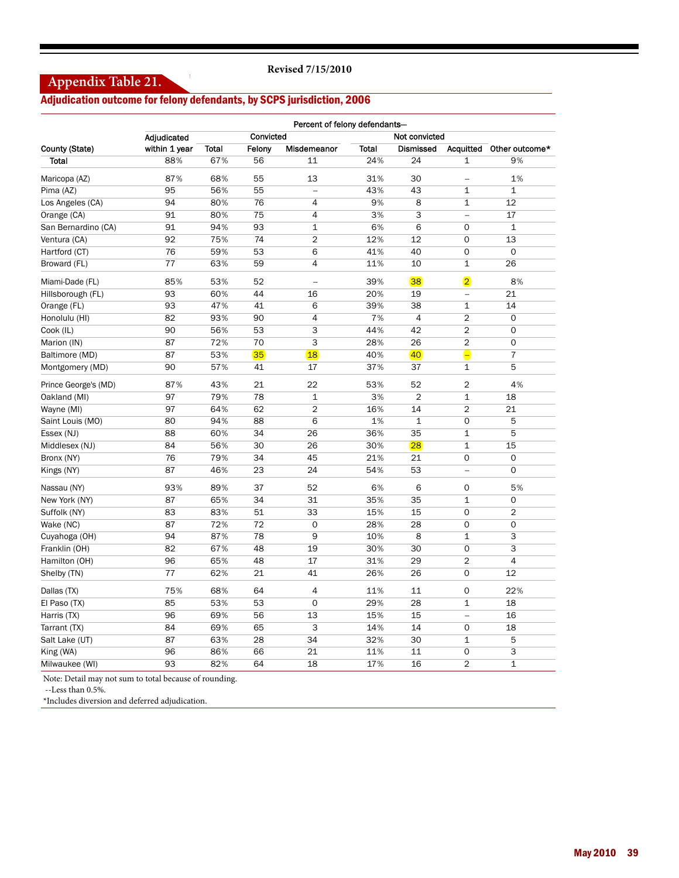## **Revised 7/15/2010**

## **Appendix Table 21.**

## Adjudication outcome for felony defendants, by SCPS jurisdiction, 2006

|                      | Percent of felony defendants- |              |           |                |              |                  |                          |                |
|----------------------|-------------------------------|--------------|-----------|----------------|--------------|------------------|--------------------------|----------------|
|                      | Adjudicated                   |              | Convicted |                |              | Not convicted    |                          |                |
| County (State)       | within 1 year                 | <b>Total</b> | Felony    | Misdemeanor    | <b>Total</b> | <b>Dismissed</b> | <b>Acquitted</b>         | Other outcome* |
| <b>Total</b>         | 88%                           | 67%          | 56        | 11             | 24%          | 24               | 1                        | 9%             |
| Maricopa (AZ)        | 87%                           | 68%          | 55        | 13             | 31%          | 30               | $\overline{a}$           | 1%             |
| Pima (AZ)            | 95                            | 56%          | 55        | ÷,             | 43%          | 43               | 1                        | 1              |
| Los Angeles (CA)     | 94                            | 80%          | 76        | 4              | 9%           | 8                | $\mathbf 1$              | 12             |
| Orange (CA)          | 91                            | 80%          | 75        | $\overline{4}$ | 3%           | 3                | --                       | 17             |
| San Bernardino (CA)  | 91                            | 94%          | 93        | 1              | 6%           | 6                | $\mathbf 0$              | $\mathbf 1$    |
| Ventura (CA)         | 92                            | 75%          | 74        | $\overline{2}$ | 12%          | 12               | $\mathbf 0$              | 13             |
| Hartford (CT)        | 76                            | 59%          | 53        | 6              | 41%          | 40               | 0                        | $\mathbf 0$    |
| Broward (FL)         | 77                            | 63%          | 59        | 4              | 11%          | 10               | $\mathbf 1$              | 26             |
| Miami-Dade (FL)      | 85%                           | 53%          | 52        | $\overline{a}$ | 39%          | 38               | $\overline{2}$           | 8%             |
| Hillsborough (FL)    | 93                            | 60%          | 44        | 16             | 20%          | 19               | u.                       | 21             |
| Orange (FL)          | 93                            | 47%          | 41        | 6              | 39%          | 38               | 1                        | 14             |
| Honolulu (HI)        | 82                            | 93%          | 90        | 4              | 7%           | 4                | $\overline{2}$           | $\mathbf 0$    |
| Cook (IL)            | 90                            | 56%          | 53        | 3              | 44%          | 42               | $\overline{2}$           | 0              |
| Marion (IN)          | 87                            | 72%          | 70        | 3              | 28%          | 26               | $\overline{2}$           | $\mathsf{O}$   |
| Baltimore (MD)       | 87                            | 53%          | 35        | 18             | 40%          | 40               | e                        | $\overline{7}$ |
| Montgomery (MD)      | 90                            | 57%          | 41        | 17             | 37%          | 37               | $\mathbf 1$              | 5              |
| Prince George's (MD) | 87%                           | 43%          | 21        | 22             | 53%          | 52               | $\overline{2}$           | 4%             |
| Oakland (MI)         | 97                            | 79%          | 78        | $\mathbf 1$    | 3%           | $\overline{2}$   | $\mathbf 1$              | 18             |
| Wayne (MI)           | 97                            | 64%          | 62        | $\overline{2}$ | 16%          | 14               | $\overline{2}$           | 21             |
| Saint Louis (MO)     | 80                            | 94%          | 88        | 6              | 1%           | $\mathbf 1$      | $\mathbf 0$              | 5              |
| Essex (NJ)           | 88                            | 60%          | 34        | 26             | 36%          | 35               | $\mathbf 1$              | 5              |
| Middlesex (NJ)       | 84                            | 56%          | 30        | 26             | 30%          | 28               | $\mathbf 1$              | 15             |
| Bronx (NY)           | 76                            | 79%          | 34        | 45             | 21%          | 21               | 0                        | $\mathbf 0$    |
| Kings (NY)           | 87                            | 46%          | 23        | 24             | 54%          | 53               | $\overline{\phantom{a}}$ | $\mathbf 0$    |
| Nassau (NY)          | 93%                           | 89%          | 37        | 52             | 6%           | 6                | $\mathbf 0$              | 5%             |
| New York (NY)        | 87                            | 65%          | 34        | 31             | 35%          | 35               | $\mathbf 1$              | 0              |
| Suffolk (NY)         | 83                            | 83%          | 51        | 33             | 15%          | 15               | 0                        | $\overline{c}$ |
| Wake (NC)            | 87                            | 72%          | 72        | 0              | 28%          | 28               | 0                        | 0              |
| Cuyahoga (OH)        | 94                            | 87%          | 78        | 9              | 10%          | 8                | $\mathbf 1$              | 3              |
| Franklin (OH)        | 82                            | 67%          | 48        | 19             | 30%          | 30               | $\mathsf{O}\xspace$      | 3              |
| Hamilton (OH)        | 96                            | 65%          | 48        | 17             | 31%          | 29               | $\overline{2}$           | 4              |
| Shelby (TN)          | 77                            | 62%          | 21        | 41             | 26%          | 26               | $\mathbf 0$              | 12             |
| Dallas (TX)          | 75%                           | 68%          | 64        | 4              | 11%          | 11               | 0                        | 22%            |
| El Paso (TX)         | 85                            | 53%          | 53        | $\mathbf 0$    | 29%          | 28               | $\mathbf 1$              | 18             |
| Harris (TX)          | 96                            | 69%          | 56        | 13             | 15%          | 15               | ÷,                       | 16             |
| Tarrant (TX)         | 84                            | 69%          | 65        | 3              | 14%          | 14               | 0                        | 18             |
| Salt Lake (UT)       | 87                            | 63%          | 28        | 34             | 32%          | 30               | $\mathbf 1$              | 5              |
| King (WA)            | 96                            | 86%          | 66        | 21             | 11%          | 11               | 0                        | 3              |
| Milwaukee (WI)       | 93                            | 82%          | 64        | 18             | 17%          | 16               | $\overline{2}$           | $\mathbf{1}$   |

Note: Detail may not sum to total because of rounding.

--Less than 0.5%.

\*Includes diversion and deferred adjudication.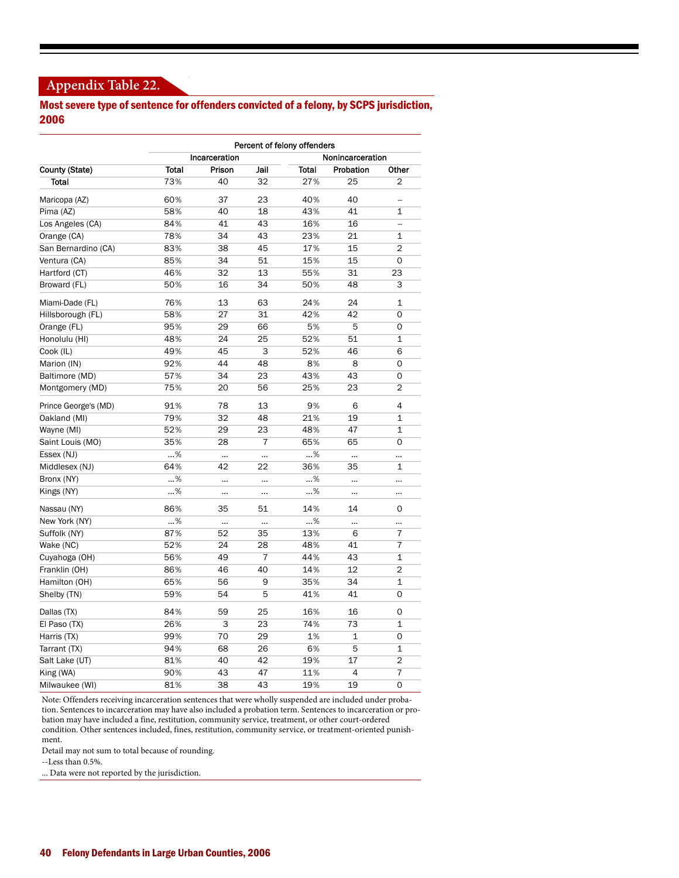## **Appendix Table 22.**

## Most severe type of sentence for offenders convicted of a felony, by SCPS jurisdiction, 2006

|                      | Percent of felony offenders |               |                |                  |                |                          |  |  |  |
|----------------------|-----------------------------|---------------|----------------|------------------|----------------|--------------------------|--|--|--|
|                      |                             | Incarceration |                | Nonincarceration |                |                          |  |  |  |
| County (State)       | <b>Total</b>                | Prison        | Jail           | Total            | Probation      | Other                    |  |  |  |
| Total                | 73%                         | 40            | 32             | 27%              | 25             | 2                        |  |  |  |
| Maricopa (AZ)        | 60%                         | 37            | 23             | 40%              | 40             |                          |  |  |  |
| Pima (AZ)            | 58%                         | 40            | 18             | 43%              | 41             | 1                        |  |  |  |
| Los Angeles (CA)     | 84%                         | 41            | 43             | 16%              | 16             | $\overline{\phantom{a}}$ |  |  |  |
| Orange (CA)          | 78%                         | 34            | 43             | 23%              | 21             | $\mathbf{1}$             |  |  |  |
| San Bernardino (CA)  | 83%                         | 38            | 45             | 17%              | 15             | 2                        |  |  |  |
| Ventura (CA)         | 85%                         | 34            | 51             | 15%              | 15             | 0                        |  |  |  |
| Hartford (CT)        | 46%                         | 32            | 13             | 55%              | 31             | 23                       |  |  |  |
| Broward (FL)         | 50%                         | 16            | 34             | 50%              | 48             | 3                        |  |  |  |
| Miami-Dade (FL)      | 76%                         | 13            | 63             | 24%              | 24             | $\mathbf 1$              |  |  |  |
| Hillsborough (FL)    | 58%                         | 27            | 31             | 42%              | 42             | 0                        |  |  |  |
| Orange (FL)          | 95%                         | 29            | 66             | 5%               | 5              | 0                        |  |  |  |
| Honolulu (HI)        | 48%                         | 24            | 25             | 52%              | 51             | $\mathbf{1}$             |  |  |  |
| Cook (IL)            | 49%                         | 45            | 3              | 52%              | 46             | 6                        |  |  |  |
| Marion (IN)          | 92%                         | 44            | 48             | 8%               | 8              | 0                        |  |  |  |
| Baltimore (MD)       | 57%                         | 34            | 23             | 43%              | 43             | 0                        |  |  |  |
| Montgomery (MD)      | 75%                         | 20            | 56             | 25%              | 23             | $\overline{c}$           |  |  |  |
| Prince George's (MD) | 91%                         | 78            | 13             | 9%               | 6              | 4                        |  |  |  |
| Oakland (MI)         | 79%                         | 32            | 48             | 21%              | 19             | 1                        |  |  |  |
| Wayne (MI)           | 52%                         | 29            | 23             | 48%              | 47             | 1                        |  |  |  |
| Saint Louis (MO)     | 35%                         | 28            | 7              | 65%              | 65             | 0                        |  |  |  |
| Essex (NJ)           | %                           | Ω.            |                | %                | Ω.             |                          |  |  |  |
| Middlesex (NJ)       | 64%                         | 42            | 22             | 36%              | 35             | 1                        |  |  |  |
| Bronx (NY)           | %                           |               |                | %                |                |                          |  |  |  |
| Kings (NY)           | %                           |               |                | %                |                |                          |  |  |  |
| Nassau (NY)          | 86%                         | 35            | 51             | 14%              | 14             | 0                        |  |  |  |
| New York (NY)        | %                           |               |                | %                |                |                          |  |  |  |
| Suffolk (NY)         | 87%                         | 52            | 35             | 13%              | 6              | $\overline{7}$           |  |  |  |
| Wake (NC)            | 52%                         | 24            | 28             | 48%              | 41             | $\overline{7}$           |  |  |  |
| Cuyahoga (OH)        | 56%                         | 49            | $\overline{7}$ | 44%              | 43             | $\mathbf{1}$             |  |  |  |
| Franklin (OH)        | 86%                         | 46            | 40             | 14%              | 12             | $\overline{2}$           |  |  |  |
| Hamilton (OH)        | 65%                         | 56            | 9              | 35%              | 34             | 1                        |  |  |  |
| Shelby (TN)          | 59%                         | 54            | 5              | 41%              | 41             | 0                        |  |  |  |
| Dallas (TX)          | 84%                         | 59            | 25             | 16%              | 16             | 0                        |  |  |  |
| El Paso (TX)         | 26%                         | 3             | 23             | 74%              | 73             | $\mathbf 1$              |  |  |  |
| Harris (TX)          | 99%                         | 70            | 29             | 1%               | $\mathbf 1$    | 0                        |  |  |  |
| Tarrant (TX)         | 94%                         | 68            | 26             | 6%               | 5              | 1                        |  |  |  |
| Salt Lake (UT)       | 81%                         | 40            | 42             | 19%              | 17             | 2                        |  |  |  |
| King (WA)            | 90%                         | 43            | 47             | 11%              | $\overline{4}$ | 7                        |  |  |  |
| Milwaukee (WI)       | 81%                         | 38            | 43             | 19%              | 19             | 0                        |  |  |  |

Note: Offenders receiving incarceration sentences that were wholly suspended are included under probation. Sentences to incarceration may have also included a probation term. Sentences to incarceration or probation may have included a fine, restitution, community service, treatment, or other court-ordered condition. Other sentences included, fines, restitution, community service, or treatment-oriented punishment.

Detail may not sum to total because of rounding.

--Less than 0.5%.

... Data were not reported by the jurisdiction.